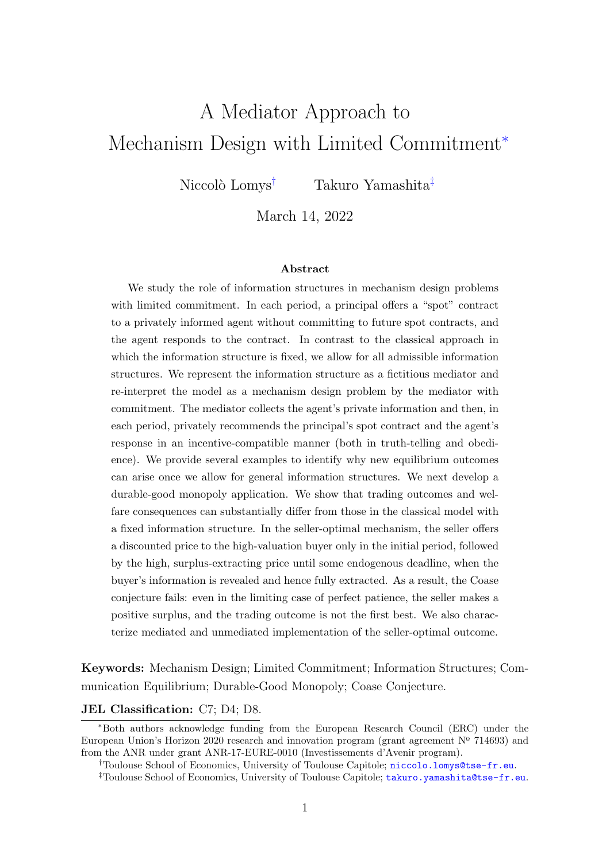# A Mediator Approach to Mechanism Design with Limited Commitment<sup>∗</sup>

Niccolò Lomys<sup>†</sup> Takuro Yamashita<sup>‡</sup>

March 14, 2022

#### Abstract

We study the role of information structures in mechanism design problems with limited commitment. In each period, a principal offers a "spot" contract to a privately informed agent without committing to future spot contracts, and the agent responds to the contract. In contrast to the classical approach in which the information structure is fixed, we allow for all admissible information structures. We represent the information structure as a fictitious mediator and re-interpret the model as a mechanism design problem by the mediator with commitment. The mediator collects the agent's private information and then, in each period, privately recommends the principal's spot contract and the agent's response in an incentive-compatible manner (both in truth-telling and obedience). We provide several examples to identify why new equilibrium outcomes can arise once we allow for general information structures. We next develop a durable-good monopoly application. We show that trading outcomes and welfare consequences can substantially differ from those in the classical model with a fixed information structure. In the seller-optimal mechanism, the seller offers a discounted price to the high-valuation buyer only in the initial period, followed by the high, surplus-extracting price until some endogenous deadline, when the buyer's information is revealed and hence fully extracted. As a result, the Coase conjecture fails: even in the limiting case of perfect patience, the seller makes a positive surplus, and the trading outcome is not the first best. We also characterize mediated and unmediated implementation of the seller-optimal outcome.

Keywords: Mechanism Design; Limited Commitment; Information Structures; Communication Equilibrium; Durable-Good Monopoly; Coase Conjecture.

#### JEL Classification: C7; D4; D8.

<sup>∗</sup>Both authors acknowledge funding from the European Research Council (ERC) under the European Union's Horizon 2020 research and innovation program (grant agreement  $N^{\circ}$  714693) and from the ANR under grant ANR-17-EURE-0010 (Investissements d'Avenir program).

<sup>†</sup>Toulouse School of Economics, University of Toulouse Capitole; [niccolo.lomys@tse-fr.eu](mailto:niccolo.lomys@tse-fr.eu).

<sup>&</sup>lt;sup>‡</sup>Toulouse School of Economics, University of Toulouse Capitole; [takuro.yamashita@tse-fr.eu](mailto: takuro.yamashita@tse-fr.eu).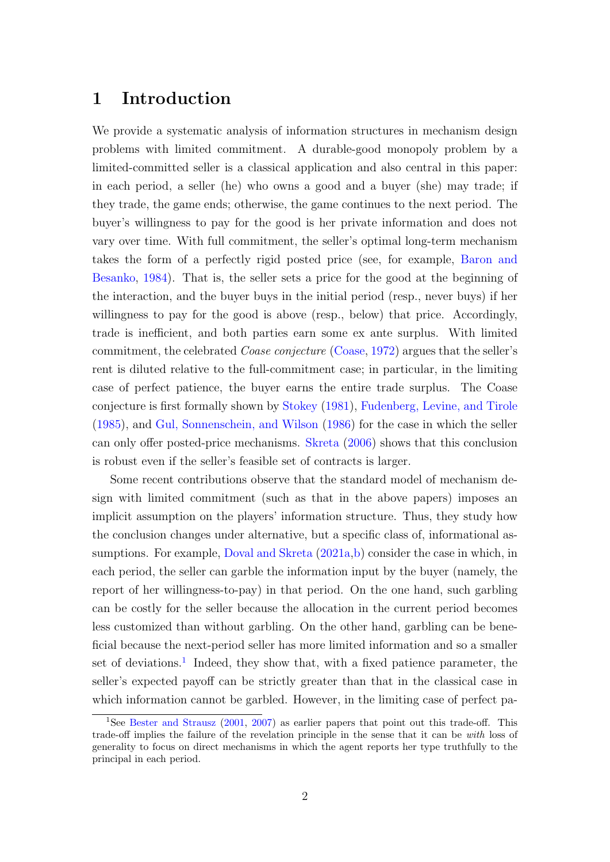# 1 Introduction

We provide a systematic analysis of information structures in mechanism design problems with limited commitment. A durable-good monopoly problem by a limited-committed seller is a classical application and also central in this paper: in each period, a seller (he) who owns a good and a buyer (she) may trade; if they trade, the game ends; otherwise, the game continues to the next period. The buyer's willingness to pay for the good is her private information and does not vary over time. With full commitment, the seller's optimal long-term mechanism takes the form of a perfectly rigid posted price (see, for example, [Baron and](#page-55-0) [Besanko,](#page-55-0) [1984\)](#page-55-0). That is, the seller sets a price for the good at the beginning of the interaction, and the buyer buys in the initial period (resp., never buys) if her willingness to pay for the good is above (resp., below) that price. Accordingly, trade is inefficient, and both parties earn some ex ante surplus. With limited commitment, the celebrated Coase conjecture [\(Coase,](#page-55-1) [1972\)](#page-55-1) argues that the seller's rent is diluted relative to the full-commitment case; in particular, in the limiting case of perfect patience, the buyer earns the entire trade surplus. The Coase conjecture is first formally shown by [Stokey](#page-57-0) [\(1981\)](#page-57-0), [Fudenberg, Levine, and Tirole](#page-56-0) [\(1985\)](#page-56-0), and [Gul, Sonnenschein, and Wilson](#page-56-1) [\(1986\)](#page-56-1) for the case in which the seller can only offer posted-price mechanisms. [Skreta](#page-57-1) [\(2006\)](#page-57-1) shows that this conclusion is robust even if the seller's feasible set of contracts is larger.

Some recent contributions observe that the standard model of mechanism design with limited commitment (such as that in the above papers) imposes an implicit assumption on the players' information structure. Thus, they study how the conclusion changes under alternative, but a specific class of, informational as-sumptions. For example, [Doval and Skreta](#page-55-2)  $(2021a,b)$  $(2021a,b)$  consider the case in which, in each period, the seller can garble the information input by the buyer (namely, the report of her willingness-to-pay) in that period. On the one hand, such garbling can be costly for the seller because the allocation in the current period becomes less customized than without garbling. On the other hand, garbling can be beneficial because the next-period seller has more limited information and so a smaller set of deviations.<sup>[1](#page-1-0)</sup> Indeed, they show that, with a fixed patience parameter, the seller's expected payoff can be strictly greater than that in the classical case in which information cannot be garbled. However, in the limiting case of perfect pa-

<span id="page-1-0"></span><sup>&</sup>lt;sup>1</sup>See [Bester and Strausz](#page-55-4) [\(2001,](#page-55-4) [2007\)](#page-55-5) as earlier papers that point out this trade-off. This trade-off implies the failure of the revelation principle in the sense that it can be with loss of generality to focus on direct mechanisms in which the agent reports her type truthfully to the principal in each period.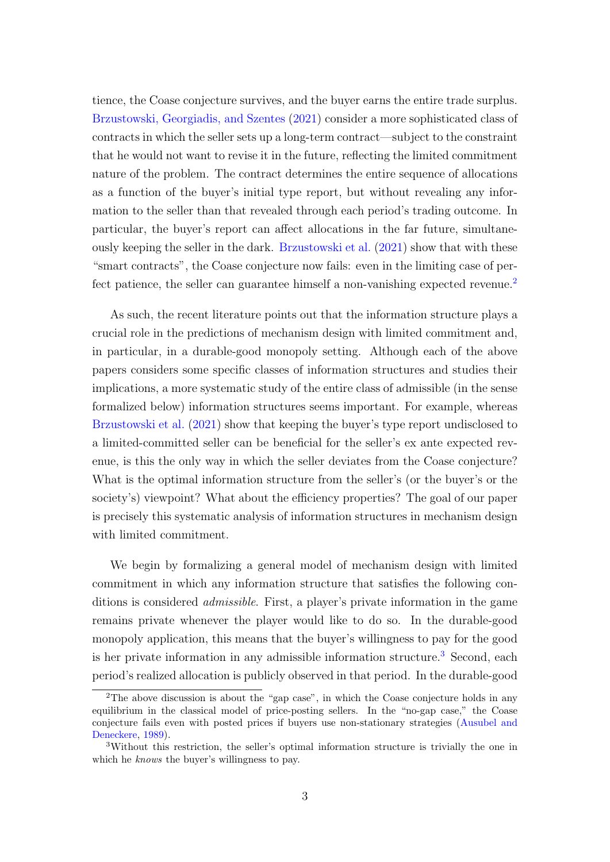tience, the Coase conjecture survives, and the buyer earns the entire trade surplus. [Brzustowski, Georgiadis, and Szentes](#page-55-6) [\(2021\)](#page-55-6) consider a more sophisticated class of contracts in which the seller sets up a long-term contract—subject to the constraint that he would not want to revise it in the future, reflecting the limited commitment nature of the problem. The contract determines the entire sequence of allocations as a function of the buyer's initial type report, but without revealing any information to the seller than that revealed through each period's trading outcome. In particular, the buyer's report can affect allocations in the far future, simultaneously keeping the seller in the dark. [Brzustowski et al.](#page-55-6) [\(2021\)](#page-55-6) show that with these "smart contracts", the Coase conjecture now fails: even in the limiting case of per-fect patience, the seller can guarantee himself a non-vanishing expected revenue.<sup>[2](#page-2-0)</sup>

As such, the recent literature points out that the information structure plays a crucial role in the predictions of mechanism design with limited commitment and, in particular, in a durable-good monopoly setting. Although each of the above papers considers some specific classes of information structures and studies their implications, a more systematic study of the entire class of admissible (in the sense formalized below) information structures seems important. For example, whereas [Brzustowski et al.](#page-55-6) [\(2021\)](#page-55-6) show that keeping the buyer's type report undisclosed to a limited-committed seller can be beneficial for the seller's ex ante expected revenue, is this the only way in which the seller deviates from the Coase conjecture? What is the optimal information structure from the seller's (or the buyer's or the society's) viewpoint? What about the efficiency properties? The goal of our paper is precisely this systematic analysis of information structures in mechanism design with limited commitment.

We begin by formalizing a general model of mechanism design with limited commitment in which any information structure that satisfies the following conditions is considered admissible. First, a player's private information in the game remains private whenever the player would like to do so. In the durable-good monopoly application, this means that the buyer's willingness to pay for the good is her private information in any admissible information structure.<sup>[3](#page-2-1)</sup> Second, each period's realized allocation is publicly observed in that period. In the durable-good

<span id="page-2-0"></span><sup>2</sup>The above discussion is about the "gap case", in which the Coase conjecture holds in any equilibrium in the classical model of price-posting sellers. In the "no-gap case," the Coase conjecture fails even with posted prices if buyers use non-stationary strategies [\(Ausubel and](#page-55-7) [Deneckere,](#page-55-7) [1989\)](#page-55-7).

<span id="page-2-1"></span><sup>3</sup>Without this restriction, the seller's optimal information structure is trivially the one in which he *knows* the buyer's willingness to pay.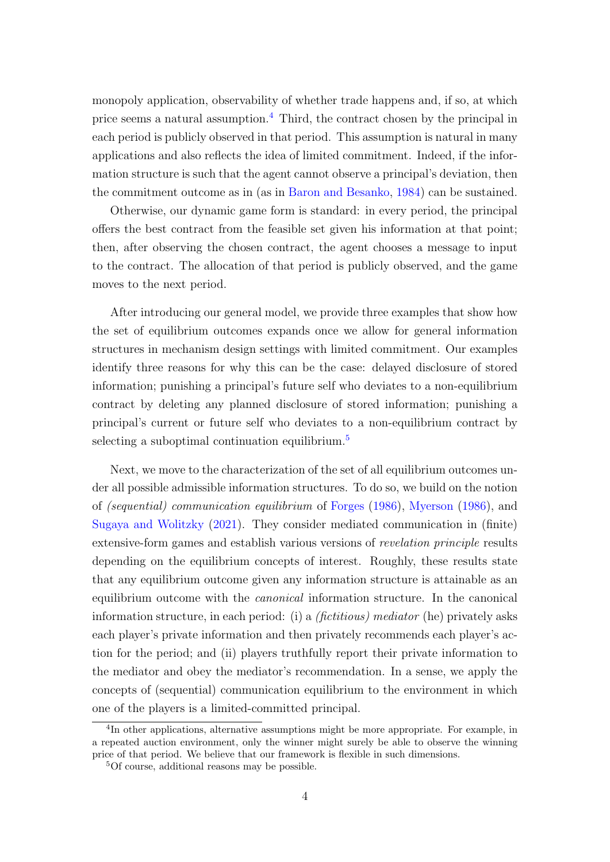monopoly application, observability of whether trade happens and, if so, at which price seems a natural assumption.[4](#page-3-0) Third, the contract chosen by the principal in each period is publicly observed in that period. This assumption is natural in many applications and also reflects the idea of limited commitment. Indeed, if the information structure is such that the agent cannot observe a principal's deviation, then the commitment outcome as in (as in [Baron and Besanko,](#page-55-0) [1984\)](#page-55-0) can be sustained.

Otherwise, our dynamic game form is standard: in every period, the principal offers the best contract from the feasible set given his information at that point; then, after observing the chosen contract, the agent chooses a message to input to the contract. The allocation of that period is publicly observed, and the game moves to the next period.

After introducing our general model, we provide three examples that show how the set of equilibrium outcomes expands once we allow for general information structures in mechanism design settings with limited commitment. Our examples identify three reasons for why this can be the case: delayed disclosure of stored information; punishing a principal's future self who deviates to a non-equilibrium contract by deleting any planned disclosure of stored information; punishing a principal's current or future self who deviates to a non-equilibrium contract by selecting a suboptimal continuation equilibrium.<sup>[5](#page-3-1)</sup>

Next, we move to the characterization of the set of all equilibrium outcomes under all possible admissible information structures. To do so, we build on the notion of (sequential) communication equilibrium of [Forges](#page-56-2) [\(1986\)](#page-56-2), [Myerson](#page-57-2) [\(1986\)](#page-57-2), and [Sugaya and Wolitzky](#page-57-3) [\(2021\)](#page-57-3). They consider mediated communication in (finite) extensive-form games and establish various versions of revelation principle results depending on the equilibrium concepts of interest. Roughly, these results state that any equilibrium outcome given any information structure is attainable as an equilibrium outcome with the canonical information structure. In the canonical information structure, in each period: (i) a *(fictitious)* mediator (he) privately asks each player's private information and then privately recommends each player's action for the period; and (ii) players truthfully report their private information to the mediator and obey the mediator's recommendation. In a sense, we apply the concepts of (sequential) communication equilibrium to the environment in which one of the players is a limited-committed principal.

<span id="page-3-0"></span><sup>4</sup> In other applications, alternative assumptions might be more appropriate. For example, in a repeated auction environment, only the winner might surely be able to observe the winning price of that period. We believe that our framework is flexible in such dimensions.

<span id="page-3-1"></span><sup>5</sup>Of course, additional reasons may be possible.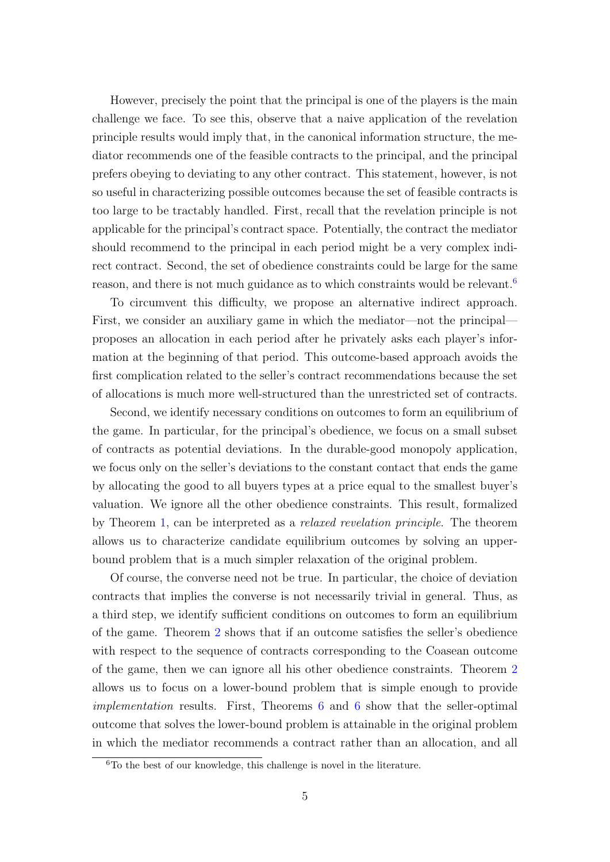However, precisely the point that the principal is one of the players is the main challenge we face. To see this, observe that a naive application of the revelation principle results would imply that, in the canonical information structure, the mediator recommends one of the feasible contracts to the principal, and the principal prefers obeying to deviating to any other contract. This statement, however, is not so useful in characterizing possible outcomes because the set of feasible contracts is too large to be tractably handled. First, recall that the revelation principle is not applicable for the principal's contract space. Potentially, the contract the mediator should recommend to the principal in each period might be a very complex indirect contract. Second, the set of obedience constraints could be large for the same reason, and there is not much guidance as to which constraints would be relevant.<sup>[6](#page-4-0)</sup>

To circumvent this difficulty, we propose an alternative indirect approach. First, we consider an auxiliary game in which the mediator—not the principal proposes an allocation in each period after he privately asks each player's information at the beginning of that period. This outcome-based approach avoids the first complication related to the seller's contract recommendations because the set of allocations is much more well-structured than the unrestricted set of contracts.

Second, we identify necessary conditions on outcomes to form an equilibrium of the game. In particular, for the principal's obedience, we focus on a small subset of contracts as potential deviations. In the durable-good monopoly application, we focus only on the seller's deviations to the constant contact that ends the game by allocating the good to all buyers types at a price equal to the smallest buyer's valuation. We ignore all the other obedience constraints. This result, formalized by Theorem [1,](#page-22-0) can be interpreted as a relaxed revelation principle. The theorem allows us to characterize candidate equilibrium outcomes by solving an upperbound problem that is a much simpler relaxation of the original problem.

Of course, the converse need not be true. In particular, the choice of deviation contracts that implies the converse is not necessarily trivial in general. Thus, as a third step, we identify sufficient conditions on outcomes to form an equilibrium of the game. Theorem [2](#page-22-1) shows that if an outcome satisfies the seller's obedience with respect to the sequence of contracts corresponding to the Coasean outcome of the game, then we can ignore all his other obedience constraints. Theorem [2](#page-22-1) allows us to focus on a lower-bound problem that is simple enough to provide implementation results. First, Theorems [6](#page-27-0) and [6](#page-27-0) show that the seller-optimal outcome that solves the lower-bound problem is attainable in the original problem in which the mediator recommends a contract rather than an allocation, and all

<span id="page-4-0"></span><sup>6</sup>To the best of our knowledge, this challenge is novel in the literature.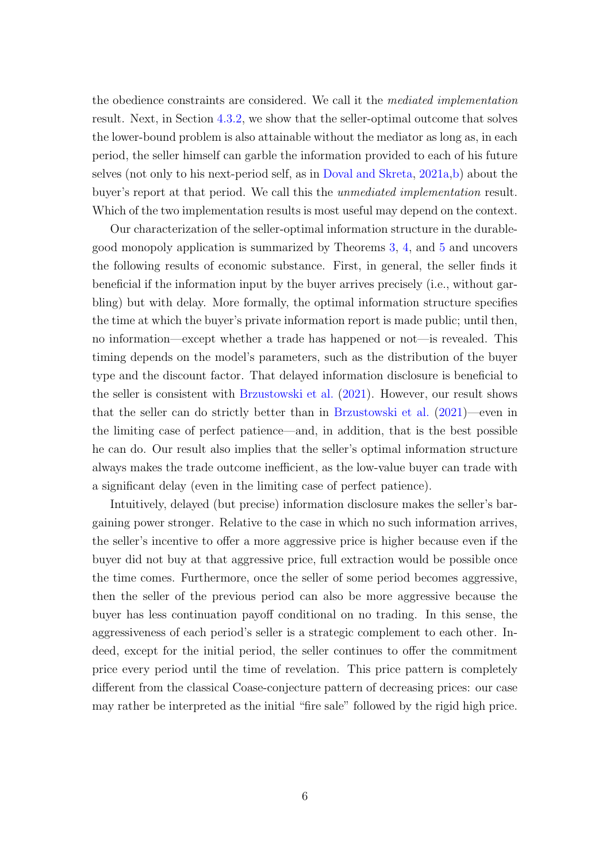the obedience constraints are considered. We call it the mediated implementation result. Next, in Section [4.3.2,](#page-28-0) we show that the seller-optimal outcome that solves the lower-bound problem is also attainable without the mediator as long as, in each period, the seller himself can garble the information provided to each of his future selves (not only to his next-period self, as in [Doval and Skreta,](#page-55-2) [2021a,](#page-55-2)[b\)](#page-55-3) about the buyer's report at that period. We call this the unmediated implementation result. Which of the two implementation results is most useful may depend on the context.

Our characterization of the seller-optimal information structure in the durablegood monopoly application is summarized by Theorems [3,](#page-25-0) [4,](#page-26-0) and [5](#page-27-1) and uncovers the following results of economic substance. First, in general, the seller finds it beneficial if the information input by the buyer arrives precisely (i.e., without garbling) but with delay. More formally, the optimal information structure specifies the time at which the buyer's private information report is made public; until then, no information—except whether a trade has happened or not—is revealed. This timing depends on the model's parameters, such as the distribution of the buyer type and the discount factor. That delayed information disclosure is beneficial to the seller is consistent with [Brzustowski et al.](#page-55-6) [\(2021\)](#page-55-6). However, our result shows that the seller can do strictly better than in [Brzustowski et al.](#page-55-6) [\(2021\)](#page-55-6)—even in the limiting case of perfect patience—and, in addition, that is the best possible he can do. Our result also implies that the seller's optimal information structure always makes the trade outcome inefficient, as the low-value buyer can trade with a significant delay (even in the limiting case of perfect patience).

Intuitively, delayed (but precise) information disclosure makes the seller's bargaining power stronger. Relative to the case in which no such information arrives, the seller's incentive to offer a more aggressive price is higher because even if the buyer did not buy at that aggressive price, full extraction would be possible once the time comes. Furthermore, once the seller of some period becomes aggressive, then the seller of the previous period can also be more aggressive because the buyer has less continuation payoff conditional on no trading. In this sense, the aggressiveness of each period's seller is a strategic complement to each other. Indeed, except for the initial period, the seller continues to offer the commitment price every period until the time of revelation. This price pattern is completely different from the classical Coase-conjecture pattern of decreasing prices: our case may rather be interpreted as the initial "fire sale" followed by the rigid high price.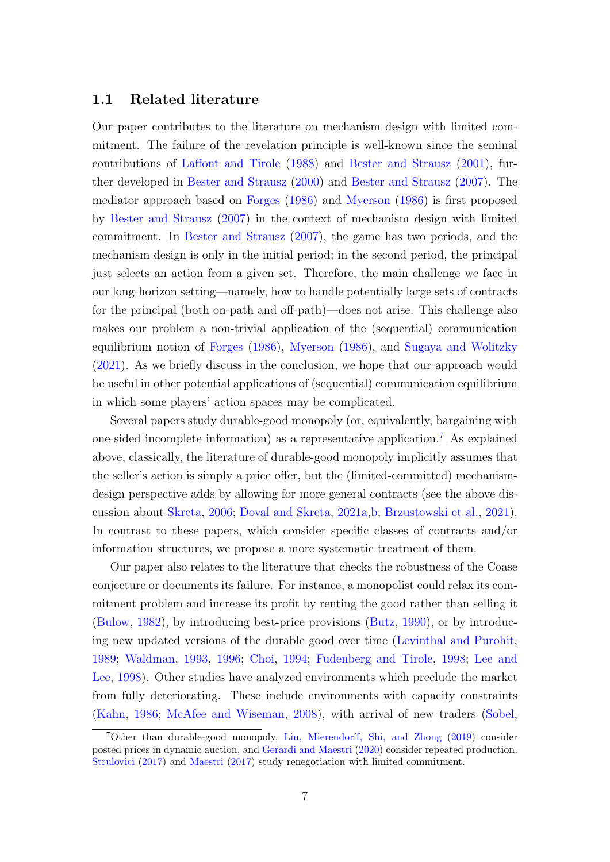### 1.1 Related literature

Our paper contributes to the literature on mechanism design with limited commitment. The failure of the revelation principle is well-known since the seminal contributions of [Laffont and Tirole](#page-56-3) [\(1988\)](#page-56-3) and [Bester and Strausz](#page-55-4) [\(2001\)](#page-55-4), further developed in [Bester and Strausz](#page-55-8) [\(2000\)](#page-55-8) and [Bester and Strausz](#page-55-5) [\(2007\)](#page-55-5). The mediator approach based on [Forges](#page-56-2) [\(1986\)](#page-56-2) and [Myerson](#page-57-2) [\(1986\)](#page-57-2) is first proposed by [Bester and Strausz](#page-55-5) [\(2007\)](#page-55-5) in the context of mechanism design with limited commitment. In [Bester and Strausz](#page-55-5) [\(2007\)](#page-55-5), the game has two periods, and the mechanism design is only in the initial period; in the second period, the principal just selects an action from a given set. Therefore, the main challenge we face in our long-horizon setting—namely, how to handle potentially large sets of contracts for the principal (both on-path and off-path)—does not arise. This challenge also makes our problem a non-trivial application of the (sequential) communication equilibrium notion of [Forges](#page-56-2) [\(1986\)](#page-56-2), [Myerson](#page-57-2) [\(1986\)](#page-57-2), and [Sugaya and Wolitzky](#page-57-3) [\(2021\)](#page-57-3). As we briefly discuss in the conclusion, we hope that our approach would be useful in other potential applications of (sequential) communication equilibrium in which some players' action spaces may be complicated.

Several papers study durable-good monopoly (or, equivalently, bargaining with one-sided incomplete information) as a representative application.[7](#page-6-0) As explained above, classically, the literature of durable-good monopoly implicitly assumes that the seller's action is simply a price offer, but the (limited-committed) mechanismdesign perspective adds by allowing for more general contracts (see the above discussion about [Skreta,](#page-57-1) [2006;](#page-57-1) [Doval and Skreta,](#page-55-2) [2021a,](#page-55-2)[b;](#page-55-3) [Brzustowski et al.,](#page-55-6) [2021\)](#page-55-6). In contrast to these papers, which consider specific classes of contracts and/or information structures, we propose a more systematic treatment of them.

Our paper also relates to the literature that checks the robustness of the Coase conjecture or documents its failure. For instance, a monopolist could relax its commitment problem and increase its profit by renting the good rather than selling it [\(Bulow,](#page-55-9) [1982\)](#page-55-9), by introducing best-price provisions [\(Butz,](#page-55-10) [1990\)](#page-55-10), or by introducing new updated versions of the durable good over time [\(Levinthal and Purohit,](#page-56-4) [1989;](#page-56-4) [Waldman,](#page-57-4) [1993,](#page-57-4) [1996;](#page-57-5) [Choi,](#page-55-11) [1994;](#page-55-11) [Fudenberg and Tirole,](#page-56-5) [1998;](#page-56-5) [Lee and](#page-56-6) [Lee,](#page-56-6) [1998\)](#page-56-6). Other studies have analyzed environments which preclude the market from fully deteriorating. These include environments with capacity constraints [\(Kahn,](#page-56-7) [1986;](#page-56-7) [McAfee and Wiseman,](#page-56-8) [2008\)](#page-56-8), with arrival of new traders [\(Sobel,](#page-57-6)

<span id="page-6-0"></span><sup>7</sup>Other than durable-good monopoly, [Liu, Mierendorff, Shi, and Zhong](#page-56-9) [\(2019\)](#page-56-9) consider posted prices in dynamic auction, and [Gerardi and Maestri](#page-56-10) [\(2020\)](#page-56-10) consider repeated production. [Strulovici](#page-57-7) [\(2017\)](#page-57-7) and [Maestri](#page-56-11) [\(2017\)](#page-56-11) study renegotiation with limited commitment.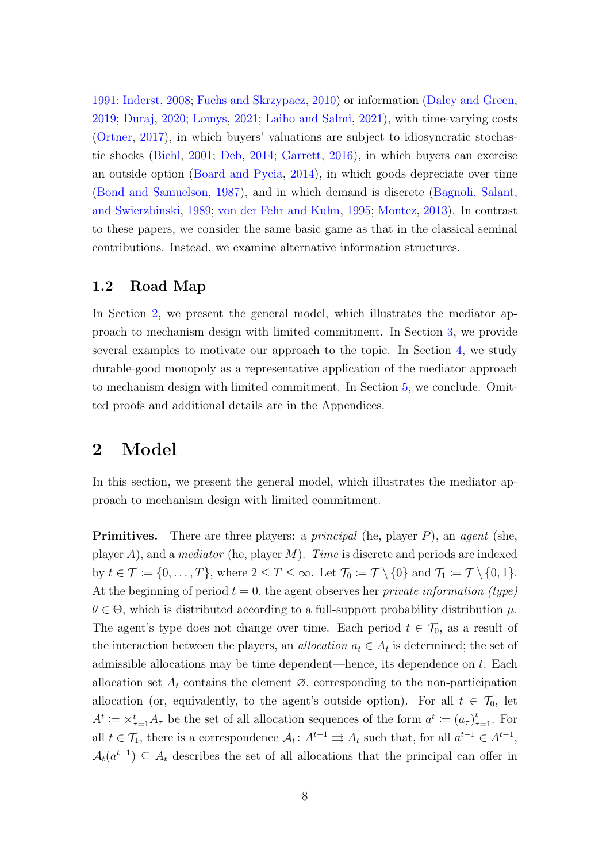[1991;](#page-57-6) [Inderst,](#page-56-12) [2008;](#page-56-12) [Fuchs and Skrzypacz,](#page-56-13) [2010\)](#page-56-13) or information [\(Daley and Green,](#page-55-12) [2019;](#page-55-12) [Duraj,](#page-56-14) [2020;](#page-56-14) [Lomys,](#page-56-15) [2021;](#page-56-15) [Laiho and Salmi,](#page-56-16) [2021\)](#page-56-16), with time-varying costs [\(Ortner,](#page-57-8) [2017\)](#page-57-8), in which buyers' valuations are subject to idiosyncratic stochastic shocks [\(Biehl,](#page-55-13) [2001;](#page-55-13) [Deb,](#page-55-14) [2014;](#page-55-14) [Garrett,](#page-56-17) [2016\)](#page-56-17), in which buyers can exercise an outside option [\(Board and Pycia,](#page-55-15) [2014\)](#page-55-15), in which goods depreciate over time [\(Bond and Samuelson,](#page-55-16) [1987\)](#page-55-16), and in which demand is discrete [\(Bagnoli, Salant,](#page-55-17) [and Swierzbinski,](#page-55-17) [1989;](#page-55-17) [von der Fehr and Kuhn,](#page-57-9) [1995;](#page-57-9) [Montez,](#page-57-10) [2013\)](#page-57-10). In contrast to these papers, we consider the same basic game as that in the classical seminal contributions. Instead, we examine alternative information structures.

### 1.2 Road Map

In Section [2,](#page-7-0) we present the general model, which illustrates the mediator approach to mechanism design with limited commitment. In Section [3,](#page-11-0) we provide several examples to motivate our approach to the topic. In Section [4,](#page-19-0) we study durable-good monopoly as a representative application of the mediator approach to mechanism design with limited commitment. In Section [5,](#page-30-0) we conclude. Omitted proofs and additional details are in the Appendices.

# <span id="page-7-0"></span>2 Model

In this section, we present the general model, which illustrates the mediator approach to mechanism design with limited commitment.

**Primitives.** There are three players: a *principal* (he, player  $P$ ), an *agent* (she, player A), and a *mediator* (he, player M). Time is discrete and periods are indexed by  $t \in \mathcal{T} \coloneqq \{0, \ldots, T\}$ , where  $2 \leq T \leq \infty$ . Let  $\mathcal{T}_0 \coloneqq \mathcal{T} \setminus \{0\}$  and  $\mathcal{T}_1 \coloneqq \mathcal{T} \setminus \{0, 1\}$ . At the beginning of period  $t = 0$ , the agent observes her *private information* (type)  $\theta \in \Theta$ , which is distributed according to a full-support probability distribution  $\mu$ . The agent's type does not change over time. Each period  $t \in \mathcal{T}_0$ , as a result of the interaction between the players, an *allocation*  $a_t \in A_t$  is determined; the set of admissible allocations may be time dependent—hence, its dependence on  $t$ . Each allocation set  $A_t$  contains the element  $\varnothing$ , corresponding to the non-participation allocation (or, equivalently, to the agent's outside option). For all  $t \in \mathcal{T}_0$ , let  $A^t := \times_{\tau=1}^t A_\tau$  be the set of all allocation sequences of the form  $a^t := (a_\tau)_{\tau=1}^t$ . For all  $t \in \mathcal{T}_1$ , there is a correspondence  $\mathcal{A}_t$ :  $A^{t-1} \rightrightarrows A_t$  such that, for all  $a^{t-1} \in A^{t-1}$ ,  $\mathcal{A}_t(a^{t-1}) \subseteq A_t$  describes the set of all allocations that the principal can offer in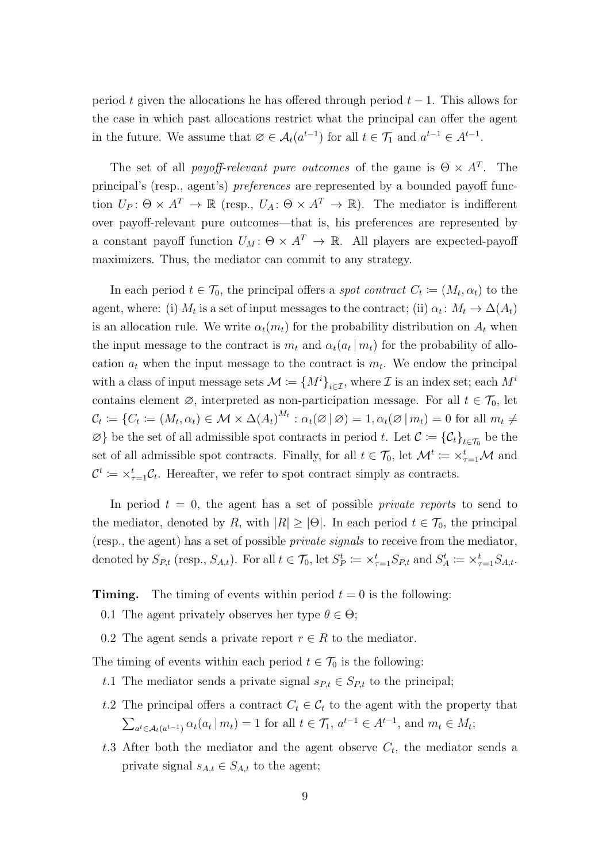period t given the allocations he has offered through period  $t - 1$ . This allows for the case in which past allocations restrict what the principal can offer the agent in the future. We assume that  $\emptyset \in \mathcal{A}_t(a^{t-1})$  for all  $t \in \mathcal{T}_1$  and  $a^{t-1} \in A^{t-1}$ .

The set of all *payoff-relevant pure outcomes* of the game is  $\Theta \times A^T$ . The principal's (resp., agent's) preferences are represented by a bounded payoff function  $U_P$ :  $\Theta \times A^T \to \mathbb{R}$  (resp.,  $U_A$ :  $\Theta \times A^T \to \mathbb{R}$ ). The mediator is indifferent over payoff-relevant pure outcomes—that is, his preferences are represented by a constant payoff function  $U_M$ :  $\Theta \times A^T \to \mathbb{R}$ . All players are expected-payoff maximizers. Thus, the mediator can commit to any strategy.

In each period  $t \in \mathcal{T}_0$ , the principal offers a *spot contract*  $C_t := (M_t, \alpha_t)$  to the agent, where: (i)  $M_t$  is a set of input messages to the contract; (ii)  $\alpha_t \colon M_t \to \Delta(A_t)$ is an allocation rule. We write  $\alpha_t(m_t)$  for the probability distribution on  $A_t$  when the input message to the contract is  $m_t$  and  $\alpha_t(a_t | m_t)$  for the probability of allocation  $a_t$  when the input message to the contract is  $m_t$ . We endow the principal with a class of input message sets  $\mathcal{M} := \{M^i\}_{i\in\mathcal{I}}$ , where  $\mathcal I$  is an index set; each  $M^i$ contains element  $\emptyset$ , interpreted as non-participation message. For all  $t \in \mathcal{T}_0$ , let  $\mathcal{C}_t \coloneqq \{C_t \coloneqq (M_t, \alpha_t) \in \mathcal{M} \times \Delta(A_t)^{M_t} : \alpha_t(\varnothing \, | \, \varnothing) = 1, \alpha_t(\varnothing \, | \, m_t) = 0 \text{ for all } m_t \neq t \}$  $\varnothing$ } be the set of all admissible spot contracts in period t. Let  $\mathcal{C} := {\{\mathcal{C}_t\}}_{t \in \mathcal{T}_0}$  be the set of all admissible spot contracts. Finally, for all  $t \in \mathcal{T}_0$ , let  $\mathcal{M}^t := \times_{\tau=1}^t \mathcal{M}$  and  $\mathcal{C}^t := \times_{\tau=1}^t \mathcal{C}_t$ . Hereafter, we refer to spot contract simply as contracts.

In period  $t = 0$ , the agent has a set of possible *private reports* to send to the mediator, denoted by R, with  $|R| \geq |\Theta|$ . In each period  $t \in \mathcal{T}_0$ , the principal (resp., the agent) has a set of possible private signals to receive from the mediator, denoted by  $S_{P,t}$  (resp.,  $S_{A,t}$ ). For all  $t \in \mathcal{T}_0$ , let  $S_P^t := \times_{\tau=1}^t S_{P,t}$  and  $S_A^t := \times_{\tau=1}^t S_{A,t}$ .

**Timing.** The timing of events within period  $t = 0$  is the following:

0.1 The agent privately observes her type  $\theta \in \Theta$ ;

0.2 The agent sends a private report  $r \in R$  to the mediator.

The timing of events within each period  $t \in \mathcal{T}_0$  is the following:

- t.1 The mediator sends a private signal  $s_{P,t} \in S_{P,t}$  to the principal;
- t.2 The principal offers a contract  $C_t \in \mathcal{C}_t$  to the agent with the property that  $\sum_{a^t \in \mathcal{A}_t(a^{t-1})} \alpha_t(a_t | m_t) = 1$  for all  $t \in \mathcal{T}_1, a^{t-1} \in A^{t-1}$ , and  $m_t \in M_t$ ;
- t.3 After both the mediator and the agent observe  $C_t$ , the mediator sends a private signal  $s_{A,t} \in S_{A,t}$  to the agent;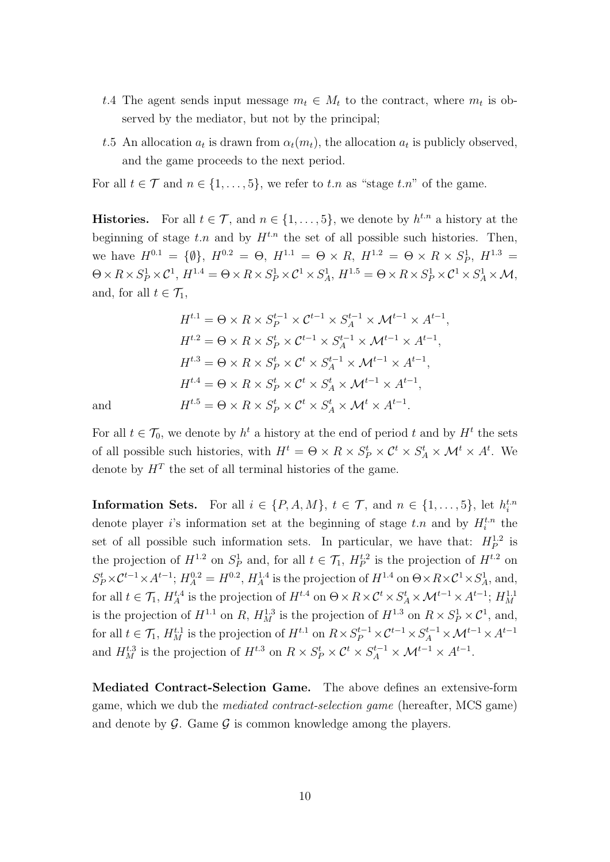- t.4 The agent sends input message  $m_t \in M_t$  to the contract, where  $m_t$  is observed by the mediator, but not by the principal;
- t.5 An allocation  $a_t$  is drawn from  $\alpha_t(m_t)$ , the allocation  $a_t$  is publicly observed, and the game proceeds to the next period.

For all  $t \in \mathcal{T}$  and  $n \in \{1, \ldots, 5\}$ , we refer to t.n as "stage t.n" of the game.

**Histories.** For all  $t \in \mathcal{T}$ , and  $n \in \{1, \ldots, 5\}$ , we denote by  $h^{t,n}$  a history at the beginning of stage  $t.n$  and by  $H^{t.n}$  the set of all possible such histories. Then, we have  $H^{0.1} = \{\emptyset\}, H^{0.2} = \Theta, H^{1.1} = \Theta \times R, H^{1.2} = \Theta \times R \times S_P^1, H^{1.3} =$  $\Theta \times R \times S_P^1 \times C^1$ ,  $H^{1.4} = \Theta \times R \times S_P^1 \times C^1 \times S_A^1$ ,  $H^{1.5} = \Theta \times R \times S_P^1 \times C^1 \times S_A^1 \times \mathcal{M}$ , and, for all  $t \in \mathcal{T}_1$ ,

$$
H^{t,1} = \Theta \times R \times S_P^{t-1} \times C^{t-1} \times S_A^{t-1} \times \mathcal{M}^{t-1} \times A^{t-1},
$$
  
\n
$$
H^{t,2} = \Theta \times R \times S_P^t \times C^{t-1} \times S_A^{t-1} \times \mathcal{M}^{t-1} \times A^{t-1},
$$
  
\n
$$
H^{t,3} = \Theta \times R \times S_P^t \times C^t \times S_A^{t-1} \times \mathcal{M}^{t-1} \times A^{t-1},
$$
  
\n
$$
H^{t,4} = \Theta \times R \times S_P^t \times C^t \times S_A^t \times \mathcal{M}^{t-1} \times A^{t-1},
$$
  
\n
$$
H^{t,5} = \Theta \times R \times S_P^t \times C^t \times S_A^t \times \mathcal{M}^t \times A^{t-1}.
$$

and

For all  $t \in \mathcal{T}_0$ , we denote by  $h^t$  a history at the end of period t and by  $H^t$  the sets of all possible such histories, with  $H^t = \Theta \times R \times S_P^t \times C^t \times S_A^t \times \mathcal{M}^t \times A^t$ . We denote by  $H<sup>T</sup>$  the set of all terminal histories of the game.

**Information Sets.** For all  $i \in \{P, A, M\}$ ,  $t \in \mathcal{T}$ , and  $n \in \{1, ..., 5\}$ , let  $h_i^{t,n}$ denote player *i*'s information set at the beginning of stage  $t.n$  and by  $H_i^{t.n}$  the set of all possible such information sets. In particular, we have that:  $H_P^{1,2}$  is the projection of  $H^{1,2}$  on  $S_P^1$  and, for all  $t \in \mathcal{T}_1$ ,  $H_P^{t,2}$  is the projection of  $H^{t,2}$  on  $S_P^t \times C^{t-1} \times A^{t-1}$ ;  $H_A^{0.2} = H^{0.2}$ ,  $H_A^{1.4}$  is the projection of  $H^{1.4}$  on  $\Theta \times R \times C^1 \times S_A^1$ , and, for all  $t \in \mathcal{T}_1$ ,  $H_A^{t.4}$  is the projection of  $H^{t.4}$  on  $\Theta \times R \times C^t \times S_A^t \times \mathcal{M}^{t-1} \times A^{t-1}$ ;  $H_M^{1.1}$ is the projection of  $H^{1.1}$  on R,  $H^{1.3}_M$  is the projection of  $H^{1.3}$  on  $R \times S^1_P \times C^1$ , and, for all  $t \in \mathcal{T}_1$ ,  $H_M^{t,1}$  is the projection of  $H^{t,1}$  on  $R \times S_P^{t-1} \times \mathcal{C}^{t-1} \times S_A^{t-1} \times \mathcal{M}^{t-1} \times A^{t-1}$ and  $H_M^{t,3}$  is the projection of  $H^{t,3}$  on  $R \times S_P^t \times C^t \times S_A^{t-1} \times \mathcal{M}^{t-1} \times A^{t-1}$ .

Mediated Contract-Selection Game. The above defines an extensive-form game, which we dub the mediated contract-selection game (hereafter, MCS game) and denote by  $\mathcal G$ . Game  $\mathcal G$  is common knowledge among the players.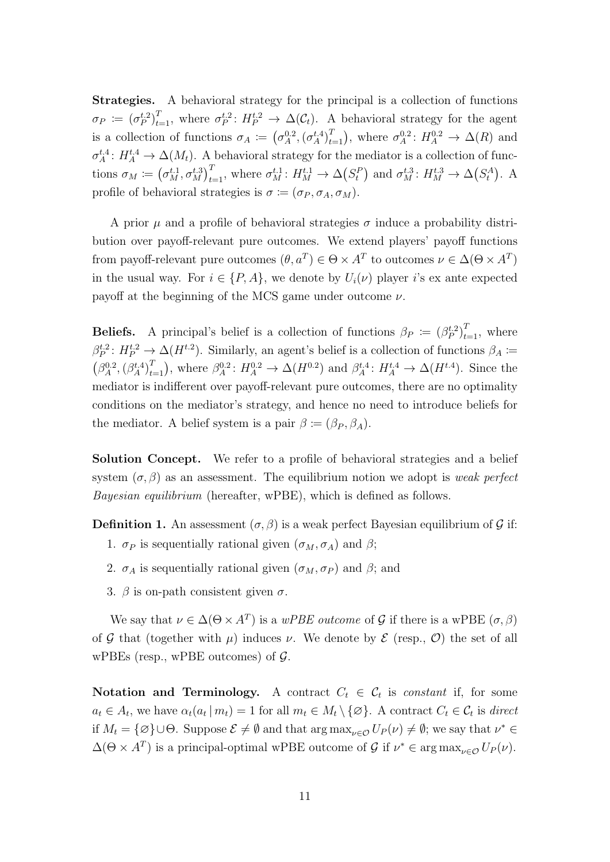Strategies. A behavioral strategy for the principal is a collection of functions  $\sigma_P \coloneqq (\sigma_P^{t,2})_{t=1}^T$ , where  $\sigma_P^{t,2} : H_P^{t,2} \to \Delta(\mathcal{C}_t)$ . A behavioral strategy for the agent is a collection of functions  $\sigma_A := (\sigma_A^{0.2}, (\sigma_A^{t.4})_{t=1}^T)$ , where  $\sigma_A^{0.2} : H_A^{0.2} \to \Delta(R)$  and  $\sigma_A^{t,4}: H_A^{t,4} \to \Delta(M_t)$ . A behavioral strategy for the mediator is a collection of functions  $\sigma_M := (\sigma_M^{t,1}, \sigma_M^{t,3})_{t=1}^T$ , where  $\sigma_M^{t,1} : H_M^{t,1} \to \Delta(S_t^P)$  and  $\sigma_M^{t,3} : H_M^{t,3} \to \Delta(S_t^A)$ . A profile of behavioral strategies is  $\sigma := (\sigma_P, \sigma_A, \sigma_M)$ .

A prior  $\mu$  and a profile of behavioral strategies  $\sigma$  induce a probability distribution over payoff-relevant pure outcomes. We extend players' payoff functions from payoff-relevant pure outcomes  $(\theta, a^T) \in \Theta \times A^T$  to outcomes  $\nu \in \Delta(\Theta \times A^T)$ in the usual way. For  $i \in \{P, A\}$ , we denote by  $U_i(\nu)$  player i's ex ante expected payoff at the beginning of the MCS game under outcome  $\nu$ .

**Beliefs.** A principal's belief is a collection of functions  $\beta_P := (\beta_P^{t,2})_{t=1}^T$ , where  $\beta_P^{t,2}: H_P^{t,2} \to \Delta(H^{t,2})$ . Similarly, an agent's belief is a collection of functions  $\beta_A \coloneqq$  $(\beta_A^{0.2}, (\beta_A^{t.4})_{t=1}^T)$ , where  $\beta_A^{0.2}$ :  $H_A^{0.2} \to \Delta(H^{0.2})$  and  $\beta_A^{t.4}$ :  $H_A^{t.4} \to \Delta(H^{t.4})$ . Since the mediator is indifferent over payoff-relevant pure outcomes, there are no optimality conditions on the mediator's strategy, and hence no need to introduce beliefs for the mediator. A belief system is a pair  $\beta \coloneqq (\beta_P, \beta_A)$ .

Solution Concept. We refer to a profile of behavioral strategies and a belief system  $(\sigma, \beta)$  as an assessment. The equilibrium notion we adopt is *weak perfect* Bayesian equilibrium (hereafter, wPBE), which is defined as follows.

**Definition 1.** An assessment  $(\sigma, \beta)$  is a weak perfect Bayesian equilibrium of G if:

- 1.  $\sigma_P$  is sequentially rational given  $(\sigma_M, \sigma_A)$  and  $\beta$ ;
- 2.  $\sigma_A$  is sequentially rational given  $(\sigma_M, \sigma_P)$  and  $\beta$ ; and
- 3.  $\beta$  is on-path consistent given  $\sigma$ .

We say that  $\nu \in \Delta(\Theta \times A^T)$  is a wPBE outcome of G if there is a wPBE  $(\sigma, \beta)$ of G that (together with  $\mu$ ) induces  $\nu$ . We denote by E (resp., O) the set of all wPBEs (resp., wPBE outcomes) of  $\mathcal{G}$ .

Notation and Terminology. A contract  $C_t \in \mathcal{C}_t$  is constant if, for some  $a_t \in A_t$ , we have  $\alpha_t(a_t | m_t) = 1$  for all  $m_t \in M_t \setminus \{\varnothing\}$ . A contract  $C_t \in \mathcal{C}_t$  is direct if  $M_t = \{\varnothing\} \cup \Theta$ . Suppose  $\mathcal{E} \neq \emptyset$  and that  $\arg \max_{\nu \in \mathcal{O}} U_P(\nu) \neq \emptyset$ ; we say that  $\nu^* \in$  $\Delta(\Theta \times A^T)$  is a principal-optimal wPBE outcome of G if  $\nu^* \in \arg \max_{\nu \in \mathcal{O}} U_P(\nu)$ .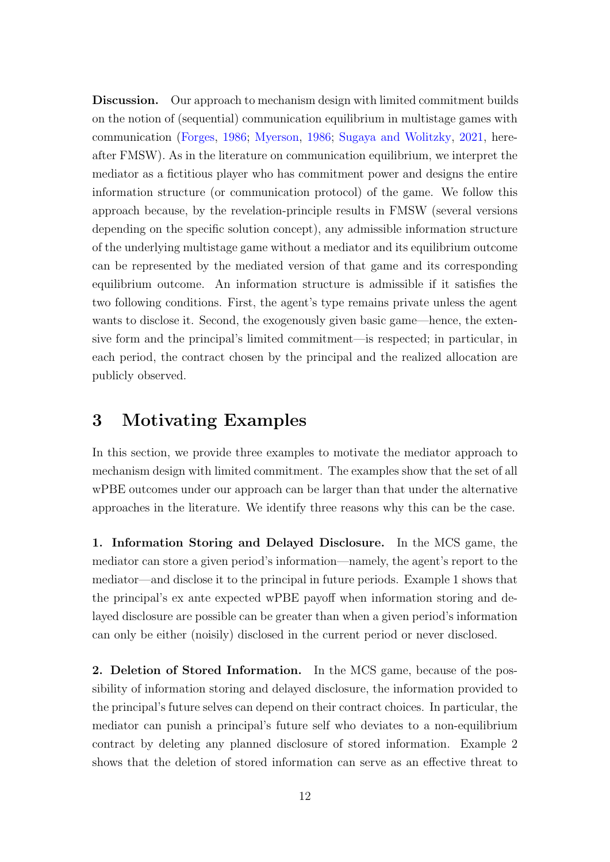Discussion. Our approach to mechanism design with limited commitment builds on the notion of (sequential) communication equilibrium in multistage games with communication [\(Forges,](#page-56-2) [1986;](#page-56-2) [Myerson,](#page-57-2) [1986;](#page-57-2) [Sugaya and Wolitzky,](#page-57-3) [2021,](#page-57-3) hereafter FMSW). As in the literature on communication equilibrium, we interpret the mediator as a fictitious player who has commitment power and designs the entire information structure (or communication protocol) of the game. We follow this approach because, by the revelation-principle results in FMSW (several versions depending on the specific solution concept), any admissible information structure of the underlying multistage game without a mediator and its equilibrium outcome can be represented by the mediated version of that game and its corresponding equilibrium outcome. An information structure is admissible if it satisfies the two following conditions. First, the agent's type remains private unless the agent wants to disclose it. Second, the exogenously given basic game—hence, the extensive form and the principal's limited commitment—is respected; in particular, in each period, the contract chosen by the principal and the realized allocation are publicly observed.

# <span id="page-11-0"></span>3 Motivating Examples

In this section, we provide three examples to motivate the mediator approach to mechanism design with limited commitment. The examples show that the set of all wPBE outcomes under our approach can be larger than that under the alternative approaches in the literature. We identify three reasons why this can be the case.

1. Information Storing and Delayed Disclosure. In the MCS game, the mediator can store a given period's information—namely, the agent's report to the mediator—and disclose it to the principal in future periods. Example 1 shows that the principal's ex ante expected wPBE payoff when information storing and delayed disclosure are possible can be greater than when a given period's information can only be either (noisily) disclosed in the current period or never disclosed.

2. Deletion of Stored Information. In the MCS game, because of the possibility of information storing and delayed disclosure, the information provided to the principal's future selves can depend on their contract choices. In particular, the mediator can punish a principal's future self who deviates to a non-equilibrium contract by deleting any planned disclosure of stored information. Example 2 shows that the deletion of stored information can serve as an effective threat to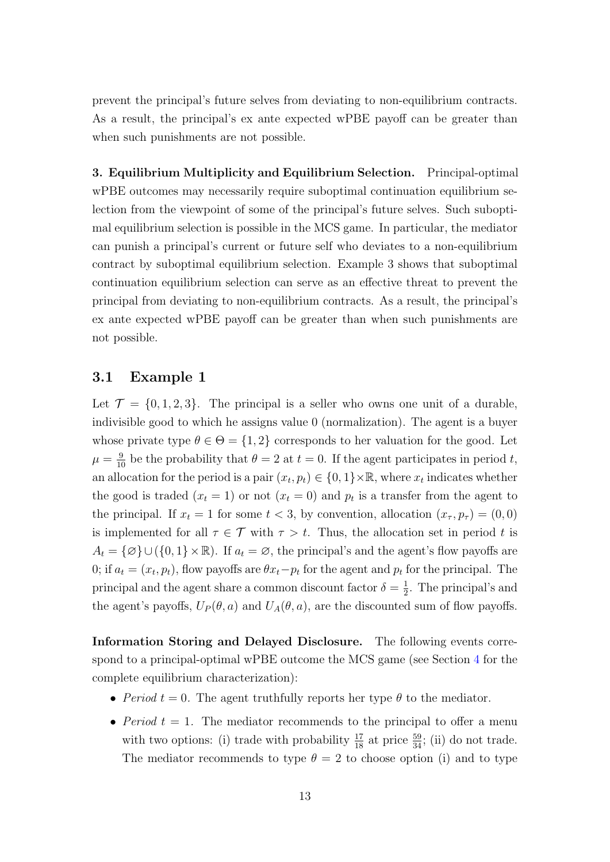prevent the principal's future selves from deviating to non-equilibrium contracts. As a result, the principal's ex ante expected wPBE payoff can be greater than when such punishments are not possible.

3. Equilibrium Multiplicity and Equilibrium Selection. Principal-optimal wPBE outcomes may necessarily require suboptimal continuation equilibrium selection from the viewpoint of some of the principal's future selves. Such suboptimal equilibrium selection is possible in the MCS game. In particular, the mediator can punish a principal's current or future self who deviates to a non-equilibrium contract by suboptimal equilibrium selection. Example 3 shows that suboptimal continuation equilibrium selection can serve as an effective threat to prevent the principal from deviating to non-equilibrium contracts. As a result, the principal's ex ante expected wPBE payoff can be greater than when such punishments are not possible.

### <span id="page-12-0"></span>3.1 Example 1

Let  $\mathcal{T} = \{0, 1, 2, 3\}$ . The principal is a seller who owns one unit of a durable, indivisible good to which he assigns value 0 (normalization). The agent is a buyer whose private type  $\theta \in \Theta = \{1, 2\}$  corresponds to her valuation for the good. Let  $\mu = \frac{9}{10}$  be the probability that  $\theta = 2$  at  $t = 0$ . If the agent participates in period t, an allocation for the period is a pair  $(x_t, p_t) \in \{0, 1\} \times \mathbb{R}$ , where  $x_t$  indicates whether the good is traded  $(x_t = 1)$  or not  $(x_t = 0)$  and  $p_t$  is a transfer from the agent to the principal. If  $x_t = 1$  for some  $t < 3$ , by convention, allocation  $(x_\tau, p_\tau) = (0, 0)$ is implemented for all  $\tau \in \mathcal{T}$  with  $\tau > t$ . Thus, the allocation set in period t is  $A_t = \{\emptyset\} \cup (\{0,1\} \times \mathbb{R})$ . If  $a_t = \emptyset$ , the principal's and the agent's flow payoffs are 0; if  $a_t = (x_t, p_t)$ , flow payoffs are  $\theta x_t - p_t$  for the agent and  $p_t$  for the principal. The principal and the agent share a common discount factor  $\delta = \frac{1}{2}$  $\frac{1}{2}$ . The principal's and the agent's payoffs,  $U_P(\theta, a)$  and  $U_A(\theta, a)$ , are the discounted sum of flow payoffs.

Information Storing and Delayed Disclosure. The following events correspond to a principal-optimal wPBE outcome the MCS game (see Section [4](#page-19-0) for the complete equilibrium characterization):

- Period  $t = 0$ . The agent truthfully reports her type  $\theta$  to the mediator.
- Period  $t = 1$ . The mediator recommends to the principal to offer a menu with two options: (i) trade with probability  $\frac{17}{18}$  at price  $\frac{59}{34}$ ; (ii) do not trade. The mediator recommends to type  $\theta = 2$  to choose option (i) and to type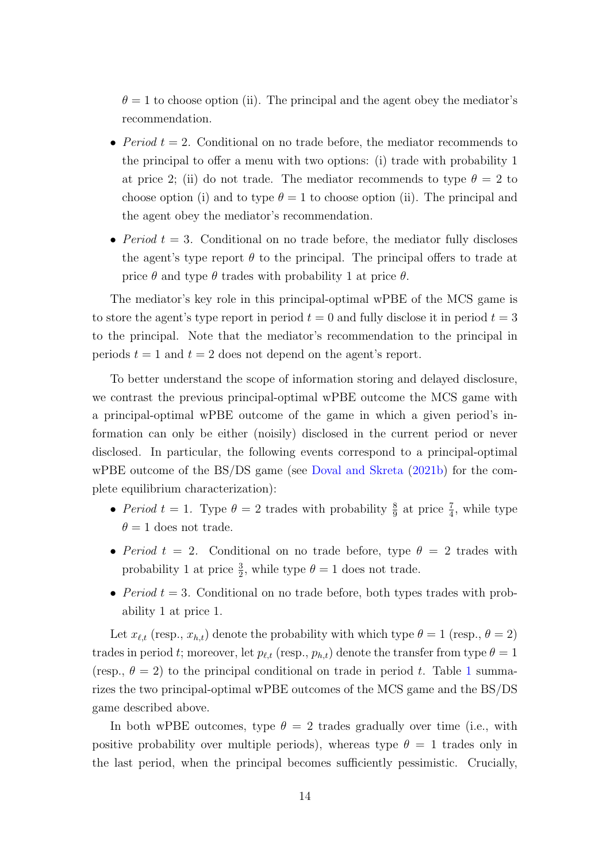$\theta = 1$  to choose option (ii). The principal and the agent obey the mediator's recommendation.

- Period  $t = 2$ . Conditional on no trade before, the mediator recommends to the principal to offer a menu with two options: (i) trade with probability 1 at price 2; (ii) do not trade. The mediator recommends to type  $\theta = 2$  to choose option (i) and to type  $\theta = 1$  to choose option (ii). The principal and the agent obey the mediator's recommendation.
- Period  $t = 3$ . Conditional on no trade before, the mediator fully discloses the agent's type report  $\theta$  to the principal. The principal offers to trade at price  $\theta$  and type  $\theta$  trades with probability 1 at price  $\theta$ .

The mediator's key role in this principal-optimal wPBE of the MCS game is to store the agent's type report in period  $t = 0$  and fully disclose it in period  $t = 3$ to the principal. Note that the mediator's recommendation to the principal in periods  $t = 1$  and  $t = 2$  does not depend on the agent's report.

To better understand the scope of information storing and delayed disclosure, we contrast the previous principal-optimal wPBE outcome the MCS game with a principal-optimal wPBE outcome of the game in which a given period's information can only be either (noisily) disclosed in the current period or never disclosed. In particular, the following events correspond to a principal-optimal wPBE outcome of the BS/DS game (see [Doval and Skreta](#page-55-3) [\(2021b\)](#page-55-3) for the complete equilibrium characterization):

- Period  $t = 1$ . Type  $\theta = 2$  trades with probability  $\frac{8}{9}$  at price  $\frac{7}{4}$ , while type  $\theta = 1$  does not trade.
- Period  $t = 2$ . Conditional on no trade before, type  $\theta = 2$  trades with probability 1 at price  $\frac{3}{2}$ , while type  $\theta = 1$  does not trade.
- Period  $t = 3$ . Conditional on no trade before, both types trades with probability 1 at price 1.

Let  $x_{\ell,t}$  (resp.,  $x_{h,t}$ ) denote the probability with which type  $\theta = 1$  (resp.,  $\theta = 2$ ) trades in period t; moreover, let  $p_{\ell,t}$  (resp.,  $p_{h,t}$ ) denote the transfer from type  $\theta = 1$ (resp.,  $\theta = 2$ ) to the principal conditional on trade in period t. Table [1](#page-14-0) summarizes the two principal-optimal wPBE outcomes of the MCS game and the BS/DS game described above.

In both wPBE outcomes, type  $\theta = 2$  trades gradually over time (i.e., with positive probability over multiple periods), whereas type  $\theta = 1$  trades only in the last period, when the principal becomes sufficiently pessimistic. Crucially,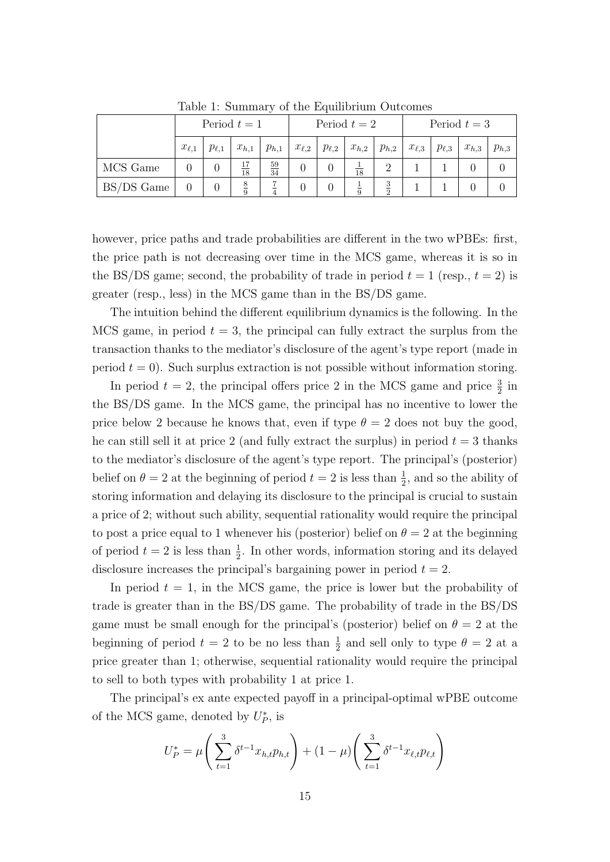|            | Period $t=1$ |              |           |                 | Period $t=2$ |              |           |           | Period $t=3$ |              |           |           |
|------------|--------------|--------------|-----------|-----------------|--------------|--------------|-----------|-----------|--------------|--------------|-----------|-----------|
|            | $x_{\ell,1}$ | $p_{\ell,1}$ | $x_{h,1}$ | $p_{h,1}$       | $x_{\ell,2}$ | $p_{\ell,2}$ | $x_{h,2}$ | $p_{h,2}$ | $x_{\ell,3}$ | $p_{\ell,3}$ | $x_{h,3}$ | $p_{h,3}$ |
| MCS Game   |              |              | 18        | $\frac{59}{34}$ |              |              | 18        |           |              |              |           |           |
| BS/DS Game |              |              | 8<br>ā    |                 |              |              |           | 3         |              |              |           |           |

<span id="page-14-0"></span>Table 1: Summary of the Equilibrium Outcomes

however, price paths and trade probabilities are different in the two wPBEs: first, the price path is not decreasing over time in the MCS game, whereas it is so in the BS/DS game; second, the probability of trade in period  $t = 1$  (resp.,  $t = 2$ ) is greater (resp., less) in the MCS game than in the BS/DS game.

The intuition behind the different equilibrium dynamics is the following. In the MCS game, in period  $t = 3$ , the principal can fully extract the surplus from the transaction thanks to the mediator's disclosure of the agent's type report (made in period  $t = 0$ ). Such surplus extraction is not possible without information storing.

In period  $t = 2$ , the principal offers price 2 in the MCS game and price  $\frac{3}{2}$  in the BS/DS game. In the MCS game, the principal has no incentive to lower the price below 2 because he knows that, even if type  $\theta = 2$  does not buy the good, he can still sell it at price 2 (and fully extract the surplus) in period  $t = 3$  thanks to the mediator's disclosure of the agent's type report. The principal's (posterior) belief on  $\theta = 2$  at the beginning of period  $t = 2$  is less than  $\frac{1}{2}$ , and so the ability of storing information and delaying its disclosure to the principal is crucial to sustain a price of 2; without such ability, sequential rationality would require the principal to post a price equal to 1 whenever his (posterior) belief on  $\theta = 2$  at the beginning of period  $t = 2$  is less than  $\frac{1}{2}$ . In other words, information storing and its delayed disclosure increases the principal's bargaining power in period  $t = 2$ .

In period  $t = 1$ , in the MCS game, the price is lower but the probability of trade is greater than in the BS/DS game. The probability of trade in the BS/DS game must be small enough for the principal's (posterior) belief on  $\theta = 2$  at the beginning of period  $t = 2$  to be no less than  $\frac{1}{2}$  and sell only to type  $\theta = 2$  at a price greater than 1; otherwise, sequential rationality would require the principal to sell to both types with probability 1 at price 1.

The principal's ex ante expected payoff in a principal-optimal wPBE outcome of the MCS game, denoted by  $U_P^*$ , is

$$
U_P^* = \mu \left( \sum_{t=1}^3 \delta^{t-1} x_{h,t} p_{h,t} \right) + (1 - \mu) \left( \sum_{t=1}^3 \delta^{t-1} x_{\ell,t} p_{\ell,t} \right)
$$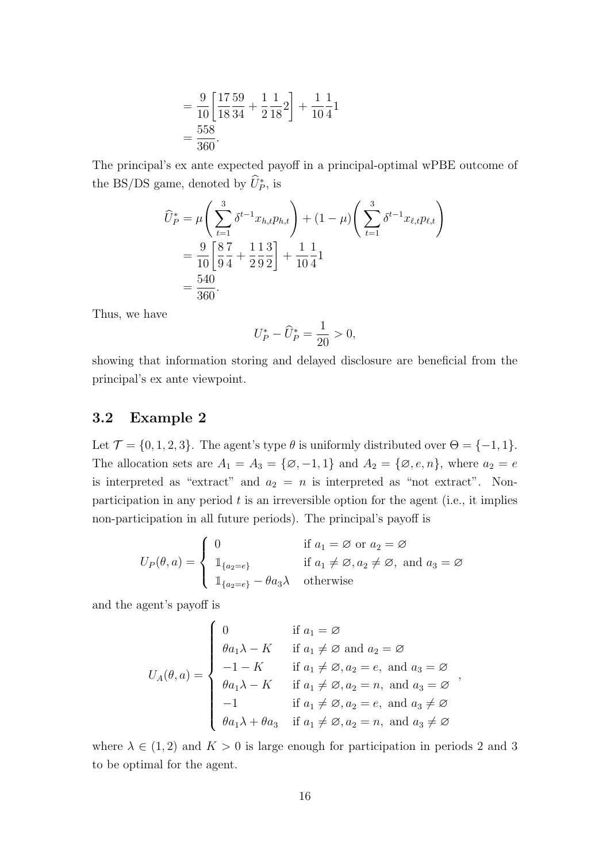$$
= \frac{9}{10} \left[ \frac{17}{18} \frac{59}{34} + \frac{1}{2} \frac{1}{18} \right] + \frac{1}{10} \frac{1}{4} \left[ \frac{55}{36} \right] = \frac{558}{360}.
$$

The principal's ex ante expected payoff in a principal-optimal wPBE outcome of the BS/DS game, denoted by  $\hat{U}_P^*$ , is

$$
\widehat{U}_{P}^{*} = \mu \left( \sum_{t=1}^{3} \delta^{t-1} x_{h,t} p_{h,t} \right) + (1 - \mu) \left( \sum_{t=1}^{3} \delta^{t-1} x_{\ell,t} p_{\ell,t} \right)
$$
  
=  $\frac{9}{10} \left[ \frac{8}{9} \frac{7}{4} + \frac{1}{2} \frac{1}{9} \frac{3}{2} \right] + \frac{1}{10} \frac{1}{4} 1$   
=  $\frac{540}{360}$ .

Thus, we have

$$
U_P^*-\widehat{U}_P^*=\frac{1}{20}>0,
$$

showing that information storing and delayed disclosure are beneficial from the principal's ex ante viewpoint.

### 3.2 Example 2

Let  $\mathcal{T} = \{0, 1, 2, 3\}$ . The agent's type  $\theta$  is uniformly distributed over  $\Theta = \{-1, 1\}$ . The allocation sets are  $A_1 = A_3 = \{ \emptyset, -1, 1 \}$  and  $A_2 = \{ \emptyset, e, n \}$ , where  $a_2 = e$ is interpreted as "extract" and  $a_2 = n$  is interpreted as "not extract". Nonparticipation in any period  $t$  is an irreversible option for the agent (i.e., it implies non-participation in all future periods). The principal's payoff is

$$
U_P(\theta, a) = \begin{cases} 0 & \text{if } a_1 = \emptyset \text{ or } a_2 = \emptyset \\ \mathbb{1}_{\{a_2 = e\}} & \text{if } a_1 \neq \emptyset, a_2 \neq \emptyset, \text{ and } a_3 = \emptyset \\ \mathbb{1}_{\{a_2 = e\}} - \theta a_3 \lambda & \text{otherwise} \end{cases}
$$

and the agent's payoff is

$$
U_A(\theta, a) = \begin{cases} 0 & \text{if } a_1 = \varnothing \\ \theta a_1 \lambda - K & \text{if } a_1 \neq \varnothing \text{ and } a_2 = \varnothing \\ -1 - K & \text{if } a_1 \neq \varnothing, a_2 = e, \text{ and } a_3 = \varnothing \\ \theta a_1 \lambda - K & \text{if } a_1 \neq \varnothing, a_2 = n, \text{ and } a_3 = \varnothing \\ -1 & \text{if } a_1 \neq \varnothing, a_2 = e, \text{ and } a_3 \neq \varnothing \\ \theta a_1 \lambda + \theta a_3 & \text{if } a_1 \neq \varnothing, a_2 = n, \text{ and } a_3 \neq \varnothing \end{cases}
$$

where  $\lambda \in (1, 2)$  and  $K > 0$  is large enough for participation in periods 2 and 3 to be optimal for the agent.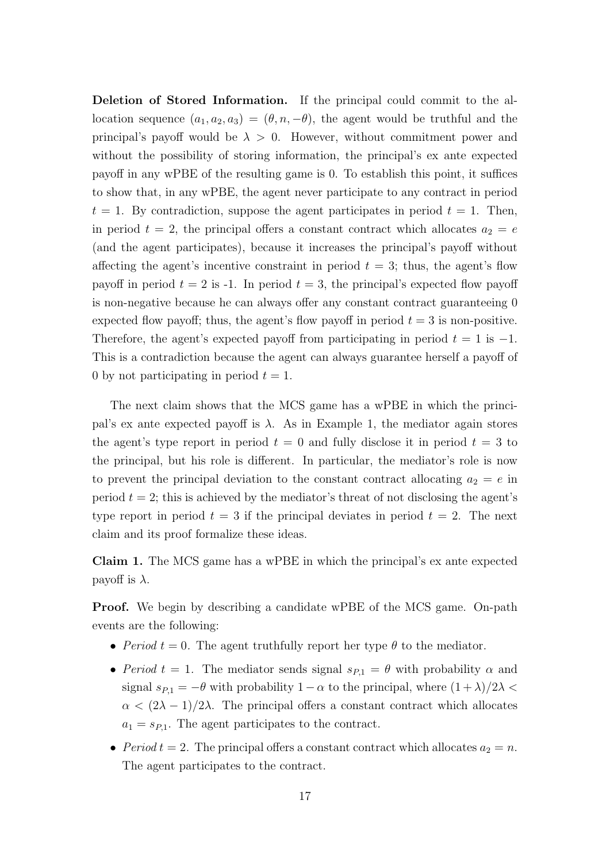Deletion of Stored Information. If the principal could commit to the allocation sequence  $(a_1, a_2, a_3) = (\theta, n, -\theta)$ , the agent would be truthful and the principal's payoff would be  $\lambda > 0$ . However, without commitment power and without the possibility of storing information, the principal's ex ante expected payoff in any wPBE of the resulting game is 0. To establish this point, it suffices to show that, in any wPBE, the agent never participate to any contract in period  $t = 1$ . By contradiction, suppose the agent participates in period  $t = 1$ . Then, in period  $t = 2$ , the principal offers a constant contract which allocates  $a_2 = e$ (and the agent participates), because it increases the principal's payoff without affecting the agent's incentive constraint in period  $t = 3$ ; thus, the agent's flow payoff in period  $t = 2$  is -1. In period  $t = 3$ , the principal's expected flow payoff is non-negative because he can always offer any constant contract guaranteeing 0 expected flow payoff; thus, the agent's flow payoff in period  $t = 3$  is non-positive. Therefore, the agent's expected payoff from participating in period  $t = 1$  is  $-1$ . This is a contradiction because the agent can always guarantee herself a payoff of 0 by not participating in period  $t = 1$ .

The next claim shows that the MCS game has a wPBE in which the principal's ex ante expected payoff is  $\lambda$ . As in Example 1, the mediator again stores the agent's type report in period  $t = 0$  and fully disclose it in period  $t = 3$  to the principal, but his role is different. In particular, the mediator's role is now to prevent the principal deviation to the constant contract allocating  $a_2 = e$  in period  $t = 2$ ; this is achieved by the mediator's threat of not disclosing the agent's type report in period  $t = 3$  if the principal deviates in period  $t = 2$ . The next claim and its proof formalize these ideas.

Claim 1. The MCS game has a wPBE in which the principal's ex ante expected payoff is  $\lambda$ .

Proof. We begin by describing a candidate wPBE of the MCS game. On-path events are the following:

- Period  $t = 0$ . The agent truthfully report her type  $\theta$  to the mediator.
- Period  $t = 1$ . The mediator sends signal  $s_{P,1} = \theta$  with probability  $\alpha$  and signal  $s_{P,1} = -\theta$  with probability  $1 - \alpha$  to the principal, where  $(1 + \lambda)/2\lambda$  $\alpha < (2\lambda - 1)/2\lambda$ . The principal offers a constant contract which allocates  $a_1 = s_{P,1}$ . The agent participates to the contract.
- Period  $t = 2$ . The principal offers a constant contract which allocates  $a_2 = n$ . The agent participates to the contract.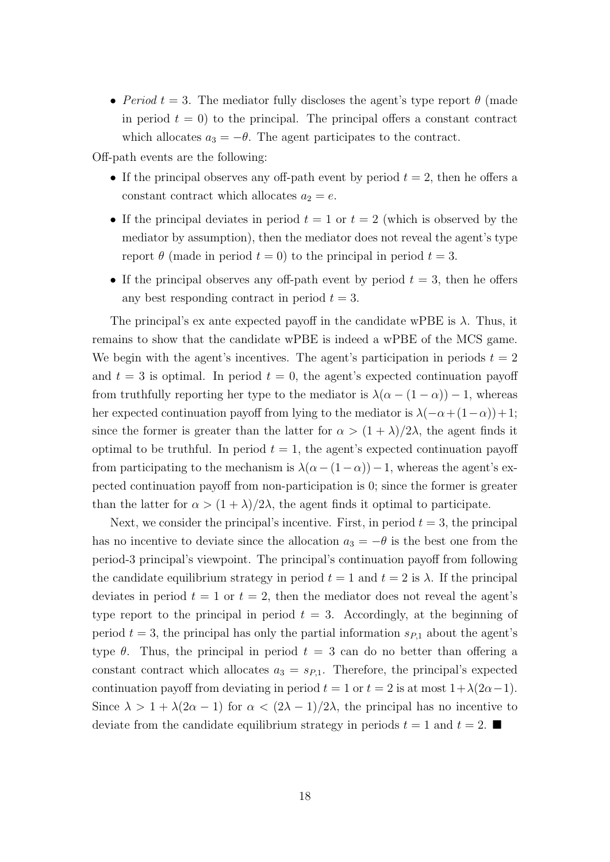• Period  $t = 3$ . The mediator fully discloses the agent's type report  $\theta$  (made in period  $t = 0$ ) to the principal. The principal offers a constant contract which allocates  $a_3 = -\theta$ . The agent participates to the contract.

Off-path events are the following:

- If the principal observes any off-path event by period  $t = 2$ , then he offers a constant contract which allocates  $a_2 = e$ .
- If the principal deviates in period  $t = 1$  or  $t = 2$  (which is observed by the mediator by assumption), then the mediator does not reveal the agent's type report  $\theta$  (made in period  $t = 0$ ) to the principal in period  $t = 3$ .
- If the principal observes any off-path event by period  $t = 3$ , then he offers any best responding contract in period  $t = 3$ .

The principal's ex ante expected payoff in the candidate wPBE is  $\lambda$ . Thus, it remains to show that the candidate wPBE is indeed a wPBE of the MCS game. We begin with the agent's incentives. The agent's participation in periods  $t = 2$ and  $t = 3$  is optimal. In period  $t = 0$ , the agent's expected continuation payoff from truthfully reporting her type to the mediator is  $\lambda(\alpha - (1 - \alpha)) - 1$ , whereas her expected continuation payoff from lying to the mediator is  $\lambda(-\alpha + (1-\alpha)) + 1$ ; since the former is greater than the latter for  $\alpha > (1 + \lambda)/2\lambda$ , the agent finds it optimal to be truthful. In period  $t = 1$ , the agent's expected continuation payoff from participating to the mechanism is  $\lambda(\alpha-(1-\alpha))-1$ , whereas the agent's expected continuation payoff from non-participation is 0; since the former is greater than the latter for  $\alpha > (1 + \lambda)/2\lambda$ , the agent finds it optimal to participate.

Next, we consider the principal's incentive. First, in period  $t = 3$ , the principal has no incentive to deviate since the allocation  $a_3 = -\theta$  is the best one from the period-3 principal's viewpoint. The principal's continuation payoff from following the candidate equilibrium strategy in period  $t = 1$  and  $t = 2$  is  $\lambda$ . If the principal deviates in period  $t = 1$  or  $t = 2$ , then the mediator does not reveal the agent's type report to the principal in period  $t = 3$ . Accordingly, at the beginning of period  $t = 3$ , the principal has only the partial information  $s_{P,1}$  about the agent's type  $\theta$ . Thus, the principal in period  $t = 3$  can do no better than offering a constant contract which allocates  $a_3 = s_{P,1}$ . Therefore, the principal's expected continuation payoff from deviating in period  $t = 1$  or  $t = 2$  is at most  $1 + \lambda(2\alpha - 1)$ . Since  $\lambda > 1 + \lambda(2\alpha - 1)$  for  $\alpha < (2\lambda - 1)/2\lambda$ , the principal has no incentive to deviate from the candidate equilibrium strategy in periods  $t = 1$  and  $t = 2$ .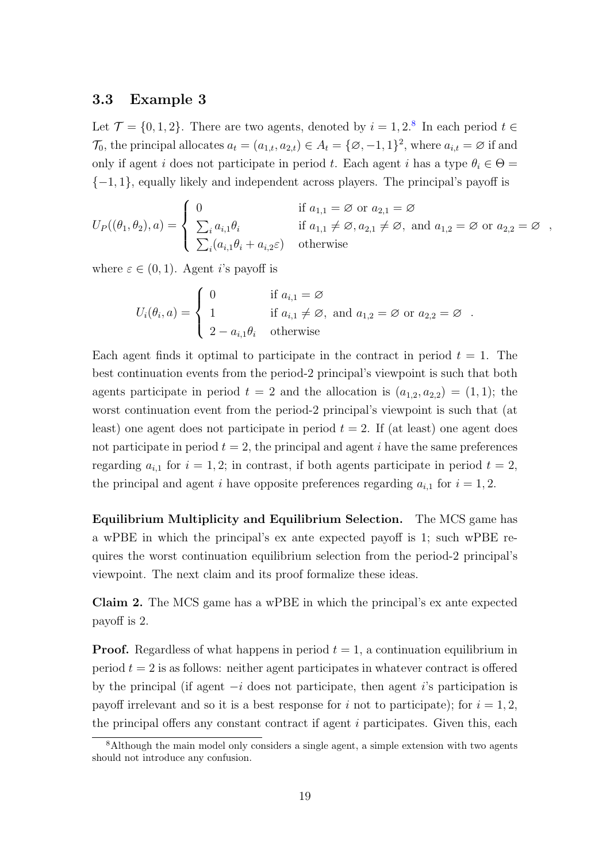#### 3.3 Example 3

Let  $\mathcal{T} = \{0, 1, 2\}$ . There are two agents, denoted by  $i = 1, 2$ .<sup>[8](#page-18-0)</sup> In each period  $t \in$  $\mathcal{T}_0$ , the principal allocates  $a_t = (a_{1,t}, a_{2,t}) \in A_t = \{\emptyset, -1, 1\}^2$ , where  $a_{i,t} = \emptyset$  if and only if agent i does not participate in period t. Each agent i has a type  $\theta_i \in \Theta =$  ${-1, 1}$ , equally likely and independent across players. The principal's payoff is

$$
U_P((\theta_1, \theta_2), a) = \begin{cases} 0 & \text{if } a_{1,1} = \emptyset \text{ or } a_{2,1} = \emptyset \\ \sum_i a_{i,1} \theta_i & \text{if } a_{1,1} \neq \emptyset, a_{2,1} \neq \emptyset, \text{ and } a_{1,2} = \emptyset \text{ or } a_{2,2} = \emptyset \\ \sum_i (a_{i,1} \theta_i + a_{i,2} \varepsilon) & \text{otherwise} \end{cases}
$$

where  $\varepsilon \in (0,1)$ . Agent *i*'s payoff is

$$
U_i(\theta_i, a) = \begin{cases} 0 & \text{if } a_{i,1} = \varnothing \\ 1 & \text{if } a_{i,1} \neq \varnothing, \text{ and } a_{1,2} = \varnothing \text{ or } a_{2,2} = \varnothing \\ 2 - a_{i,1}\theta_i & \text{otherwise} \end{cases}
$$

Each agent finds it optimal to participate in the contract in period  $t = 1$ . The best continuation events from the period-2 principal's viewpoint is such that both agents participate in period  $t = 2$  and the allocation is  $(a_{1,2}, a_{2,2}) = (1, 1)$ ; the worst continuation event from the period-2 principal's viewpoint is such that (at least) one agent does not participate in period  $t = 2$ . If (at least) one agent does not participate in period  $t = 2$ , the principal and agent i have the same preferences regarding  $a_{i,1}$  for  $i = 1, 2$ ; in contrast, if both agents participate in period  $t = 2$ , the principal and agent i have opposite preferences regarding  $a_{i,1}$  for  $i = 1, 2$ .

Equilibrium Multiplicity and Equilibrium Selection. The MCS game has a wPBE in which the principal's ex ante expected payoff is 1; such wPBE requires the worst continuation equilibrium selection from the period-2 principal's viewpoint. The next claim and its proof formalize these ideas.

<span id="page-18-1"></span>Claim 2. The MCS game has a wPBE in which the principal's ex ante expected payoff is 2.

**Proof.** Regardless of what happens in period  $t = 1$ , a continuation equilibrium in period  $t = 2$  is as follows: neither agent participates in whatever contract is offered by the principal (if agent  $-i$  does not participate, then agent i's participation is payoff irrelevant and so it is a best response for i not to participate); for  $i = 1, 2$ , the principal offers any constant contract if agent  $i$  participates. Given this, each

<span id="page-18-0"></span><sup>8</sup>Although the main model only considers a single agent, a simple extension with two agents should not introduce any confusion.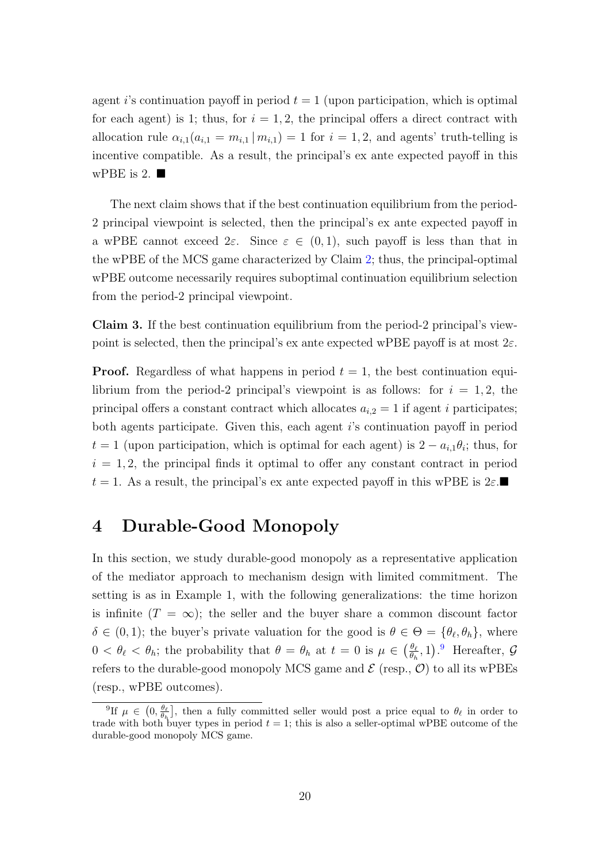agent i's continuation payoff in period  $t = 1$  (upon participation, which is optimal for each agent) is 1; thus, for  $i = 1, 2$ , the principal offers a direct contract with allocation rule  $\alpha_{i,1}(a_{i,1} = m_{i,1} | m_{i,1}) = 1$  for  $i = 1,2$ , and agents' truth-telling is incentive compatible. As a result, the principal's ex ante expected payoff in this wPBE is 2.  $\blacksquare$ 

The next claim shows that if the best continuation equilibrium from the period-2 principal viewpoint is selected, then the principal's ex ante expected payoff in a wPBE cannot exceed  $2\varepsilon$ . Since  $\varepsilon \in (0,1)$ , such payoff is less than that in the wPBE of the MCS game characterized by Claim [2;](#page-18-1) thus, the principal-optimal wPBE outcome necessarily requires suboptimal continuation equilibrium selection from the period-2 principal viewpoint.

Claim 3. If the best continuation equilibrium from the period-2 principal's viewpoint is selected, then the principal's ex ante expected wPBE payoff is at most  $2\varepsilon$ .

**Proof.** Regardless of what happens in period  $t = 1$ , the best continuation equilibrium from the period-2 principal's viewpoint is as follows: for  $i = 1, 2$ , the principal offers a constant contract which allocates  $a_{i,2} = 1$  if agent i participates; both agents participate. Given this, each agent i's continuation payoff in period  $t = 1$  (upon participation, which is optimal for each agent) is  $2 - a_{i,1}\theta_i$ ; thus, for  $i = 1, 2$ , the principal finds it optimal to offer any constant contract in period  $t = 1$ . As a result, the principal's ex ante expected payoff in this wPBE is  $2\varepsilon$ .

# <span id="page-19-0"></span>4 Durable-Good Monopoly

In this section, we study durable-good monopoly as a representative application of the mediator approach to mechanism design with limited commitment. The setting is as in Example 1, with the following generalizations: the time horizon is infinite  $(T = \infty)$ ; the seller and the buyer share a common discount factor  $\delta \in (0,1)$ ; the buyer's private valuation for the good is  $\theta \in \Theta = {\theta_{\ell}, \theta_h}$ , where  $0 < \theta_{\ell} < \theta_h$ ; the probability that  $\theta = \theta_h$  at  $t = 0$  is  $\mu \in \left(\frac{\theta_{\ell}}{\theta_h}\right)$  $\frac{\theta_{\ell}}{\theta_h}$ , 1). Hereafter, G refers to the durable-good monopoly MCS game and  $\mathcal E$  (resp.,  $\mathcal O$ ) to all its wPBEs (resp., wPBE outcomes).

<span id="page-19-1"></span><sup>&</sup>lt;sup>9</sup>If  $\mu \in (0, \frac{\theta_{\ell}}{\theta_h})$ , then a fully committed seller would post a price equal to  $\theta_{\ell}$  in order to trade with both buyer types in period  $t = 1$ ; this is also a seller-optimal wPBE outcome of the durable-good monopoly MCS game.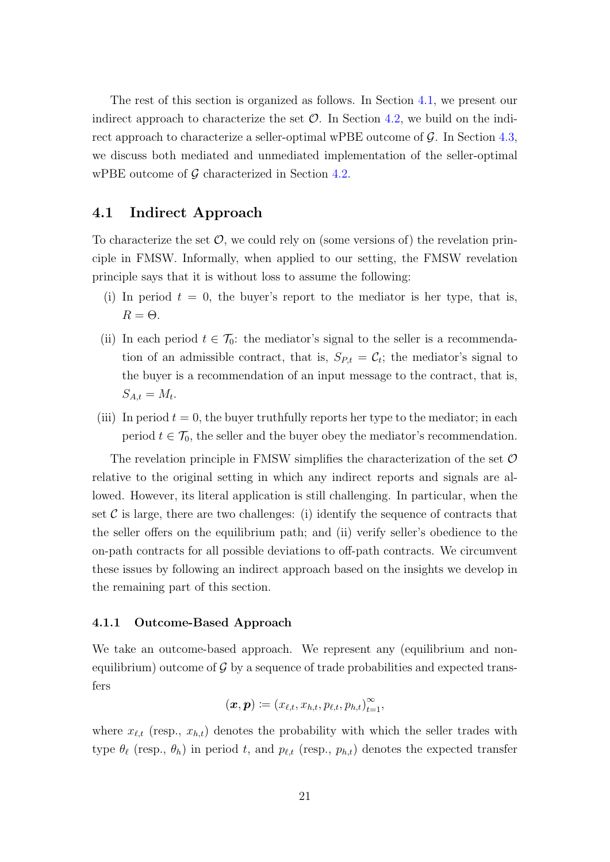The rest of this section is organized as follows. In Section [4.1,](#page-20-0) we present our indirect approach to characterize the set  $\mathcal{O}$ . In Section [4.2,](#page-24-0) we build on the indirect approach to characterize a seller-optimal wPBE outcome of  $\mathcal{G}$ . In Section [4.3,](#page-27-2) we discuss both mediated and unmediated implementation of the seller-optimal wPBE outcome of  $G$  characterized in Section [4.2.](#page-24-0)

#### <span id="page-20-0"></span>4.1 Indirect Approach

To characterize the set  $\mathcal{O}$ , we could rely on (some versions of) the revelation principle in FMSW. Informally, when applied to our setting, the FMSW revelation principle says that it is without loss to assume the following:

- (i) In period  $t = 0$ , the buyer's report to the mediator is her type, that is,  $R = \Theta$ .
- (ii) In each period  $t \in \mathcal{T}_0$ : the mediator's signal to the seller is a recommendation of an admissible contract, that is,  $S_{P,t} = C_t$ ; the mediator's signal to the buyer is a recommendation of an input message to the contract, that is,  $S_{A,t}=M_t.$
- (iii) In period  $t = 0$ , the buyer truthfully reports her type to the mediator; in each period  $t \in \mathcal{T}_0$ , the seller and the buyer obey the mediator's recommendation.

The revelation principle in FMSW simplifies the characterization of the set  $\mathcal O$ relative to the original setting in which any indirect reports and signals are allowed. However, its literal application is still challenging. In particular, when the set  $\mathcal C$  is large, there are two challenges: (i) identify the sequence of contracts that the seller offers on the equilibrium path; and (ii) verify seller's obedience to the on-path contracts for all possible deviations to off-path contracts. We circumvent these issues by following an indirect approach based on the insights we develop in the remaining part of this section.

#### 4.1.1 Outcome-Based Approach

We take an outcome-based approach. We represent any (equilibrium and nonequilibrium) outcome of  $\mathcal G$  by a sequence of trade probabilities and expected transfers

$$
(\boldsymbol{x},\boldsymbol{p})\coloneqq(x_{\ell,t},x_{h,t},p_{\ell,t},p_{h,t})_{t=1}^\infty,
$$

where  $x_{\ell,t}$  (resp.,  $x_{h,t}$ ) denotes the probability with which the seller trades with type  $\theta_\ell$  (resp.,  $\theta_h$ ) in period t, and  $p_{\ell,t}$  (resp.,  $p_{h,t}$ ) denotes the expected transfer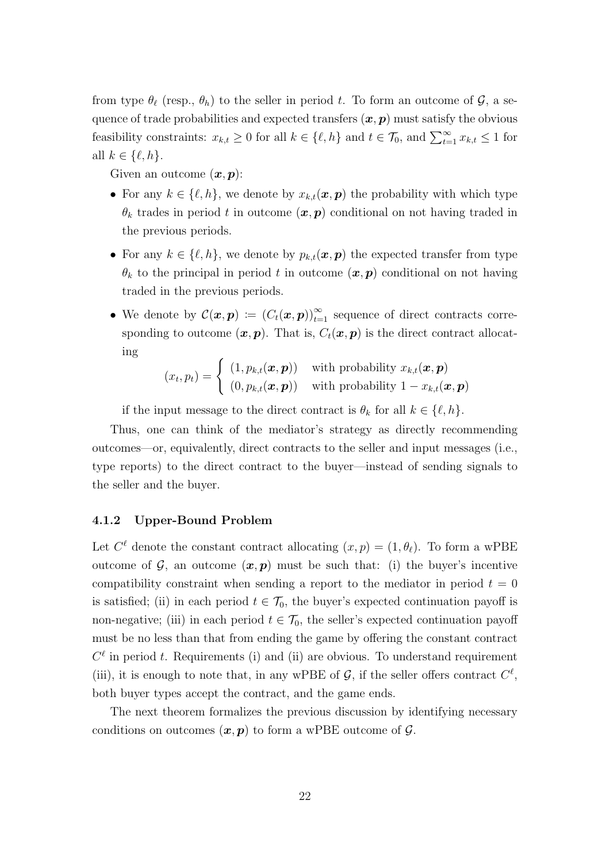from type  $\theta_{\ell}$  (resp.,  $\theta_h$ ) to the seller in period t. To form an outcome of  $\mathcal{G}$ , a sequence of trade probabilities and expected transfers  $(x, p)$  must satisfy the obvious feasibility constraints:  $x_{k,t} \geq 0$  for all  $k \in \{\ell, h\}$  and  $t \in \mathcal{T}_0$ , and  $\sum_{t=1}^{\infty} x_{k,t} \leq 1$  for all  $k \in \{\ell, h\}.$ 

Given an outcome  $(x, p)$ :

- For any  $k \in \{\ell, h\}$ , we denote by  $x_{k,t}(\boldsymbol{x}, \boldsymbol{p})$  the probability with which type  $\theta_k$  trades in period t in outcome  $(x, p)$  conditional on not having traded in the previous periods.
- For any  $k \in \{\ell, h\}$ , we denote by  $p_{k,t}(x, p)$  the expected transfer from type  $\theta_k$  to the principal in period t in outcome  $(x, p)$  conditional on not having traded in the previous periods.
- We denote by  $\mathcal{C}(\bm{x}, \bm{p}) := (C_t(\bm{x}, \bm{p}))_{t=1}^{\infty}$  sequence of direct contracts corresponding to outcome  $(x, p)$ . That is,  $C_t(x, p)$  is the direct contract allocating

$$
(x_t, p_t) = \begin{cases} (1, p_{k,t}(\boldsymbol{x}, \boldsymbol{p})) & \text{with probability } x_{k,t}(\boldsymbol{x}, \boldsymbol{p}) \\ (0, p_{k,t}(\boldsymbol{x}, \boldsymbol{p})) & \text{with probability } 1 - x_{k,t}(\boldsymbol{x}, \boldsymbol{p}) \end{cases}
$$

if the input message to the direct contract is  $\theta_k$  for all  $k \in \{\ell, h\}.$ 

Thus, one can think of the mediator's strategy as directly recommending outcomes—or, equivalently, direct contracts to the seller and input messages (i.e., type reports) to the direct contract to the buyer—instead of sending signals to the seller and the buyer.

#### 4.1.2 Upper-Bound Problem

Let  $C^{\ell}$  denote the constant contract allocating  $(x, p) = (1, \theta_{\ell})$ . To form a wPBE outcome of  $\mathcal{G}$ , an outcome  $(x, p)$  must be such that: (i) the buyer's incentive compatibility constraint when sending a report to the mediator in period  $t = 0$ is satisfied; (ii) in each period  $t \in \mathcal{T}_0$ , the buyer's expected continuation payoff is non-negative; (iii) in each period  $t \in \mathcal{T}_0$ , the seller's expected continuation payoff must be no less than that from ending the game by offering the constant contract  $C^{\ell}$  in period t. Requirements (i) and (ii) are obvious. To understand requirement (iii), it is enough to note that, in any wPBE of  $\mathcal{G}$ , if the seller offers contract  $C^{\ell}$ , both buyer types accept the contract, and the game ends.

The next theorem formalizes the previous discussion by identifying necessary conditions on outcomes  $(x, p)$  to form a wPBE outcome of  $\mathcal{G}$ .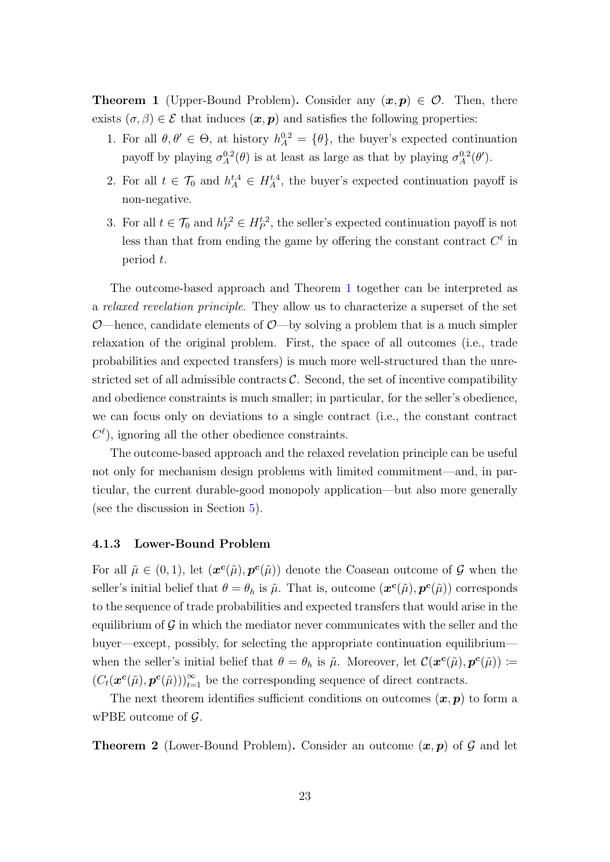<span id="page-22-0"></span>**Theorem 1** (Upper-Bound Problem). Consider any  $(x, p) \in \mathcal{O}$ . Then, there exists  $(\sigma, \beta) \in \mathcal{E}$  that induces  $(\mathbf{x}, \mathbf{p})$  and satisfies the following properties:

- 1. For all  $\theta, \theta' \in \Theta$ , at history  $h_A^{0,2} = {\theta}$ , the buyer's expected continuation payoff by playing  $\sigma_A^{0.2}(\theta)$  is at least as large as that by playing  $\sigma_A^{0.2}(\theta')$ .
- 2. For all  $t \in \mathcal{T}_0$  and  $h_A^{t,4} \in H_A^{t,4}$ , the buyer's expected continuation payoff is non-negative.
- 3. For all  $t \in \mathcal{T}_0$  and  $h_P^{t,2} \in H_P^{t,2}$ , the seller's expected continuation payoff is not less than that from ending the game by offering the constant contract  $C^{\ell}$  in period t.

The outcome-based approach and Theorem [1](#page-22-0) together can be interpreted as a relaxed revelation principle. They allow us to characterize a superset of the set O—hence, candidate elements of O—by solving a problem that is a much simpler relaxation of the original problem. First, the space of all outcomes (i.e., trade probabilities and expected transfers) is much more well-structured than the unrestricted set of all admissible contracts  $\mathcal{C}$ . Second, the set of incentive compatibility and obedience constraints is much smaller; in particular, for the seller's obedience, we can focus only on deviations to a single contract (i.e., the constant contract  $C^{\ell}$ ), ignoring all the other obedience constraints.

The outcome-based approach and the relaxed revelation principle can be useful not only for mechanism design problems with limited commitment—and, in particular, the current durable-good monopoly application—but also more generally (see the discussion in Section [5\)](#page-30-0).

#### 4.1.3 Lower-Bound Problem

For all  $\tilde{\mu} \in (0,1)$ , let  $(\mathbf{x}^c(\tilde{\mu}), \mathbf{p}^c(\tilde{\mu}))$  denote the Coasean outcome of G when the seller's initial belief that  $\theta = \theta_h$  is  $\tilde{\mu}$ . That is, outcome  $(\boldsymbol{x}^{\boldsymbol{c}}(\tilde{\mu}), \boldsymbol{p}^{\boldsymbol{c}}(\tilde{\mu}))$  corresponds to the sequence of trade probabilities and expected transfers that would arise in the equilibrium of  $\mathcal G$  in which the mediator never communicates with the seller and the buyer—except, possibly, for selecting the appropriate continuation equilibrium when the seller's initial belief that  $\theta = \theta_h$  is  $\tilde{\mu}$ . Moreover, let  $\mathcal{C}(\boldsymbol{x}^c(\tilde{\mu}), \boldsymbol{p}^c(\tilde{\mu})) \coloneqq$  $(C_t(\boldsymbol{x}^{\boldsymbol{c}}(\tilde{\mu}),\boldsymbol{p}^{\boldsymbol{c}}(\tilde{\mu})))_{t=1}^{\infty}$  be the corresponding sequence of direct contracts.

The next theorem identifies sufficient conditions on outcomes  $(x, p)$  to form a wPBE outcome of  $\mathcal{G}$ .

<span id="page-22-1"></span>**Theorem 2** (Lower-Bound Problem). Consider an outcome  $(x, p)$  of G and let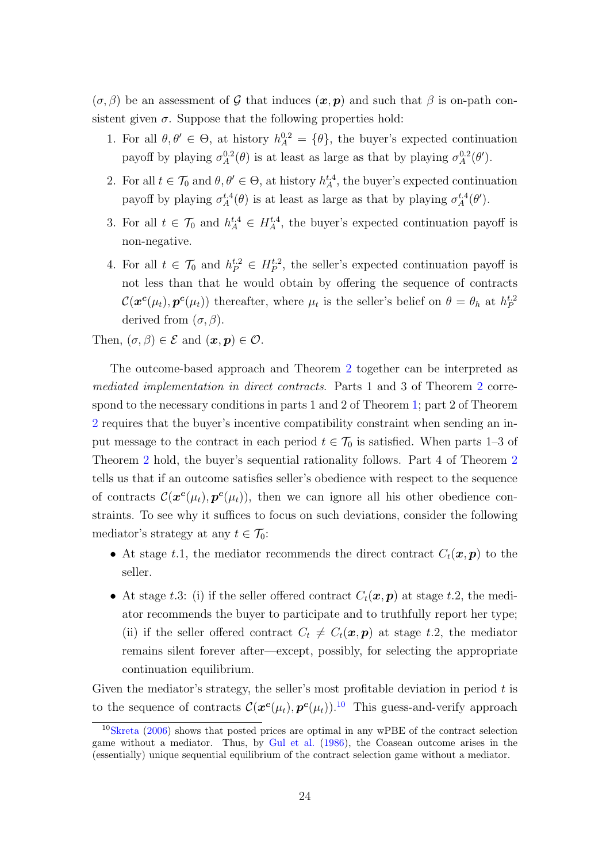$(\sigma, \beta)$  be an assessment of G that induces  $(x, p)$  and such that  $\beta$  is on-path consistent given  $\sigma$ . Suppose that the following properties hold:

- 1. For all  $\theta, \theta' \in \Theta$ , at history  $h_A^{0,2} = {\theta}$ , the buyer's expected continuation payoff by playing  $\sigma_A^{0.2}(\theta)$  is at least as large as that by playing  $\sigma_A^{0.2}(\theta')$ .
- 2. For all  $t \in \mathcal{T}_0$  and  $\theta, \theta' \in \Theta$ , at history  $h_A^{t,4}$ , the buyer's expected continuation payoff by playing  $\sigma_A^{t,4}(\theta)$  is at least as large as that by playing  $\sigma_A^{t,4}(\theta')$ .
- 3. For all  $t \in \mathcal{T}_0$  and  $h_A^{t,4} \in H_A^{t,4}$ , the buyer's expected continuation payoff is non-negative.
- 4. For all  $t \in \mathcal{T}_0$  and  $h_P^{t,2} \in H_P^{t,2}$ , the seller's expected continuation payoff is not less than that he would obtain by offering the sequence of contracts  $\mathcal{C}(\bm{x}^{\bm{c}}(\mu_t), \bm{p}^{\bm{c}}(\mu_t))$  thereafter, where  $\mu_t$  is the seller's belief on  $\theta = \theta_h$  at  $h_P^{t,2}$ derived from  $(\sigma, \beta)$ .

Then,  $(\sigma, \beta) \in \mathcal{E}$  and  $(\boldsymbol{x}, \boldsymbol{p}) \in \mathcal{O}$ .

The outcome-based approach and Theorem [2](#page-22-1) together can be interpreted as mediated implementation in direct contracts. Parts 1 and 3 of Theorem [2](#page-22-1) correspond to the necessary conditions in parts 1 and 2 of Theorem [1;](#page-22-0) part 2 of Theorem [2](#page-22-1) requires that the buyer's incentive compatibility constraint when sending an input message to the contract in each period  $t \in \mathcal{T}_0$  is satisfied. When parts 1–3 of Theorem [2](#page-22-1) hold, the buyer's sequential rationality follows. Part 4 of Theorem [2](#page-22-1) tells us that if an outcome satisfies seller's obedience with respect to the sequence of contracts  $\mathcal{C}(\bm{x}^c(\mu_t), \bm{p}^c(\mu_t))$ , then we can ignore all his other obedience constraints. To see why it suffices to focus on such deviations, consider the following mediator's strategy at any  $t \in \mathcal{T}_0$ :

- At stage t.1, the mediator recommends the direct contract  $C_t(\mathbf{x}, \mathbf{p})$  to the seller.
- At stage t.3: (i) if the seller offered contract  $C_t(\boldsymbol{x}, \boldsymbol{p})$  at stage t.2, the mediator recommends the buyer to participate and to truthfully report her type; (ii) if the seller offered contract  $C_t \neq C_t(\mathbf{x}, \mathbf{p})$  at stage t.2, the mediator remains silent forever after—except, possibly, for selecting the appropriate continuation equilibrium.

Given the mediator's strategy, the seller's most profitable deviation in period  $t$  is to the sequence of contracts  $\mathcal{C}(\bm{x}^c(\mu_t), \bm{p}^c(\mu_t))$ .<sup>[10](#page-23-0)</sup> This guess-and-verify approach

<span id="page-23-0"></span><sup>10</sup>[Skreta](#page-57-1) [\(2006\)](#page-57-1) shows that posted prices are optimal in any wPBE of the contract selection game without a mediator. Thus, by [Gul et al.](#page-56-1) [\(1986\)](#page-56-1), the Coasean outcome arises in the (essentially) unique sequential equilibrium of the contract selection game without a mediator.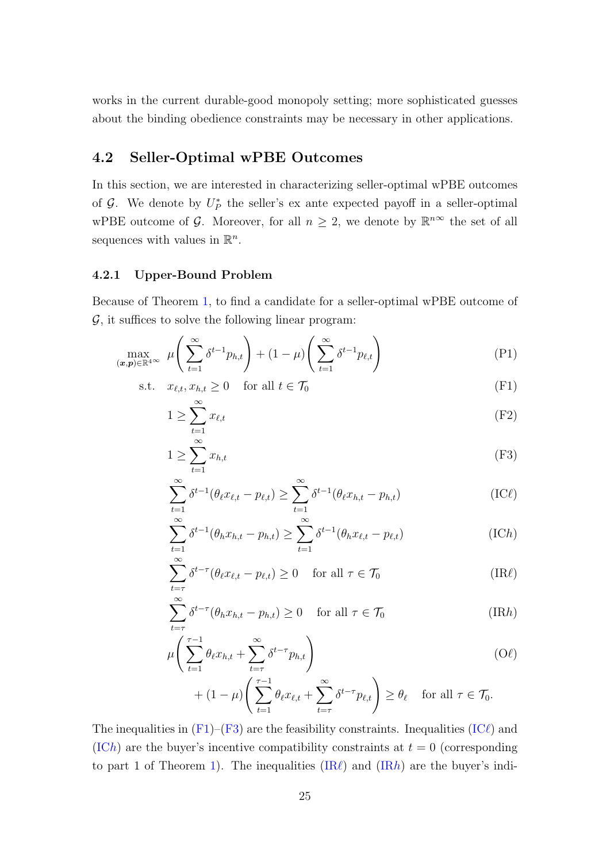works in the current durable-good monopoly setting; more sophisticated guesses about the binding obedience constraints may be necessary in other applications.

# <span id="page-24-0"></span>4.2 Seller-Optimal wPBE Outcomes

In this section, we are interested in characterizing seller-optimal wPBE outcomes of  $\mathcal{G}$ . We denote by  $U_P^*$  the seller's ex ante expected payoff in a seller-optimal wPBE outcome of G. Moreover, for all  $n \geq 2$ , we denote by  $\mathbb{R}^{n\infty}$  the set of all sequences with values in  $\mathbb{R}^n$ .

#### 4.2.1 Upper-Bound Problem

Because of Theorem [1,](#page-22-0) to find a candidate for a seller-optimal wPBE outcome of  $\mathcal{G}$ , it suffices to solve the following linear program:

$$
\max_{(\boldsymbol{x},\boldsymbol{p}) \in \mathbb{R}^{4}} \mu\left(\sum_{t=1}^{\infty} \delta^{t-1} p_{h,t}\right) + (1-\mu) \left(\sum_{t=1}^{\infty} \delta^{t-1} p_{\ell,t}\right) \tag{P1}
$$

$$
\text{s.t.} \quad x_{\ell,t}, x_{h,t} \ge 0 \quad \text{for all } t \in \mathcal{T}_0 \tag{F1}
$$

<span id="page-24-8"></span><span id="page-24-1"></span>
$$
1 \ge \sum_{t=1}^{\infty} x_{\ell,t} \tag{F2}
$$

<span id="page-24-9"></span><span id="page-24-2"></span>
$$
1 \ge \sum_{t=1}^{\infty} x_{h,t} \tag{F3}
$$

<span id="page-24-3"></span>
$$
\sum_{t=1}^{\infty} \delta^{t-1} (\theta_{\ell} x_{\ell,t} - p_{\ell,t}) \ge \sum_{t=1}^{\infty} \delta^{t-1} (\theta_{\ell} x_{h,t} - p_{h,t})
$$
 (IC $\ell$ )

<span id="page-24-4"></span>
$$
\sum_{t=1}^{\infty} \delta^{t-1}(\theta_h x_{h,t} - p_{h,t}) \ge \sum_{t=1}^{\infty} \delta^{t-1}(\theta_h x_{\ell,t} - p_{\ell,t})
$$
\n(IC*h*)

<span id="page-24-5"></span>
$$
\sum_{t=\tau}^{\infty} \delta^{t-\tau} (\theta_{\ell} x_{\ell,t} - p_{\ell,t}) \ge 0 \quad \text{for all } \tau \in \mathcal{T}_0
$$
\n(IR $\ell$ )

$$
\sum_{t=\tau}^{\infty} \delta^{t-\tau} (\theta_h x_{h,t} - p_{h,t}) \ge 0 \quad \text{for all } \tau \in \mathcal{T}_0
$$
 (IR*h*)

$$
\mu\left(\sum_{t=1}^{\tau-1} \theta_t x_{h,t} + \sum_{t=\tau}^{\infty} \delta^{t-\tau} p_{h,t}\right) \tag{O\ell}
$$

<span id="page-24-7"></span><span id="page-24-6"></span>
$$
+ (1 - \mu) \left( \sum_{t=1}^{\tau-1} \theta_{\ell} x_{\ell,t} + \sum_{t=\tau}^{\infty} \delta^{t-\tau} p_{\ell,t} \right) \geq \theta_{\ell} \quad \text{for all } \tau \in \mathcal{T}_{0}.
$$

The inequalities in  $(F1)$ – $(F3)$  are the feasibility constraints. Inequalities [\(IC](#page-24-3) $\ell$ ) and [\(IC](#page-24-4)h) are the buyer's incentive compatibility constraints at  $t = 0$  (corresponding to part 1 of Theorem [1\)](#page-22-0). The inequalities  $(IR\ell)$  $(IR\ell)$  and  $(IRh)$  are the buyer's indi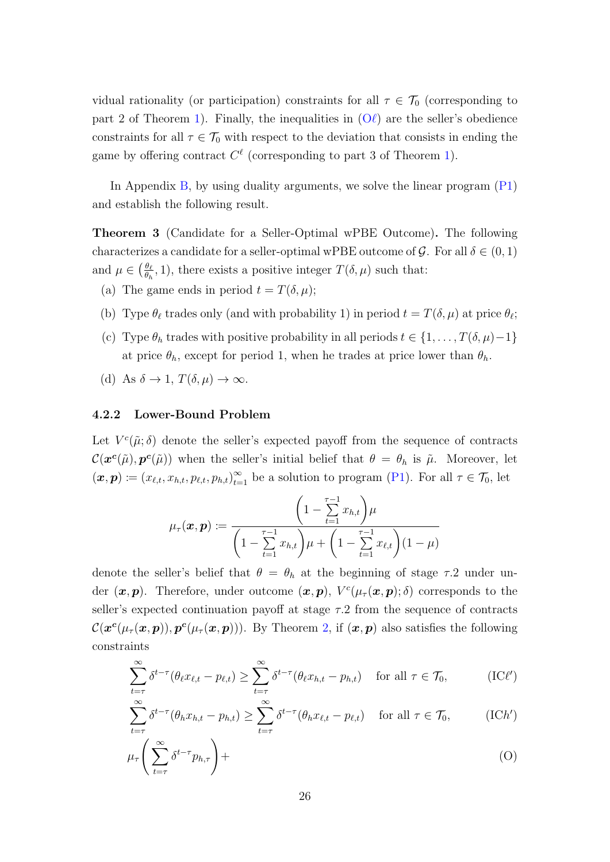vidual rationality (or participation) constraints for all  $\tau \in \mathcal{T}_0$  (corresponding to part 2 of Theorem [1\)](#page-22-0). Finally, the inequalities in  $(O\ell)$  $(O\ell)$  are the seller's obedience constraints for all  $\tau \in \mathcal{T}_0$  with respect to the deviation that consists in ending the game by offering contract  $C^{\ell}$  (corresponding to part 3 of Theorem [1\)](#page-22-0).

In Appendix [B,](#page-32-0) by using duality arguments, we solve the linear program [\(P1\)](#page-24-8) and establish the following result.

<span id="page-25-0"></span>Theorem 3 (Candidate for a Seller-Optimal wPBE Outcome). The following characterizes a candidate for a seller-optimal wPBE outcome of  $\mathcal{G}$ . For all  $\delta \in (0,1)$ and  $\mu \in \left(\frac{\theta_{\ell}}{\theta_{\ell}}\right)$  $\frac{\theta_{\ell}}{\theta_h}$ , 1), there exists a positive integer  $T(\delta, \mu)$  such that:

- (a) The game ends in period  $t = T(\delta, \mu);$
- (b) Type  $\theta_{\ell}$  trades only (and with probability 1) in period  $t = T(\delta, \mu)$  at price  $\theta_{\ell}$ ;
- (c) Type  $\theta_h$  trades with positive probability in all periods  $t \in \{1, \ldots, T(\delta, \mu) 1\}$ at price  $\theta_h$ , except for period 1, when he trades at price lower than  $\theta_h$ .
- (d) As  $\delta \to 1$ ,  $T(\delta, \mu) \to \infty$ .

#### 4.2.2 Lower-Bound Problem

Let  $V^c(\tilde{\mu};\delta)$  denote the seller's expected payoff from the sequence of contracts  $\mathcal{C}(\bm{x}^{\bm{c}}(\tilde{\mu}), \bm{p}^{\bm{c}}(\tilde{\mu}))$  when the seller's initial belief that  $\theta = \theta_h$  is  $\tilde{\mu}$ . Moreover, let  $(\boldsymbol{x}, \boldsymbol{p}) \coloneqq (x_{\ell,t}, x_{h,t}, p_{\ell,t}, p_{h,t})_{t=1}^{\infty}$  be a solution to program [\(P1\)](#page-24-8). For all  $\tau \in \mathcal{T}_0$ , let

$$
\mu_{\tau}(\boldsymbol{x}, \boldsymbol{p}) \coloneqq \frac{\left(1 - \sum_{t=1}^{\tau-1} x_{h,t}\right) \mu}{\left(1 - \sum_{t=1}^{\tau-1} x_{h,t}\right) \mu + \left(1 - \sum_{t=1}^{\tau-1} x_{\ell,t}\right) (1 - \mu)}
$$

denote the seller's belief that  $\theta = \theta_h$  at the beginning of stage  $\tau$ . 2 under under  $(x, p)$ . Therefore, under outcome  $(x, p)$ ,  $V^{c}(\mu_{\tau}(x, p); \delta)$  corresponds to the seller's expected continuation payoff at stage  $\tau$ .2 from the sequence of contracts  $\mathcal{C}(\bm{x}^{\bm{c}}(\mu_{\tau}(\bm{x},\bm{p})),\bm{p}^{\bm{c}}(\mu_{\tau}(\bm{x},\bm{p}))).$  By Theorem [2,](#page-22-1) if  $(\bm{x},\bm{p})$  also satisfies the following constraints

<span id="page-25-1"></span>
$$
\sum_{t=\tau}^{\infty} \delta^{t-\tau}(\theta_{\ell}x_{\ell,t} - p_{\ell,t}) \ge \sum_{t=\tau}^{\infty} \delta^{t-\tau}(\theta_{\ell}x_{h,t} - p_{h,t}) \quad \text{for all } \tau \in \mathcal{T}_0,
$$
\n(IC<sup>\ell</sup>)

<span id="page-25-3"></span><span id="page-25-2"></span>
$$
\sum_{t=\tau}^{\infty} \delta^{t-\tau}(\theta_h x_{h,t} - p_{h,t}) \ge \sum_{t=\tau}^{\infty} \delta^{t-\tau}(\theta_h x_{\ell,t} - p_{\ell,t}) \quad \text{for all } \tau \in \mathcal{T}_0,
$$
 (IC*h*′)

$$
\mu_{\tau}\left(\sum_{t=\tau}^{\infty}\delta^{t-\tau}p_{h,\tau}\right)+\tag{O}
$$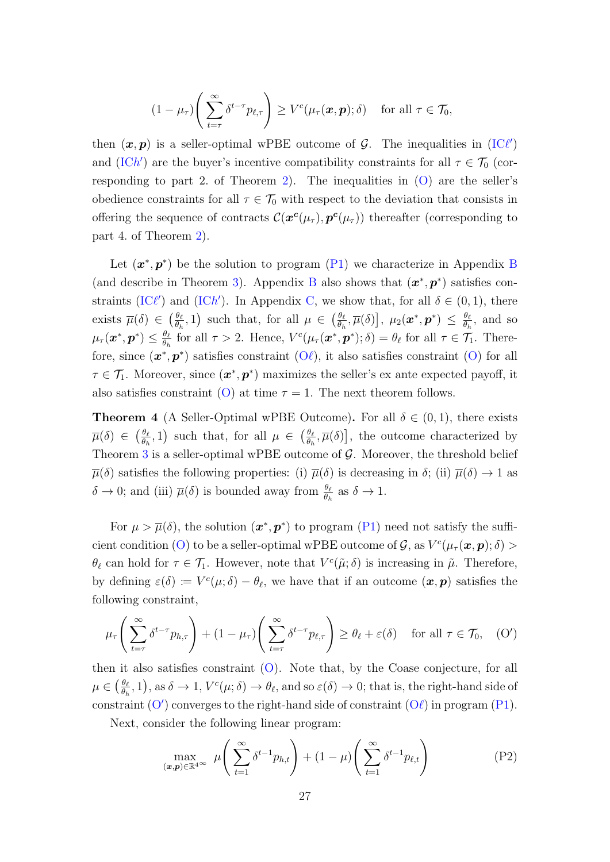$$
(1 - \mu_{\tau}) \Bigg( \sum_{t=\tau}^{\infty} \delta^{t-\tau} p_{\ell,\tau} \Bigg) \geq V^{c}(\mu_{\tau}(\boldsymbol{x},\boldsymbol{p}); \delta) \quad \text{ for all } \tau \in \mathcal{T}_{0},
$$

then  $(x, p)$  is a seller-optimal wPBE outcome of G. The inequalities in [\(IC](#page-25-1) $\ell'$ ) and [\(IC](#page-25-2)h') are the buyer's incentive compatibility constraints for all  $\tau \in \mathcal{T}_0$  (cor-responding to part 2. of Theorem [2\)](#page-22-1). The inequalities in  $(O)$  are the seller's obedience constraints for all  $\tau \in \mathcal{T}_0$  with respect to the deviation that consists in offering the sequence of contracts  $\mathcal{C}(\bm{x}^c(\mu_{\tau}), \bm{p}^c(\mu_{\tau}))$  thereafter (corresponding to part 4. of Theorem [2\)](#page-22-1).

Let  $(x^*, p^*)$  be the solution to program [\(P1\)](#page-24-8) we characterize in Appendix [B](#page-32-0) (and describe in Theorem [3\)](#page-25-0). Appendix [B](#page-32-0) also shows that  $(x^*, p^*)$  satisfies con-straints [\(IC](#page-25-2) $\ell'$ ) and (ICh'). In Appendix [C,](#page-43-0) we show that, for all  $\delta \in (0,1)$ , there exists  $\overline{\mu}(\delta) \in \left(\frac{\theta_{\ell}}{\theta_{\ell}}\right)$  $\frac{\theta_{\ell}}{\theta_h}$ , 1) such that, for all  $\mu \in \left(\frac{\theta_{\ell}}{\theta_h}\right)$  $\frac{\theta_{\ell}}{\theta_h},\overline{\mu}(\delta)\big],\ \mu_2(\boldsymbol{x}^*,\boldsymbol{p}^*)\ \leq\ \frac{\theta_{\ell}}{\theta_h}$  $\frac{\theta_{\ell}}{\theta_h}$ , and so  $\mu_\tau(\bm{x}^*, \bm{p}^*) \leq \frac{\theta_\ell}{\theta_\tau}$  $\frac{\theta_{\ell}}{\theta_h}$  for all  $\tau > 2$ . Hence,  $V^c(\mu_{\tau}(\boldsymbol{x}^*, \boldsymbol{p}^*); \delta) = \theta_{\ell}$  for all  $\tau \in \mathcal{T}_1$ . Therefore, since  $(x^*, p^*)$  satisfies constraint  $(O\ell)$  $(O\ell)$ , it also satisfies constraint  $(O)$  for all  $\tau \in \mathcal{T}_1$ . Moreover, since  $(\mathbf{x}^*, \mathbf{p}^*)$  maximizes the seller's ex ante expected payoff, it also satisfies constraint [\(O\)](#page-25-3) at time  $\tau = 1$ . The next theorem follows.

<span id="page-26-0"></span>**Theorem 4** (A Seller-Optimal wPBE Outcome). For all  $\delta \in (0,1)$ , there exists  $\overline{\mu}(\delta) \in \left(\frac{\theta_{\ell}}{\theta_{\ell}}\right)$  $\frac{\theta_{\ell}}{\theta_h}$ , 1) such that, for all  $\mu \in \left(\frac{\theta_{\ell}}{\theta_h}\right)$  $\frac{\theta_{\ell}}{\theta_{h}}, \overline{\mu}(\delta)$ , the outcome characterized by Theorem [3](#page-25-0) is a seller-optimal wPBE outcome of  $\mathcal{G}$ . Moreover, the threshold belief  $\overline{\mu}(\delta)$  satisfies the following properties: (i)  $\overline{\mu}(\delta)$  is decreasing in  $\delta$ ; (ii)  $\overline{\mu}(\delta) \to 1$  as  $\delta \to 0$ ; and (iii)  $\overline{\mu}(\delta)$  is bounded away from  $\frac{\theta_{\ell}}{\theta_h}$  as  $\delta \to 1$ .

For  $\mu > \overline{\mu}(\delta)$ , the solution  $(x^*, p^*)$  to program [\(P1\)](#page-24-8) need not satisfy the suffi-cient condition [\(O\)](#page-25-3) to be a seller-optimal wPBE outcome of  $\mathcal{G}$ , as  $V^c(\mu_\tau(\bm{x}, \bm{p}); \delta) >$  $\theta_\ell$  can hold for  $\tau \in \mathcal{T}_1$ . However, note that  $V^c(\tilde{\mu}; \delta)$  is increasing in  $\tilde{\mu}$ . Therefore, by defining  $\varepsilon(\delta) := V^c(\mu; \delta) - \theta_{\ell}$ , we have that if an outcome  $(\boldsymbol{x}, \boldsymbol{p})$  satisfies the following constraint,

$$
\mu_{\tau}\left(\sum_{t=\tau}^{\infty} \delta^{t-\tau} p_{h,\tau}\right) + (1-\mu_{\tau})\left(\sum_{t=\tau}^{\infty} \delta^{t-\tau} p_{\ell,\tau}\right) \geq \theta_{\ell} + \varepsilon(\delta) \quad \text{for all } \tau \in \mathcal{T}_0, \quad (O')
$$

then it also satisfies constraint  $(O)$ . Note that, by the Coase conjecture, for all  $\mu \in \left(\frac{\theta_{\ell}}{\theta_{\ell}}\right)$  $\frac{\theta_{\ell}}{\theta_h}, 1$ , as  $\delta \to 1$ ,  $V^c(\mu; \delta) \to \theta_{\ell}$ , and so  $\varepsilon(\delta) \to 0$ ; that is, the right-hand side of constraint  $(O')$  $(O')$  converges to the right-hand side of constraint  $(O\ell)$  in program  $(P1)$ .

Next, consider the following linear program:

<span id="page-26-2"></span><span id="page-26-1"></span>
$$
\max_{(\boldsymbol{x},\boldsymbol{p}) \in \mathbb{R}^{4^{\infty}}} \mu\left(\sum_{t=1}^{\infty} \delta^{t-1} p_{h,t}\right) + (1-\mu) \left(\sum_{t=1}^{\infty} \delta^{t-1} p_{\ell,t}\right) \tag{P2}
$$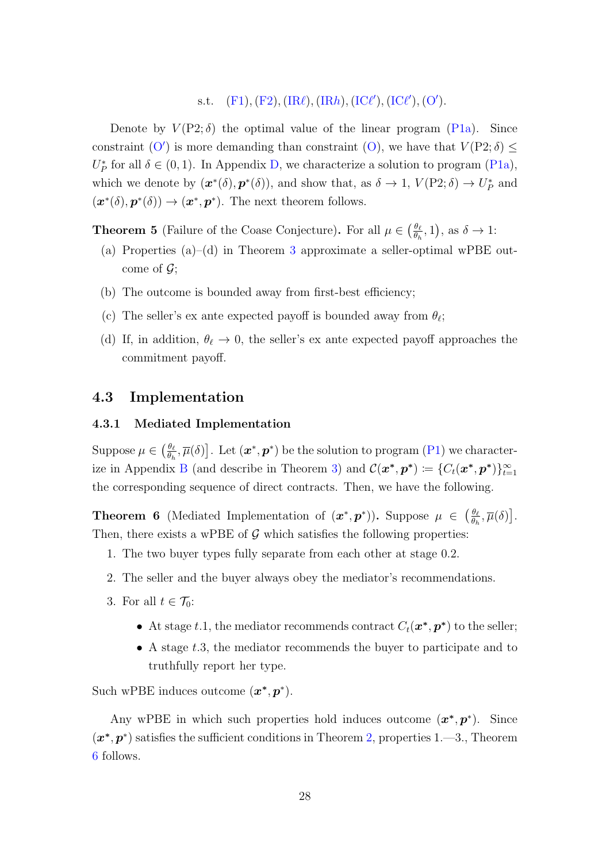s.t.  $(F1), (F2), (IR\ell), (IRh), (IC\ell'), (IC\ell'), (O').$  $(F1), (F2), (IR\ell), (IRh), (IC\ell'), (IC\ell'), (O').$  $(F1), (F2), (IR\ell), (IRh), (IC\ell'), (IC\ell'), (O').$  $(F1), (F2), (IR\ell), (IRh), (IC\ell'), (IC\ell'), (O').$  $(F1), (F2), (IR\ell), (IRh), (IC\ell'), (IC\ell'), (O').$  $(F1), (F2), (IR\ell), (IRh), (IC\ell'), (IC\ell'), (O').$  $(F1), (F2), (IR\ell), (IRh), (IC\ell'), (IC\ell'), (O').$  $(F1), (F2), (IR\ell), (IRh), (IC\ell'), (IC\ell'), (O').$  $(F1), (F2), (IR\ell), (IRh), (IC\ell'), (IC\ell'), (O').$  $(F1), (F2), (IR\ell), (IRh), (IC\ell'), (IC\ell'), (O').$ 

Denote by  $V(P2;\delta)$  the optimal value of the linear program [\(P1a\)](#page-32-1). Since constraint [\(O](#page-26-1)') is more demanding than constraint [\(O\)](#page-25-3), we have that  $V(P2; \delta) \leq$  $U_P^*$  for all  $\delta \in (0,1)$ . In Appendix [D,](#page-45-0) we characterize a solution to program [\(P1a\)](#page-32-1), which we denote by  $(\mathbf{x}^*(\delta), \mathbf{p}^*(\delta))$ , and show that, as  $\delta \to 1$ ,  $V(P2; \delta) \to U_P^*$  and  $(\mathbf{x}^*(\delta), \mathbf{p}^*(\delta)) \to (\mathbf{x}^*, \mathbf{p}^*)$ . The next theorem follows.

<span id="page-27-1"></span>**Theorem 5** (Failure of the Coase Conjecture). For all  $\mu \in \left(\frac{\theta_{\ell}}{\theta_{\ell}}\right)$  $\frac{\theta_{\ell}}{\theta_h}, 1$ , as  $\delta \to 1$ :

- (a) Properties (a)–(d) in Theorem [3](#page-25-0) approximate a seller-optimal wPBE outcome of  $\mathcal{G}$ ;
- (b) The outcome is bounded away from first-best efficiency;
- (c) The seller's ex ante expected payoff is bounded away from  $\theta_{\ell}$ ;
- (d) If, in addition,  $\theta_{\ell} \rightarrow 0$ , the seller's ex ante expected payoff approaches the commitment payoff.

### <span id="page-27-2"></span>4.3 Implementation

#### <span id="page-27-3"></span>4.3.1 Mediated Implementation

Suppose  $\mu \in \left(\frac{\theta_{\ell}}{a}\right)$  $\frac{\theta_\ell}{\theta_h}, \overline{\mu}(\delta)]$ . Let  $(\bm x^*, \bm p^*)$  be the solution to program [\(P1\)](#page-24-8) we character-ize in Appendix [B](#page-32-0) (and describe in Theorem [3\)](#page-25-0) and  $\mathcal{C}(\bm{x}^*, \bm{p}^*) \coloneqq \{C_t(\bm{x}^*, \bm{p}^*)\}_{t=1}^{\infty}$ the corresponding sequence of direct contracts. Then, we have the following.

<span id="page-27-0"></span>**Theorem 6** (Mediated Implementation of  $(x^*, p^*)$ ). Suppose  $\mu \in \left(\frac{\theta_{\ell}}{p}\right)$  $\frac{\theta_{\ell}}{\theta_h}, \overline{\mu}(\delta)\big].$ Then, there exists a wPBE of  $G$  which satisfies the following properties:

- 1. The two buyer types fully separate from each other at stage 0.2.
- 2. The seller and the buyer always obey the mediator's recommendations.
- 3. For all  $t \in \mathcal{T}_0$ :
	- At stage t.1, the mediator recommends contract  $C_t(\boldsymbol{x}^*, \boldsymbol{p}^*)$  to the seller;
	- A stage  $t.3$ , the mediator recommends the buyer to participate and to truthfully report her type.

Such wPBE induces outcome  $(\boldsymbol{x}^*, \boldsymbol{p}^*)$ .

Any wPBE in which such properties hold induces outcome  $(x^*, p^*)$ . Since  $(x^*, p^*)$  satisfies the sufficient conditions in Theorem [2,](#page-22-1) properties 1.—3., Theorem [6](#page-27-0) follows.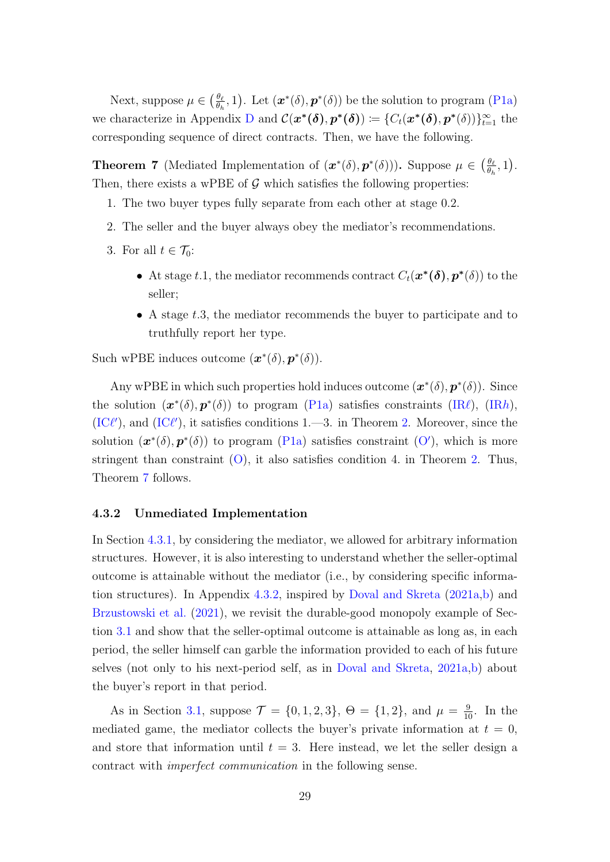Next, suppose  $\mu \in \left(\frac{\theta_{\ell}}{\theta_{\ell}}\right)$  $\frac{\theta_{\ell}}{\theta_{h}}, 1$ ). Let  $(\boldsymbol{x}^{*}(\delta), \boldsymbol{p}^{*}(\delta))$  be the solution to program [\(P1a\)](#page-32-1) we characterize in Appendix [D](#page-45-0) and  $\mathcal{C}(\mathbf{x}^*(\boldsymbol{\delta}), \mathbf{p}^*(\boldsymbol{\delta})) \coloneqq \{C_t(\mathbf{x}^*(\boldsymbol{\delta}), \mathbf{p}^*(\boldsymbol{\delta}))\}_{t=1}^{\infty}$  the corresponding sequence of direct contracts. Then, we have the following.

<span id="page-28-1"></span>**Theorem 7** (Mediated Implementation of  $(\mathbf{x}^*(\delta), \mathbf{p}^*(\delta))$ ). Suppose  $\mu \in \left(\frac{\theta_{\delta}}{\theta_{\delta}}\right)$  $\frac{\theta_{\ell}}{\theta_h}, 1$ . Then, there exists a wPBE of  $G$  which satisfies the following properties:

- 1. The two buyer types fully separate from each other at stage 0.2.
- 2. The seller and the buyer always obey the mediator's recommendations.
- 3. For all  $t \in \mathcal{T}_0$ :
	- At stage t.1, the mediator recommends contract  $C_t(\boldsymbol{x}^*(\boldsymbol{\delta}), p^*(\delta))$  to the seller;
	- A stage  $t.3$ , the mediator recommends the buyer to participate and to truthfully report her type.

Such wPBE induces outcome  $(\boldsymbol{x}^*(\delta), \boldsymbol{p}^*(\delta)).$ 

Any wPBE in which such properties hold induces outcome  $(\mathbf{x}^*(\delta), \mathbf{p}^*(\delta))$ . Since the solution  $(\mathbf{x}^*(\delta), \mathbf{p}^*(\delta))$  to program [\(P1a\)](#page-32-1) satisfies constraints [\(IR](#page-24-6) $\ell$ ), (IRh),  $(IC\ell')$  $(IC\ell')$ , and  $(IC\ell')$ , it satisfies conditions 1.—3. in Theorem [2.](#page-22-1) Moreover, since the solution  $(x^*(\delta), p^*(\delta))$  to program [\(P1a\)](#page-32-1) satisfies constraint [\(O](#page-26-1)'), which is more stringent than constraint  $(0)$ , it also satisfies condition 4. in Theorem [2.](#page-22-1) Thus, Theorem [7](#page-28-1) follows.

#### <span id="page-28-0"></span>4.3.2 Unmediated Implementation

In Section [4.3.1,](#page-27-3) by considering the mediator, we allowed for arbitrary information structures. However, it is also interesting to understand whether the seller-optimal outcome is attainable without the mediator (i.e., by considering specific informa-tion structures). In Appendix [4.3.2,](#page-28-0) inspired by [Doval and Skreta](#page-55-2)  $(2021a,b)$  $(2021a,b)$  and [Brzustowski et al.](#page-55-6) [\(2021\)](#page-55-6), we revisit the durable-good monopoly example of Section [3.1](#page-12-0) and show that the seller-optimal outcome is attainable as long as, in each period, the seller himself can garble the information provided to each of his future selves (not only to his next-period self, as in [Doval and Skreta,](#page-55-2) [2021a,](#page-55-2)[b\)](#page-55-3) about the buyer's report in that period.

As in Section [3.1,](#page-12-0) suppose  $\mathcal{T} = \{0, 1, 2, 3\}$ ,  $\Theta = \{1, 2\}$ , and  $\mu = \frac{9}{10}$ . In the mediated game, the mediator collects the buyer's private information at  $t = 0$ , and store that information until  $t = 3$ . Here instead, we let the seller design a contract with imperfect communication in the following sense.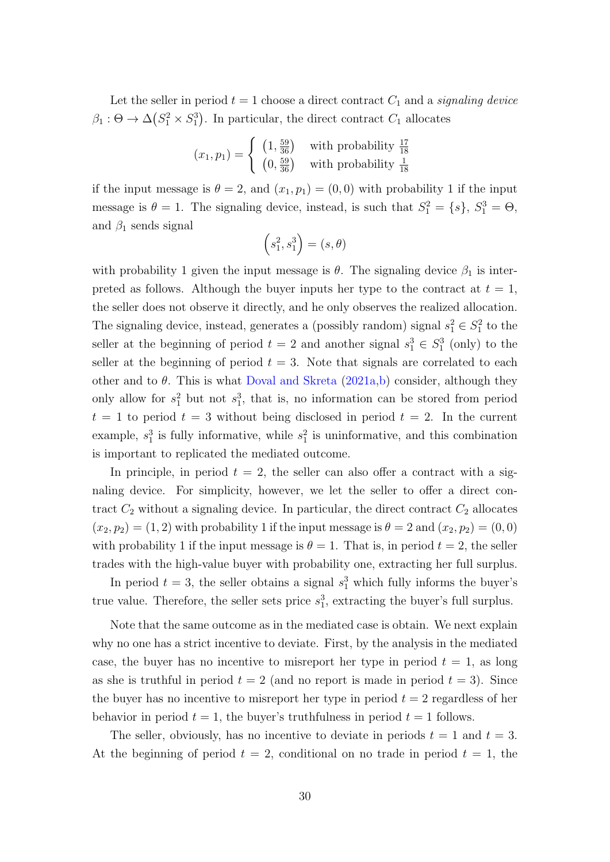Let the seller in period  $t = 1$  choose a direct contract  $C_1$  and a signaling device  $\beta_1: \Theta \to \Delta(S_1^2 \times S_1^3)$ . In particular, the direct contract  $C_1$  allocates

$$
(x_1, p_1) = \begin{cases} (1, \frac{59}{36}) & \text{with probability } \frac{17}{18} \\ (0, \frac{59}{36}) & \text{with probability } \frac{1}{18} \end{cases}
$$

if the input message is  $\theta = 2$ , and  $(x_1, p_1) = (0, 0)$  with probability 1 if the input message is  $\theta = 1$ . The signaling device, instead, is such that  $S_1^2 = \{s\}, S_1^3 = \Theta$ , and  $\beta_1$  sends signal

$$
(s_1^2, s_1^3) = (s, \theta)
$$

with probability 1 given the input message is  $\theta$ . The signaling device  $\beta_1$  is interpreted as follows. Although the buyer inputs her type to the contract at  $t = 1$ , the seller does not observe it directly, and he only observes the realized allocation. The signaling device, instead, generates a (possibly random) signal  $s_1^2 \in S_1^2$  to the seller at the beginning of period  $t = 2$  and another signal  $s_1^3 \in S_1^3$  (only) to the seller at the beginning of period  $t = 3$ . Note that signals are correlated to each other and to  $\theta$ . This is what [Doval and Skreta](#page-55-2) [\(2021a,](#page-55-2)[b\)](#page-55-3) consider, although they only allow for  $s_1^2$  but not  $s_1^3$ , that is, no information can be stored from period  $t = 1$  to period  $t = 3$  without being disclosed in period  $t = 2$ . In the current example,  $s_1^3$  is fully informative, while  $s_1^2$  is uninformative, and this combination is important to replicated the mediated outcome.

In principle, in period  $t = 2$ , the seller can also offer a contract with a signaling device. For simplicity, however, we let the seller to offer a direct contract  $C_2$  without a signaling device. In particular, the direct contract  $C_2$  allocates  $(x_2, p_2) = (1, 2)$  with probability 1 if the input message is  $\theta = 2$  and  $(x_2, p_2) = (0, 0)$ with probability 1 if the input message is  $\theta = 1$ . That is, in period  $t = 2$ , the seller trades with the high-value buyer with probability one, extracting her full surplus.

In period  $t = 3$ , the seller obtains a signal  $s_1^3$  which fully informs the buyer's true value. Therefore, the seller sets price  $s_1^3$ , extracting the buyer's full surplus.

Note that the same outcome as in the mediated case is obtain. We next explain why no one has a strict incentive to deviate. First, by the analysis in the mediated case, the buyer has no incentive to misreport her type in period  $t = 1$ , as long as she is truthful in period  $t = 2$  (and no report is made in period  $t = 3$ ). Since the buyer has no incentive to misreport her type in period  $t = 2$  regardless of her behavior in period  $t = 1$ , the buyer's truthfulness in period  $t = 1$  follows.

The seller, obviously, has no incentive to deviate in periods  $t = 1$  and  $t = 3$ . At the beginning of period  $t = 2$ , conditional on no trade in period  $t = 1$ , the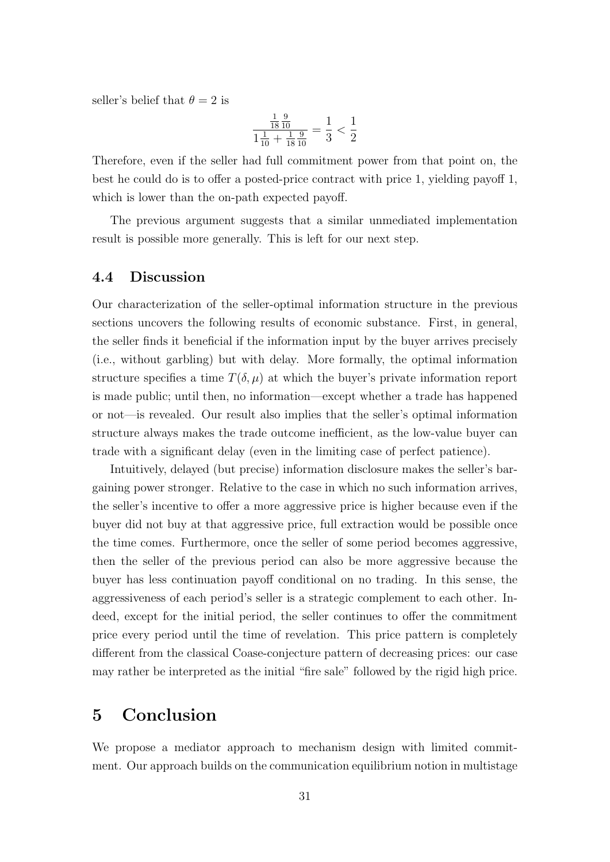seller's belief that  $\theta = 2$  is

$$
\frac{\frac{1}{18}\frac{9}{10}}{1\frac{1}{10} + \frac{1}{18}\frac{9}{10}} = \frac{1}{3} < \frac{1}{2}
$$

Therefore, even if the seller had full commitment power from that point on, the best he could do is to offer a posted-price contract with price 1, yielding payoff 1, which is lower than the on-path expected payoff.

The previous argument suggests that a similar unmediated implementation result is possible more generally. This is left for our next step.

### 4.4 Discussion

Our characterization of the seller-optimal information structure in the previous sections uncovers the following results of economic substance. First, in general, the seller finds it beneficial if the information input by the buyer arrives precisely (i.e., without garbling) but with delay. More formally, the optimal information structure specifies a time  $T(\delta, \mu)$  at which the buyer's private information report is made public; until then, no information—except whether a trade has happened or not—is revealed. Our result also implies that the seller's optimal information structure always makes the trade outcome inefficient, as the low-value buyer can trade with a significant delay (even in the limiting case of perfect patience).

Intuitively, delayed (but precise) information disclosure makes the seller's bargaining power stronger. Relative to the case in which no such information arrives, the seller's incentive to offer a more aggressive price is higher because even if the buyer did not buy at that aggressive price, full extraction would be possible once the time comes. Furthermore, once the seller of some period becomes aggressive, then the seller of the previous period can also be more aggressive because the buyer has less continuation payoff conditional on no trading. In this sense, the aggressiveness of each period's seller is a strategic complement to each other. Indeed, except for the initial period, the seller continues to offer the commitment price every period until the time of revelation. This price pattern is completely different from the classical Coase-conjecture pattern of decreasing prices: our case may rather be interpreted as the initial "fire sale" followed by the rigid high price.

# <span id="page-30-0"></span>5 Conclusion

We propose a mediator approach to mechanism design with limited commitment. Our approach builds on the communication equilibrium notion in multistage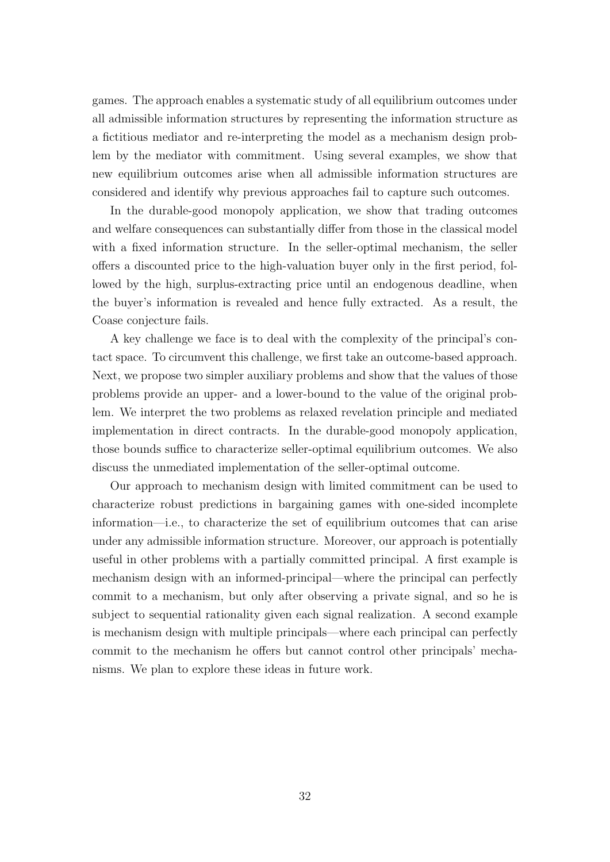games. The approach enables a systematic study of all equilibrium outcomes under all admissible information structures by representing the information structure as a fictitious mediator and re-interpreting the model as a mechanism design problem by the mediator with commitment. Using several examples, we show that new equilibrium outcomes arise when all admissible information structures are considered and identify why previous approaches fail to capture such outcomes.

In the durable-good monopoly application, we show that trading outcomes and welfare consequences can substantially differ from those in the classical model with a fixed information structure. In the seller-optimal mechanism, the seller offers a discounted price to the high-valuation buyer only in the first period, followed by the high, surplus-extracting price until an endogenous deadline, when the buyer's information is revealed and hence fully extracted. As a result, the Coase conjecture fails.

A key challenge we face is to deal with the complexity of the principal's contact space. To circumvent this challenge, we first take an outcome-based approach. Next, we propose two simpler auxiliary problems and show that the values of those problems provide an upper- and a lower-bound to the value of the original problem. We interpret the two problems as relaxed revelation principle and mediated implementation in direct contracts. In the durable-good monopoly application, those bounds suffice to characterize seller-optimal equilibrium outcomes. We also discuss the unmediated implementation of the seller-optimal outcome.

Our approach to mechanism design with limited commitment can be used to characterize robust predictions in bargaining games with one-sided incomplete information—i.e., to characterize the set of equilibrium outcomes that can arise under any admissible information structure. Moreover, our approach is potentially useful in other problems with a partially committed principal. A first example is mechanism design with an informed-principal—where the principal can perfectly commit to a mechanism, but only after observing a private signal, and so he is subject to sequential rationality given each signal realization. A second example is mechanism design with multiple principals—where each principal can perfectly commit to the mechanism he offers but cannot control other principals' mechanisms. We plan to explore these ideas in future work.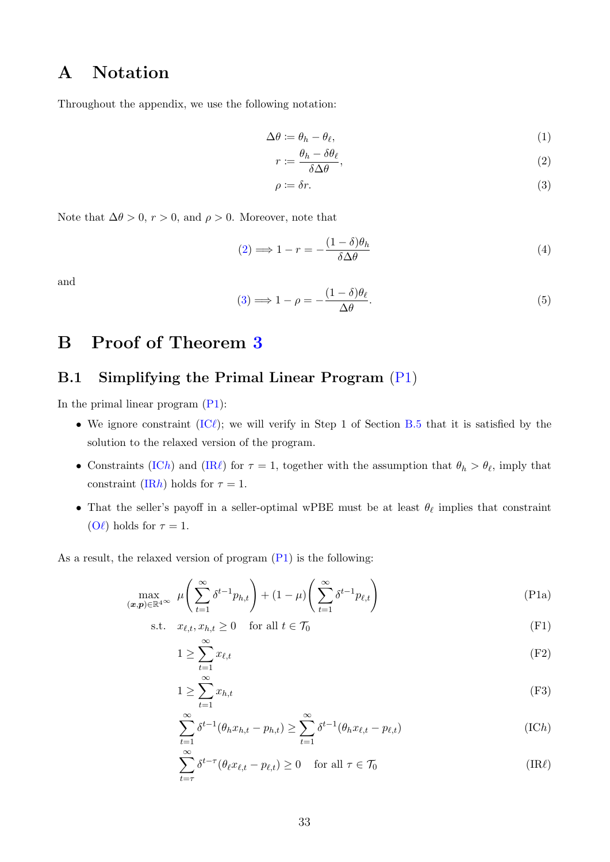# A Notation

Throughout the appendix, we use the following notation:

$$
\Delta \theta := \theta_h - \theta_\ell,\tag{1}
$$

<span id="page-32-8"></span>
$$
r := \frac{\theta_h - \delta \theta_\ell}{\delta \Delta \theta},\tag{2}
$$

<span id="page-32-3"></span><span id="page-32-2"></span>
$$
\rho \coloneqq \delta r. \tag{3}
$$

Note that  $\Delta\theta > 0$ ,  $r > 0$ , and  $\rho > 0$ . Moreover, note that

<span id="page-32-9"></span>
$$
(2) \Longrightarrow 1 - r = -\frac{(1 - \delta)\theta_h}{\delta \Delta \theta} \tag{4}
$$

and

<span id="page-32-10"></span>
$$
(3) \Longrightarrow 1 - \rho = -\frac{(1 - \delta)\theta_{\ell}}{\Delta \theta}.
$$
\n<sup>(5)</sup>

# <span id="page-32-0"></span>B Proof of Theorem [3](#page-25-0)

# B.1 Simplifying the Primal Linear Program [\(P1\)](#page-24-8)

In the primal linear program [\(P1\)](#page-24-8):

- We ignore constraint  $(IC\ell)$  $(IC\ell)$ ; we will verify in Step 1 of Section [B.5](#page-42-0) that it is satisfied by the solution to the relaxed version of the program.
- Constraints [\(IC](#page-24-4)h) and [\(IR](#page-24-5) $\ell$ ) for  $\tau = 1$ , together with the assumption that  $\theta_h > \theta_{\ell}$ , imply that constraint [\(IR](#page-24-6)h) holds for  $\tau = 1$ .
- That the seller's payoff in a seller-optimal wPBE must be at least  $\theta_{\ell}$  implies that constraint [\(O](#page-24-7) $\ell$ ) holds for  $\tau = 1$ .

As a result, the relaxed version of program [\(P1\)](#page-24-8) is the following:

$$
\max_{(\boldsymbol{x},\boldsymbol{p}) \in \mathbb{R}^{4}} \mu\left(\sum_{t=1}^{\infty} \delta^{t-1} p_{h,t}\right) + (1-\mu) \left(\sum_{t=1}^{\infty} \delta^{t-1} p_{\ell,t}\right) \tag{P1a}
$$

$$
\text{s.t.} \quad x_{\ell,t}, x_{h,t} \ge 0 \quad \text{for all } t \in \mathcal{T}_0 \tag{F1}
$$

<span id="page-32-1"></span>
$$
1 \ge \sum_{t=1}^{\infty} x_{\ell,t} \tag{F2}
$$

<span id="page-32-5"></span><span id="page-32-4"></span>
$$
1 \ge \sum_{t=1}^{\infty} x_{h,t} \tag{F3}
$$

<span id="page-32-6"></span>
$$
\sum_{t=1}^{\infty} \delta^{t-1}(\theta_h x_{h,t} - p_{h,t}) \ge \sum_{t=1}^{\infty} \delta^{t-1}(\theta_h x_{\ell,t} - p_{\ell,t})
$$
\n(ICh)

<span id="page-32-7"></span>
$$
\sum_{t=\tau}^{\infty} \delta^{t-\tau} (\theta_{\ell} x_{\ell,t} - p_{\ell,t}) \ge 0 \quad \text{for all } \tau \in \mathcal{T}_0
$$
\n(IR $\ell$ )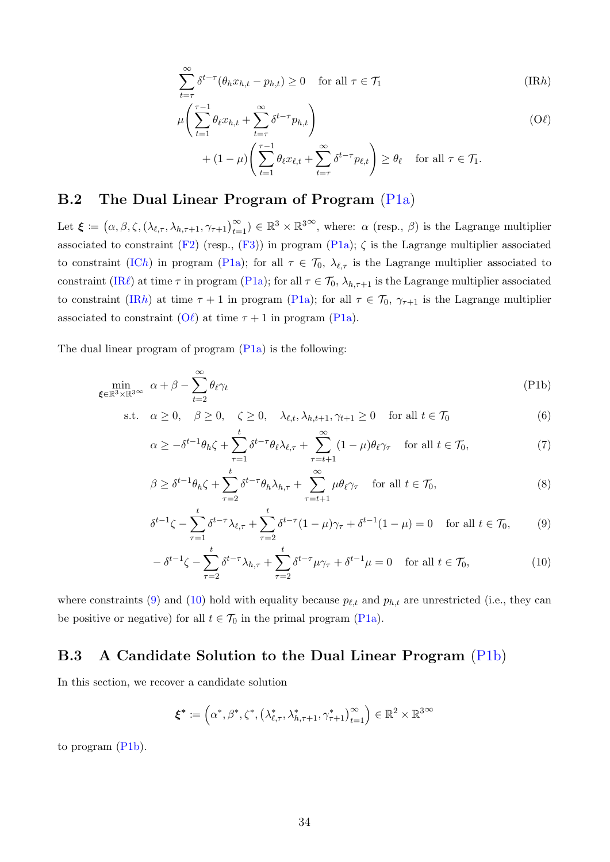<span id="page-33-0"></span>
$$
\sum_{t=\tau}^{\infty} \delta^{t-\tau} (\theta_h x_{h,t} - p_{h,t}) \ge 0 \quad \text{for all } \tau \in \mathcal{T}_1
$$
\n(IRh)

<span id="page-33-1"></span>
$$
\mu\left(\sum_{t=1}^{\tau-1} \theta_{\ell} x_{h,t} + \sum_{t=\tau}^{\infty} \delta^{t-\tau} p_{h,t}\right) \tag{Oell}
$$
\n
$$
+ (1-\mu)\left(\sum_{t=1}^{\tau-1} \theta_{\ell} x_{\ell,t} + \sum_{t=\tau}^{\infty} \delta^{t-\tau} p_{\ell,t}\right) \ge \theta_{\ell} \quad \text{for all } \tau \in \mathcal{T}_{1}.
$$

### B.2 The Dual Linear Program of Program [\(P1a\)](#page-32-1)

Let  $\boldsymbol{\xi} := (\alpha, \beta, \zeta, (\lambda_{\ell,\tau}, \lambda_{h,\tau+1}, \gamma_{\tau+1})_{t=1}^{\infty}) \in \mathbb{R}^3 \times \mathbb{R}^{3\infty}$ , where:  $\alpha$  (resp.,  $\beta$ ) is the Lagrange multiplier associated to constraint [\(F2\)](#page-32-4) (resp., [\(F3\)](#page-32-5)) in program [\(P1a\)](#page-32-1);  $\zeta$  is the Lagrange multiplier associated to constraint [\(IC](#page-32-6)h) in program [\(P1a\)](#page-32-1); for all  $\tau \in \mathcal{T}_0$ ,  $\lambda_{\ell,\tau}$  is the Lagrange multiplier associated to constraint [\(IR](#page-32-7) $\ell$ ) at time  $\tau$  in program [\(P1a\)](#page-32-1); for all  $\tau \in \mathcal{T}_0$ ,  $\lambda_{h,\tau+1}$  is the Lagrange multiplier associated to constraint [\(IR](#page-33-0)h) at time  $\tau + 1$  in program [\(P1a\)](#page-32-1); for all  $\tau \in \mathcal{T}_0$ ,  $\gamma_{\tau+1}$  is the Lagrange multiplier associated to constraint  $(O\ell)$  $(O\ell)$  at time  $\tau + 1$  in program [\(P1a\)](#page-32-1).

The dual linear program of program  $(Pla)$  is the following:

$$
\min_{\xi \in \mathbb{R}^3 \times \mathbb{R}^3} \alpha + \beta - \sum_{t=2}^{\infty} \theta_t \gamma_t
$$
 (P1b)

s.t. 
$$
\alpha \ge 0
$$
,  $\beta \ge 0$ ,  $\zeta \ge 0$ ,  $\lambda_{\ell,t}, \lambda_{h,t+1}, \gamma_{t+1} \ge 0$  for all  $t \in \mathcal{T}_0$  (6)

<span id="page-33-4"></span>
$$
\alpha \ge -\delta^{t-1}\theta_h \zeta + \sum_{\tau=1}^t \delta^{t-\tau}\theta_\ell \lambda_{\ell,\tau} + \sum_{\tau=t+1}^\infty (1-\mu)\theta_\ell \gamma_\tau \quad \text{for all } t \in \mathcal{T}_0,\tag{7}
$$

$$
\beta \ge \delta^{t-1} \theta_h \zeta + \sum_{\tau=2}^t \delta^{t-\tau} \theta_h \lambda_{h,\tau} + \sum_{\tau=t+1}^\infty \mu \theta_\ell \gamma_\tau \quad \text{for all } t \in \mathcal{T}_0,
$$
\n
$$
(8)
$$

$$
\delta^{t-1}\zeta - \sum_{\tau=1}^t \delta^{t-\tau} \lambda_{\ell,\tau} + \sum_{\tau=2}^t \delta^{t-\tau} (1-\mu)\gamma_\tau + \delta^{t-1} (1-\mu) = 0 \quad \text{for all } t \in \mathcal{T}_0,\tag{9}
$$

<span id="page-33-3"></span><span id="page-33-2"></span>
$$
-\delta^{t-1}\zeta - \sum_{\tau=2}^t \delta^{t-\tau}\lambda_{h,\tau} + \sum_{\tau=2}^t \delta^{t-\tau}\mu\gamma_\tau + \delta^{t-1}\mu = 0 \quad \text{for all } t \in \mathcal{T}_0,
$$
\n
$$
(10)
$$

where constraints [\(9\)](#page-33-2) and [\(10\)](#page-33-3) hold with equality because  $p_{\ell,t}$  and  $p_{h,t}$  are unrestricted (i.e., they can be positive or negative) for all  $t \in \mathcal{T}_0$  in the primal program [\(P1a\)](#page-32-1).

### <span id="page-33-5"></span>B.3 A Candidate Solution to the Dual Linear Program [\(P1b\)](#page-33-4)

In this section, we recover a candidate solution

$$
\boldsymbol{\xi}^* \coloneqq \left(\alpha^*, \beta^*, \zeta^*, \left(\lambda_{\ell,\tau}^*, \lambda_{h,\tau+1}^*, \gamma_{\tau+1}^*\right)_{t=1}^\infty\right) \in \mathbb{R}^2 \times \mathbb{R}^{3 \times 3}
$$

to program [\(P1b\)](#page-33-4).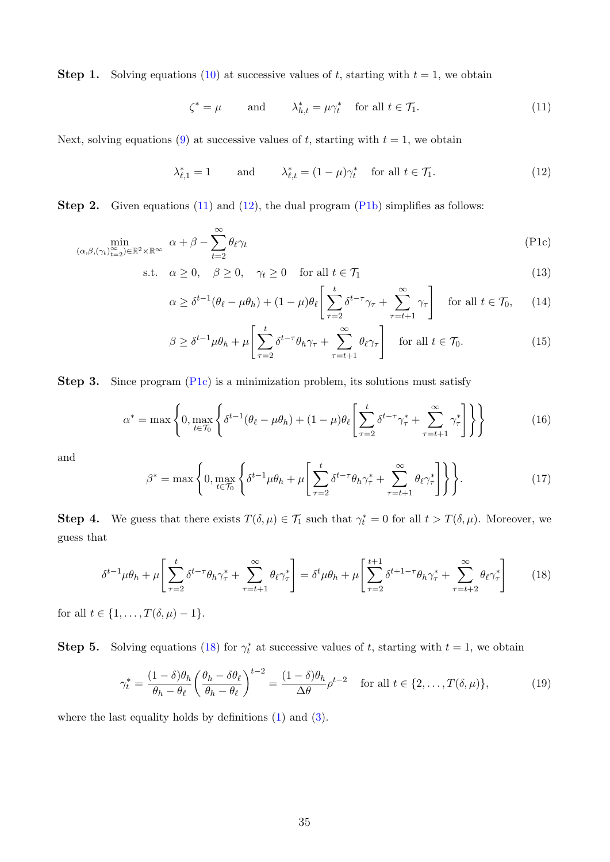**Step 1.** Solving equations [\(10\)](#page-33-3) at successive values of t, starting with  $t = 1$ , we obtain

<span id="page-34-0"></span>
$$
\zeta^* = \mu \qquad \text{and} \qquad \lambda^*_{h,t} = \mu \gamma^*_t \quad \text{for all } t \in \mathcal{T}_1. \tag{11}
$$

Next, solving equations [\(9\)](#page-33-2) at successive values of t, starting with  $t = 1$ , we obtain

<span id="page-34-2"></span><span id="page-34-1"></span>
$$
\lambda_{\ell,1}^* = 1 \qquad \text{and} \qquad \lambda_{\ell,t}^* = (1 - \mu)\gamma_t^* \quad \text{for all } t \in \mathcal{T}_1. \tag{12}
$$

Step 2. Given equations [\(11\)](#page-34-0) and [\(12\)](#page-34-1), the dual program [\(P1b\)](#page-33-4) simplifies as follows:

$$
\min_{(\alpha,\beta,(\gamma_t)_{t=2}^{\infty}) \in \mathbb{R}^2 \times \mathbb{R}^{\infty}} \alpha + \beta - \sum_{t=2}^{\infty} \theta_t \gamma_t
$$
\n(P1c)

$$
\text{s.t.} \quad \alpha \ge 0, \quad \beta \ge 0, \quad \gamma_t \ge 0 \quad \text{for all } t \in \mathcal{T}_1 \tag{13}
$$

$$
\alpha \ge \delta^{t-1}(\theta_{\ell} - \mu\theta_h) + (1 - \mu)\theta_{\ell} \left[ \sum_{\tau=2}^{t} \delta^{t-\tau} \gamma_{\tau} + \sum_{\tau=t+1}^{\infty} \gamma_{\tau} \right] \quad \text{for all } t \in \mathcal{T}_0, \tag{14}
$$

<span id="page-34-7"></span>
$$
\beta \ge \delta^{t-1} \mu \theta_h + \mu \left[ \sum_{\tau=2}^t \delta^{t-\tau} \theta_h \gamma_\tau + \sum_{\tau=t+1}^\infty \theta_\ell \gamma_\tau \right] \quad \text{for all } t \in \mathcal{T}_0. \tag{15}
$$

Step 3. Since program [\(P1c\)](#page-34-2) is a minimization problem, its solutions must satisfy

<span id="page-34-5"></span>
$$
\alpha^* = \max \left\{ 0, \max_{t \in \mathcal{T}_0} \left\{ \delta^{t-1} (\theta_\ell - \mu \theta_h) + (1 - \mu) \theta_\ell \left[ \sum_{\tau=2}^t \delta^{t-\tau} \gamma_\tau^* + \sum_{\tau=t+1}^\infty \gamma_\tau^* \right] \right\} \right\}
$$
(16)

and

<span id="page-34-4"></span>
$$
\beta^* = \max\left\{0, \max_{t \in \mathcal{T}_0} \left\{ \delta^{t-1} \mu \theta_h + \mu \left[ \sum_{\tau=2}^t \delta^{t-\tau} \theta_h \gamma_\tau^* + \sum_{\tau=t+1}^\infty \theta_\ell \gamma_\tau^* \right] \right\} \right\}.
$$
 (17)

**Step 4.** We guess that there exists  $T(\delta, \mu) \in \mathcal{T}_1$  such that  $\gamma_t^* = 0$  for all  $t > T(\delta, \mu)$ . Moreover, we guess that

<span id="page-34-3"></span>
$$
\delta^{t-1}\mu\theta_h + \mu \left[ \sum_{\tau=2}^t \delta^{t-\tau}\theta_h \gamma_\tau^* + \sum_{\tau=t+1}^\infty \theta_\ell \gamma_\tau^* \right] = \delta^t \mu\theta_h + \mu \left[ \sum_{\tau=2}^{t+1} \delta^{t+1-\tau}\theta_h \gamma_\tau^* + \sum_{\tau=t+2}^\infty \theta_\ell \gamma_\tau^* \right] \tag{18}
$$

for all  $t \in \{1, ..., T(\delta, \mu) - 1\}.$ 

**Step 5.** Solving equations [\(18\)](#page-34-3) for  $\gamma_t^*$  at successive values of t, starting with  $t = 1$ , we obtain

<span id="page-34-6"></span>
$$
\gamma_t^* = \frac{(1-\delta)\theta_h}{\theta_h - \theta_\ell} \left(\frac{\theta_h - \delta\theta_\ell}{\theta_h - \theta_\ell}\right)^{t-2} = \frac{(1-\delta)\theta_h}{\Delta\theta} \rho^{t-2} \quad \text{for all } t \in \{2, \dots, T(\delta, \mu)\},\tag{19}
$$

where the last equality holds by definitions [\(1\)](#page-32-8) and [\(3\)](#page-32-3).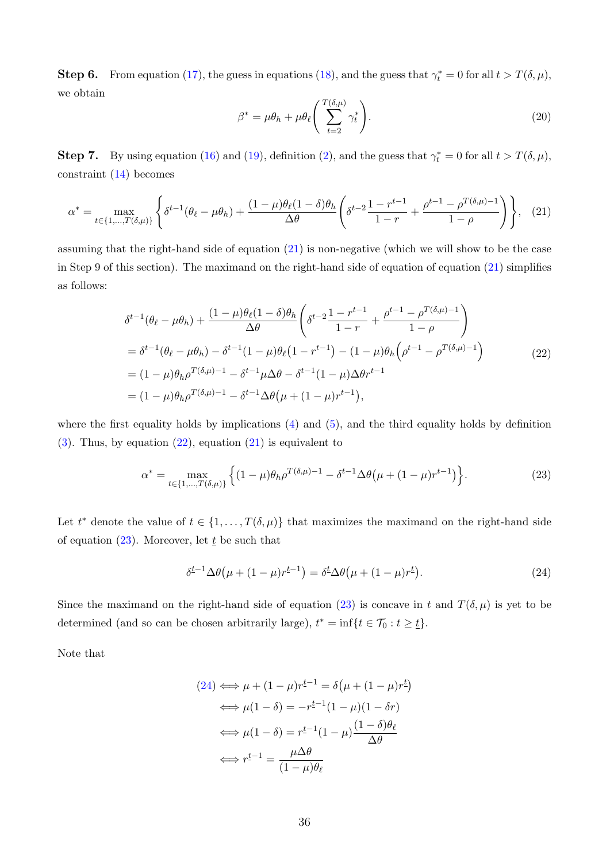**Step 6.** From equation [\(17\)](#page-34-4), the guess in equations [\(18\)](#page-34-3), and the guess that  $\gamma_t^* = 0$  for all  $t > T(\delta, \mu)$ , we obtain

<span id="page-35-4"></span>
$$
\beta^* = \mu \theta_h + \mu \theta_\ell \left( \sum_{t=2}^{T(\delta,\mu)} \gamma_t^* \right). \tag{20}
$$

**Step 7.** By using equation [\(16\)](#page-34-5) and [\(19\)](#page-34-6), definition [\(2\)](#page-32-2), and the guess that  $\gamma_t^* = 0$  for all  $t > T(\delta, \mu)$ , constraint [\(14\)](#page-34-7) becomes

<span id="page-35-0"></span>
$$
\alpha^* = \max_{t \in \{1, \dots, T(\delta, \mu)\}} \left\{ \delta^{t-1}(\theta_\ell - \mu \theta_h) + \frac{(1-\mu)\theta_\ell(1-\delta)\theta_h}{\Delta \theta} \left( \delta^{t-2} \frac{1-r^{t-1}}{1-r} + \frac{\rho^{t-1} - \rho^{T(\delta, \mu)-1}}{1-\rho} \right) \right\}, \quad (21)
$$

assuming that the right-hand side of equation [\(21\)](#page-35-0) is non-negative (which we will show to be the case in Step 9 of this section). The maximand on the right-hand side of equation of equation  $(21)$  simplifies as follows:

<span id="page-35-1"></span>
$$
\delta^{t-1}(\theta_{\ell} - \mu\theta_{h}) + \frac{(1-\mu)\theta_{\ell}(1-\delta)\theta_{h}}{\Delta\theta} \left( \delta^{t-2} \frac{1-r^{t-1}}{1-r} + \frac{\rho^{t-1} - \rho^{T(\delta,\mu)-1}}{1-\rho} \right)
$$
  
\n
$$
= \delta^{t-1}(\theta_{\ell} - \mu\theta_{h}) - \delta^{t-1}(1-\mu)\theta_{\ell}(1-r^{t-1}) - (1-\mu)\theta_{h} \left( \rho^{t-1} - \rho^{T(\delta,\mu)-1} \right)
$$
  
\n
$$
= (1-\mu)\theta_{h}\rho^{T(\delta,\mu)-1} - \delta^{t-1}\mu\Delta\theta - \delta^{t-1}(1-\mu)\Delta\theta r^{t-1}
$$
  
\n
$$
= (1-\mu)\theta_{h}\rho^{T(\delta,\mu)-1} - \delta^{t-1}\Delta\theta(\mu + (1-\mu)r^{t-1}),
$$
\n(22)

where the first equality holds by implications  $(4)$  and  $(5)$ , and the third equality holds by definition  $(3)$ . Thus, by equation  $(22)$ , equation  $(21)$  is equivalent to

<span id="page-35-2"></span>
$$
\alpha^* = \max_{t \in \{1, \dots, T(\delta, \mu)\}} \left\{ (1 - \mu)\theta_h \rho^{T(\delta, \mu) - 1} - \delta^{t-1} \Delta \theta (\mu + (1 - \mu) r^{t-1}) \right\}.
$$
 (23)

Let  $t^*$  denote the value of  $t \in \{1, \ldots, T(\delta, \mu)\}\$  that maximizes the maximand on the right-hand side of equation [\(23\)](#page-35-2). Moreover, let  $\underline{t}$  be such that

<span id="page-35-3"></span>
$$
\delta^{\underline{t}-1} \Delta \theta \left( \mu + (1 - \mu) r^{\underline{t}-1} \right) = \delta^{\underline{t}} \Delta \theta \left( \mu + (1 - \mu) r^{\underline{t}} \right). \tag{24}
$$

Since the maximand on the right-hand side of equation [\(23\)](#page-35-2) is concave in t and  $T(\delta,\mu)$  is yet to be determined (and so can be chosen arbitrarily large),  $t^* = \inf\{t \in \mathcal{T}_0 : t \geq t\}.$ 

Note that

$$
(24) \iff \mu + (1 - \mu)r^{\underline{t}-1} = \delta(\mu + (1 - \mu)r^{\underline{t}})
$$

$$
\iff \mu(1 - \delta) = -r^{\underline{t}-1}(1 - \mu)(1 - \delta r)
$$

$$
\iff \mu(1 - \delta) = r^{\underline{t}-1}(1 - \mu)\frac{(1 - \delta)\theta_{\ell}}{\Delta\theta}
$$

$$
\iff r^{\underline{t}-1} = \frac{\mu\Delta\theta}{(1 - \mu)\theta_{\ell}}
$$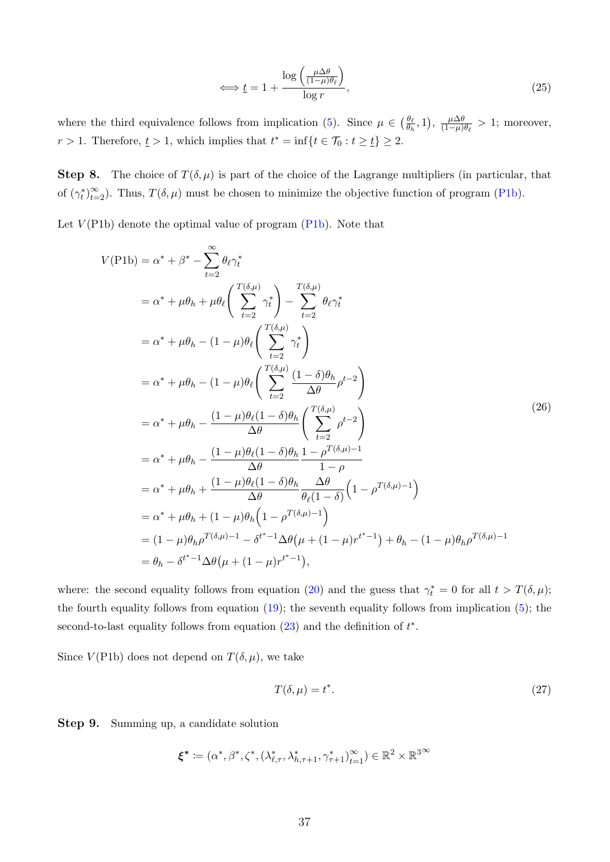<span id="page-36-0"></span>
$$
\iff \underline{t} = 1 + \frac{\log\left(\frac{\mu \Delta \theta}{(1 - \mu)\theta_{\ell}}\right)}{\log r},\tag{25}
$$

where the third equivalence follows from implication [\(5\)](#page-32-10). Since  $\mu \in \left(\frac{\theta_{\ell}}{a}\right)$  $\frac{\theta_{\ell}}{\theta_h}, 1$ ,  $\frac{\mu \Delta \theta}{(1-\mu)}$  $\frac{\mu \Delta \theta}{(1-\mu)\theta_{\ell}} > 1$ ; moreover,  $r > 1$ . Therefore,  $\underline{t} > 1$ , which implies that  $t^* = \inf\{t \in \mathcal{T}_0 : t \geq \underline{t}\} \geq 2$ .

**Step 8.** The choice of  $T(\delta,\mu)$  is part of the choice of the Lagrange multipliers (in particular, that of  $(\gamma_t^*)_{t=2}^{\infty}$ . Thus,  $T(\delta, \mu)$  must be chosen to minimize the objective function of program [\(P1b\)](#page-33-4).

Let  $V(PIb)$  denote the optimal value of program  $(PIb)$ . Note that

<span id="page-36-1"></span>
$$
V(\text{P1b}) = \alpha^* + \beta^* - \sum_{t=2}^{\infty} \theta_\ell \gamma_t^*
$$
  
\n
$$
= \alpha^* + \mu \theta_h + \mu \theta_\ell \left( \sum_{t=2}^{T(\delta,\mu)} \gamma_t^* \right) - \sum_{t=2}^{T(\delta,\mu)} \theta_\ell \gamma_t^*
$$
  
\n
$$
= \alpha^* + \mu \theta_h - (1 - \mu) \theta_\ell \left( \sum_{t=2}^{T(\delta,\mu)} \gamma_t^* \right)
$$
  
\n
$$
= \alpha^* + \mu \theta_h - (1 - \mu) \theta_\ell \left( \sum_{t=2}^{T(\delta,\mu)} \frac{(1 - \delta) \theta_h}{\Delta \theta} \rho^{t-2} \right)
$$
  
\n
$$
= \alpha^* + \mu \theta_h - \frac{(1 - \mu) \theta_\ell (1 - \delta) \theta_h}{\Delta \theta} \left( \sum_{t=2}^{T(\delta,\mu)} \rho^{t-2} \right)
$$
  
\n
$$
= \alpha^* + \mu \theta_h - \frac{(1 - \mu) \theta_\ell (1 - \delta) \theta_h}{\Delta \theta} \frac{1 - \rho^{T(\delta,\mu)-1}}{1 - \rho}
$$
  
\n
$$
= \alpha^* + \mu \theta_h + \frac{(1 - \mu) \theta_\ell (1 - \delta) \theta_h}{\Delta \theta} \frac{\Delta \theta}{\theta_\ell (1 - \delta)} \left( 1 - \rho^{T(\delta,\mu)-1} \right)
$$
  
\n
$$
= \alpha^* + \mu \theta_h + (1 - \mu) \theta_h \left( 1 - \rho^{T(\delta,\mu)-1} \right)
$$
  
\n
$$
= (1 - \mu) \theta_h \rho^{T(\delta,\mu)-1} - \delta^{t^* - 1} \Delta \theta (\mu + (1 - \mu) r^{t^* - 1}),
$$
  
\n
$$
= \theta_h - \delta^{t^* - 1} \Delta \theta (\mu + (1 - \mu) r^{t^* - 1}),
$$

where: the second equality follows from equation [\(20\)](#page-35-4) and the guess that  $\gamma_t^* = 0$  for all  $t > T(\delta, \mu)$ ; the fourth equality follows from equation  $(19)$ ; the seventh equality follows from implication  $(5)$ ; the second-to-last equality follows from equation  $(23)$  and the definition of  $t^*$ .

Since  $V($ P1b) does not depend on  $T(\delta, \mu)$ , we take

<span id="page-36-2"></span>
$$
T(\delta, \mu) = t^*.
$$
\n<sup>(27)</sup>

Step 9. Summing up, a candidate solution

$$
\pmb{\xi}^* \coloneqq (\alpha^*, \beta^*, \zeta^*, (\lambda_{\ell, \tau}^*, \lambda_{h, \tau+1}^*, \gamma_{\tau+1}^*)_{t=1}^\infty) \in \mathbb{R}^2 \times \mathbb{R}^{3 \times 3}
$$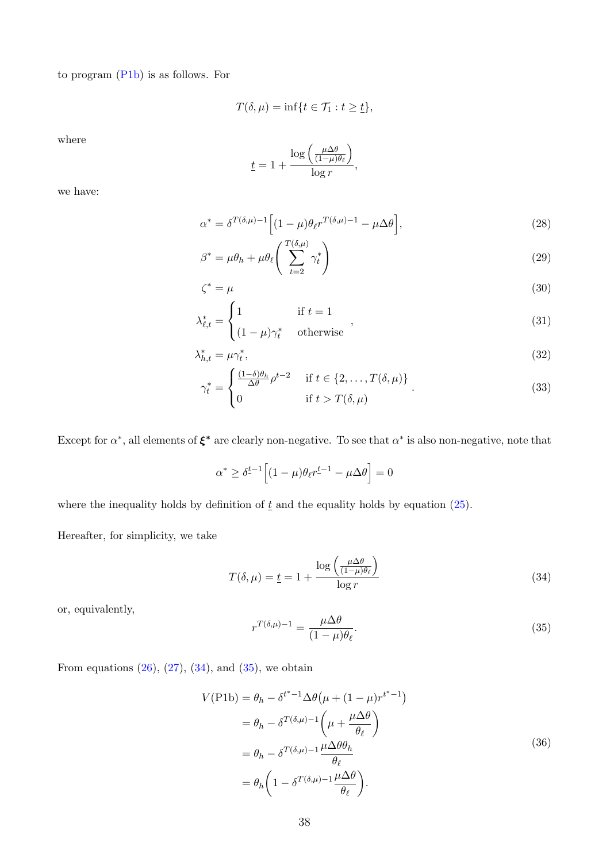to program [\(P1b\)](#page-33-4) is as follows. For

$$
T(\delta,\mu)=\inf\{t\in\mathcal{T}_1:t\geq\underline{t}\},\
$$

where

<span id="page-37-4"></span><span id="page-37-2"></span>
$$
\underline{t} = 1 + \frac{\log\left(\frac{\mu \Delta \theta}{(1-\mu)\theta_{\ell}}\right)}{\log r},
$$

we have:

$$
\alpha^* = \delta^{T(\delta,\mu)-1} \Big[ (1-\mu)\theta_{\ell} r^{T(\delta,\mu)-1} - \mu \Delta \theta \Big],\tag{28}
$$

$$
\beta^* = \mu \theta_h + \mu \theta_\ell \left( \sum_{t=2}^{T(\delta,\mu)} \gamma_t^* \right) \tag{29}
$$

$$
\zeta^* = \mu \tag{30}
$$

$$
\lambda_{\ell,t}^* = \begin{cases} 1 & \text{if } t = 1 \\ (1 - \mu)\gamma_t^* & \text{otherwise} \end{cases} \tag{31}
$$

$$
\lambda_{h,t}^* = \mu \gamma_t^*,\tag{32}
$$

<span id="page-37-3"></span>
$$
\gamma_t^* = \begin{cases} \frac{(1-\delta)\theta_h}{\Delta \theta} \rho^{t-2} & \text{if } t \in \{2, \dots, T(\delta, \mu)\} \\ 0 & \text{if } t > T(\delta, \mu) \end{cases}
$$
(33)

Except for  $\alpha^*$ , all elements of  $\xi^*$  are clearly non-negative. To see that  $\alpha^*$  is also non-negative, note that

<span id="page-37-5"></span>
$$
\alpha^* \ge \delta^{\underline{t}-1} \Big[ (1-\mu)\theta_\ell r^{\underline{t}-1} - \mu \Delta \theta \Big] = 0
$$

where the inequality holds by definition of  $\underline{t}$  and the equality holds by equation [\(25\)](#page-36-0).

Hereafter, for simplicity, we take

<span id="page-37-0"></span>
$$
T(\delta, \mu) = \underline{t} = 1 + \frac{\log\left(\frac{\mu \Delta \theta}{(1 - \mu)\theta_{\ell}}\right)}{\log r}
$$
\n(34)

or, equivalently,

<span id="page-37-1"></span>
$$
r^{T(\delta,\mu)-1} = \frac{\mu \Delta \theta}{(1-\mu)\theta_{\ell}}.\tag{35}
$$

<span id="page-37-6"></span>From equations  $(26)$ ,  $(27)$ ,  $(34)$ , and  $(35)$ , we obtain

$$
V(\text{P1b}) = \theta_h - \delta^{t^* - 1} \Delta \theta \left( \mu + (1 - \mu) r^{t^* - 1} \right)
$$
  
=  $\theta_h - \delta^{T(\delta, \mu) - 1} \left( \mu + \frac{\mu \Delta \theta}{\theta_\ell} \right)$   
=  $\theta_h - \delta^{T(\delta, \mu) - 1} \frac{\mu \Delta \theta \theta_h}{\theta_\ell}$   
=  $\theta_h \left( 1 - \delta^{T(\delta, \mu) - 1} \frac{\mu \Delta \theta}{\theta_\ell} \right).$  (36)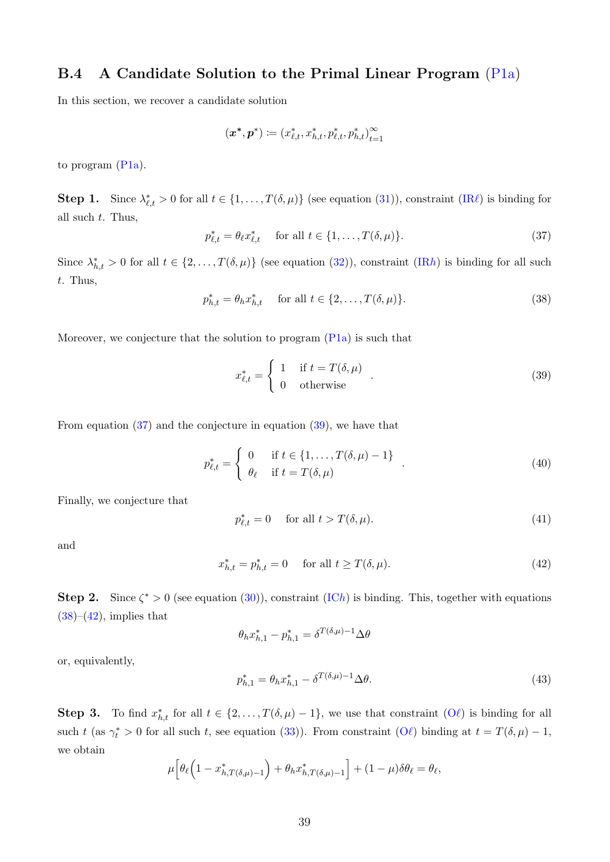# <span id="page-38-4"></span>B.4 A Candidate Solution to the Primal Linear Program [\(P1a\)](#page-32-1)

In this section, we recover a candidate solution

$$
(\boldsymbol{x}^*, \boldsymbol{p}^*) \coloneqq (x_{\ell,t}^*, x_{h,t}^*, p_{\ell,t}^*, p_{h,t}^*)_{t=1}^\infty
$$

to program [\(P1a\)](#page-32-1).

**Step 1.** Since  $\lambda_{\ell,t}^* > 0$  for all  $t \in \{1, \ldots, T(\delta, \mu)\}\$  (see equation [\(31\)](#page-37-2)), constraint [\(IR](#page-32-7) $\ell$ ) is binding for all such  $t$ . Thus,

<span id="page-38-0"></span>
$$
p_{\ell,t}^* = \theta_{\ell} x_{\ell,t}^* \quad \text{ for all } t \in \{1, \dots, T(\delta, \mu)\}.
$$
 (37)

Since  $\lambda_{h,t}^* > 0$  for all  $t \in \{2,\ldots,T(\delta,\mu)\}\$  (see equation [\(32\)](#page-37-3)), constraint [\(IR](#page-33-0)h) is binding for all such t. Thus,

<span id="page-38-2"></span>
$$
p_{h,t}^* = \theta_h x_{h,t}^* \quad \text{ for all } t \in \{2, ..., T(\delta, \mu)\}.
$$
 (38)

Moreover, we conjecture that the solution to program  $(Pla)$  is such that

<span id="page-38-1"></span>
$$
x_{\ell,t}^* = \begin{cases} 1 & \text{if } t = T(\delta, \mu) \\ 0 & \text{otherwise} \end{cases} . \tag{39}
$$

From equation [\(37\)](#page-38-0) and the conjecture in equation [\(39\)](#page-38-1), we have that

$$
p_{\ell,t}^* = \begin{cases} 0 & \text{if } t \in \{1, \dots, T(\delta, \mu) - 1\} \\ \theta_\ell & \text{if } t = T(\delta, \mu) \end{cases} \tag{40}
$$

Finally, we conjecture that

$$
p_{\ell,t}^* = 0 \quad \text{ for all } t > T(\delta, \mu). \tag{41}
$$

and

<span id="page-38-3"></span>
$$
x_{h,t}^* = p_{h,t}^* = 0 \quad \text{ for all } t \ge T(\delta, \mu). \tag{42}
$$

Step 2. Since  $\zeta^* > 0$  (see equation [\(30\)](#page-37-4)), constraint [\(IC](#page-32-6)h) is binding. This, together with equations  $(38)–(42)$  $(38)–(42)$  $(38)–(42)$ , implies that

$$
\theta_h x_{h,1}^* - p_{h,1}^* = \delta^{T(\delta,\mu)-1} \Delta \theta
$$

or, equivalently,

<span id="page-38-5"></span>
$$
p_{h,1}^* = \theta_h x_{h,1}^* - \delta^{T(\delta,\mu)-1} \Delta \theta.
$$
\n(43)

**Step 3.** To find  $x_{h,t}^*$  for all  $t \in \{2,\ldots,T(\delta,\mu)-1\}$ , we use that constraint  $(O\ell)$  $(O\ell)$  is binding for all such t (as  $\gamma_t^* > 0$  for all such t, see equation [\(33\)](#page-37-5)). From constraint  $(O\ell)$  $(O\ell)$  binding at  $t = T(\delta, \mu) - 1$ , we obtain

$$
\mu\Big[\theta_{\ell}\Big(1-x_{h,T(\delta,\mu)-1}^*\Big)+\theta_hx_{h,T(\delta,\mu)-1}^*\Big]+(1-\mu)\delta\theta_{\ell}=\theta_{\ell},
$$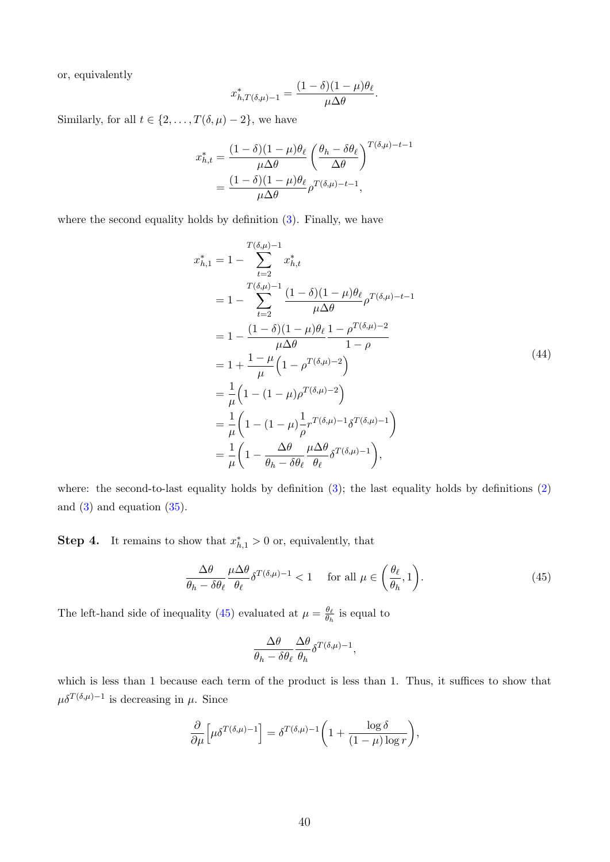or, equivalently

$$
x_{h,T(\delta,\mu)-1}^* = \frac{(1-\delta)(1-\mu)\theta_\ell}{\mu\Delta\theta}.
$$

Similarly, for all  $t \in \{2, ..., T(\delta, \mu) - 2\}$ , we have

$$
x_{h,t}^* = \frac{(1 - \delta)(1 - \mu)\theta_\ell}{\mu \Delta \theta} \left(\frac{\theta_h - \delta \theta_\ell}{\Delta \theta}\right)^{T(\delta,\mu)-t-1}
$$

$$
= \frac{(1 - \delta)(1 - \mu)\theta_\ell}{\mu \Delta \theta} \rho^{T(\delta,\mu)-t-1},
$$

<span id="page-39-1"></span>where the second equality holds by definition  $(3)$ . Finally, we have

$$
x_{h,1}^{*} = 1 - \sum_{t=2}^{T(\delta,\mu)-1} x_{h,t}^{*}
$$
  
=  $1 - \sum_{t=2}^{T(\delta,\mu)-1} \frac{(1-\delta)(1-\mu)\theta_{\ell}}{\mu\Delta\theta} \rho^{T(\delta,\mu)-t-1}$   
=  $1 - \frac{(1-\delta)(1-\mu)\theta_{\ell}}{\mu\Delta\theta} \frac{1-\rho^{T(\delta,\mu)-2}}{1-\rho}$   
=  $1 + \frac{1-\mu}{\mu} \left(1 - \rho^{T(\delta,\mu)-2}\right)$   
=  $\frac{1}{\mu} \left(1 - (1-\mu)\rho^{T(\delta,\mu)-2}\right)$   
=  $\frac{1}{\mu} \left(1 - (1-\mu)\frac{1}{\rho}r^{T(\delta,\mu)-1}\delta^{T(\delta,\mu)-1}\right)$   
=  $\frac{1}{\mu} \left(1 - \frac{\Delta\theta}{\theta_h - \delta\theta_{\ell}} \frac{\mu\Delta\theta}{\theta_{\ell}} \delta^{T(\delta,\mu)-1}\right),$  (44)

where: the second-to-last equality holds by definition  $(3)$ ; the last equality holds by definitions  $(2)$ and  $(3)$  and equation  $(35)$ .

**Step 4.** It remains to show that  $x_{h,1}^* > 0$  or, equivalently, that

<span id="page-39-0"></span>
$$
\frac{\Delta\theta}{\theta_h - \delta\theta_\ell} \frac{\mu \Delta\theta}{\theta_\ell} \delta^{T(\delta,\mu)-1} < 1 \quad \text{for all } \mu \in \left(\frac{\theta_\ell}{\theta_h}, 1\right). \tag{45}
$$

The left-hand side of inequality [\(45\)](#page-39-0) evaluated at  $\mu = \frac{\theta_{\ell}}{\theta_{\ell}}$  $\frac{\theta_{\ell}}{\theta_h}$  is equal to

$$
\frac{\Delta \theta}{\theta_h - \delta \theta_\ell} \frac{\Delta \theta}{\theta_h} \delta^{T(\delta,\mu)-1},
$$

which is less than 1 because each term of the product is less than 1. Thus, it suffices to show that  $\mu \delta^{T(\delta,\mu)-1}$  is decreasing in  $\mu$ . Since

$$
\frac{\partial}{\partial \mu} \left[ \mu \delta^{T(\delta,\mu)-1} \right] = \delta^{T(\delta,\mu)-1} \left( 1 + \frac{\log \delta}{(1-\mu)\log r} \right),
$$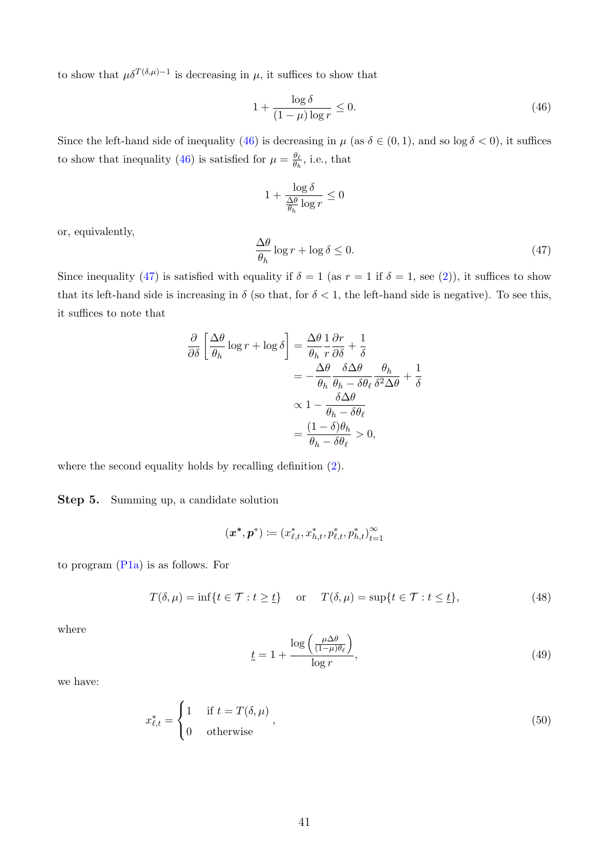to show that  $\mu \delta^{T(\delta,\mu)-1}$  is decreasing in  $\mu$ , it suffices to show that

<span id="page-40-0"></span>
$$
1 + \frac{\log \delta}{(1 - \mu)\log r} \le 0. \tag{46}
$$

Since the left-hand side of inequality [\(46\)](#page-40-0) is decreasing in  $\mu$  (as  $\delta \in (0,1)$ , and so log  $\delta < 0$ ), it suffices to show that inequality [\(46\)](#page-40-0) is satisfied for  $\mu = \frac{\theta_{\ell}}{\theta_{\ell}}$  $\frac{\theta_{\ell}}{\theta_h}$ , i.e., that

$$
1+\frac{\log\delta}{\frac{\Delta\theta}{\theta_h}\log r}\leq 0
$$

or, equivalently,

<span id="page-40-1"></span>
$$
\frac{\Delta\theta}{\theta_h}\log r + \log \delta \le 0. \tag{47}
$$

Since inequality [\(47\)](#page-40-1) is satisfied with equality if  $\delta = 1$  (as  $r = 1$  if  $\delta = 1$ , see [\(2\)](#page-32-2)), it suffices to show that its left-hand side is increasing in  $\delta$  (so that, for  $\delta < 1$ , the left-hand side is negative). To see this, it suffices to note that

$$
\frac{\partial}{\partial \delta} \left[ \frac{\Delta \theta}{\theta_h} \log r + \log \delta \right] = \frac{\Delta \theta}{\theta_h} \frac{1}{r} \frac{\partial r}{\partial \delta} + \frac{1}{\delta}
$$

$$
= -\frac{\Delta \theta}{\theta_h} \frac{\delta \Delta \theta}{\theta_h - \delta \theta_\ell} \frac{\theta_h}{\delta^2 \Delta \theta} + \frac{1}{\delta}
$$

$$
\propto 1 - \frac{\delta \Delta \theta}{\theta_h - \delta \theta_\ell}
$$

$$
= \frac{(1 - \delta)\theta_h}{\theta_h - \delta \theta_\ell} > 0,
$$

where the second equality holds by recalling definition [\(2\)](#page-32-2).

Step 5. Summing up, a candidate solution

$$
(\boldsymbol{x}^*, \boldsymbol{p}^*) \coloneqq (x_{\ell,t}^*, x_{h,t}^*, p_{\ell,t}^*, p_{h,t}^*)_{t=1}^\infty
$$

to program [\(P1a\)](#page-32-1) is as follows. For

<span id="page-40-3"></span>
$$
T(\delta, \mu) = \inf\{t \in \mathcal{T} : t \ge \underline{t}\} \quad \text{or} \quad T(\delta, \mu) = \sup\{t \in \mathcal{T} : t \le \underline{t}\},\tag{48}
$$

where

<span id="page-40-4"></span><span id="page-40-2"></span>
$$
\underline{t} = 1 + \frac{\log\left(\frac{\mu \Delta \theta}{(1-\mu)\theta_{\ell}}\right)}{\log r},\tag{49}
$$

we have:

$$
x_{\ell,t}^* = \begin{cases} 1 & \text{if } t = T(\delta, \mu) \\ 0 & \text{otherwise} \end{cases} \tag{50}
$$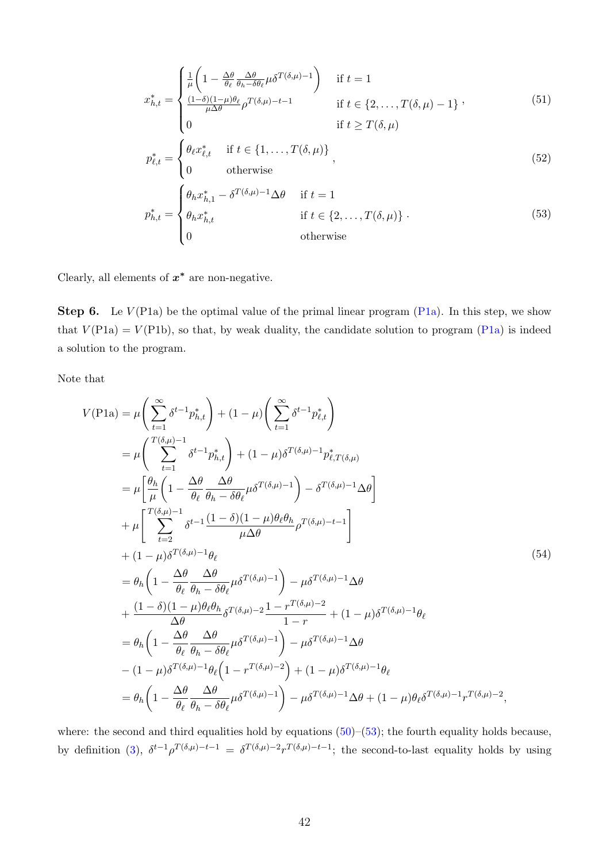<span id="page-41-3"></span><span id="page-41-2"></span><span id="page-41-0"></span>
$$
x_{h,t}^{*} = \begin{cases} \frac{1}{\mu} \left( 1 - \frac{\Delta \theta}{\theta_{\ell}} \frac{\Delta \theta}{\theta_{h} - \delta \theta_{\ell}} \mu \delta^{T(\delta,\mu)-1} \right) & \text{if } t = 1\\ \frac{(1-\delta)(1-\mu)\theta_{\ell}}{\mu\Delta \theta} \rho^{T(\delta,\mu)-t-1} & \text{if } t \in \{2,\ldots,T(\delta,\mu)-1\} \end{cases},
$$
\n
$$
p_{\ell,t}^{*} = \begin{cases} \theta_{\ell} x_{\ell,t}^{*} & \text{if } t \in \{1,\ldots,T(\delta,\mu)\} \\ 0 & \text{otherwise} \end{cases},
$$
\n
$$
p_{h,t}^{*} = \begin{cases} \theta_{h} x_{h,1}^{*} - \delta^{T(\delta,\mu)-1} \Delta \theta & \text{if } t = 1 \\ \theta_{h} x_{h,t}^{*} & \text{if } t \in \{2,\ldots,T(\delta,\mu)\} \\ 0 & \text{otherwise} \end{cases}
$$
\n(53)\n
$$
0
$$

Clearly, all elements of  $x^*$  are non-negative.

**Step 6.** Le  $V(\text{P1a})$  be the optimal value of the primal linear program  $(\text{P1a})$ . In this step, we show that  $V(\text{P1a}) = V(\text{P1b})$ , so that, by weak duality, the candidate solution to program [\(P1a\)](#page-32-1) is indeed a solution to the program.

Note that

<span id="page-41-1"></span>
$$
V(\text{P1a}) = \mu \left( \sum_{t=1}^{\infty} \delta^{t-1} p_{h,t}^{*} \right) + (1 - \mu) \left( \sum_{t=1}^{\infty} \delta^{t-1} p_{\ell,t}^{*} \right)
$$
  
\n
$$
= \mu \left( \sum_{t=1}^{T(\delta,\mu)-1} \delta^{t-1} p_{h,t}^{*} \right) + (1 - \mu) \delta^{T(\delta,\mu)-1} p_{\ell,T(\delta,\mu)}^{*}
$$
  
\n
$$
= \mu \left[ \frac{\theta_h}{\mu} \left( 1 - \frac{\Delta \theta}{\theta_{\ell}} \frac{\Delta \theta}{\theta_h - \delta \theta_{\ell}} \mu \delta^{T(\delta,\mu)-1} \right) - \delta^{T(\delta,\mu)-1} \Delta \theta \right]
$$
  
\n
$$
+ \mu \left[ \sum_{t=2}^{T(\delta,\mu)-1} \delta^{t-1} \frac{(1 - \delta)(1 - \mu) \theta_{\ell} \theta_h}{\mu \Delta \theta} \rho^{T(\delta,\mu)-t-1} \right]
$$
  
\n
$$
+ (1 - \mu) \delta^{T(\delta,\mu)-1} \theta_{\ell}
$$
  
\n
$$
= \theta_h \left( 1 - \frac{\Delta \theta}{\theta_{\ell}} \frac{\Delta \theta}{\theta_h - \delta \theta_{\ell}} \mu \delta^{T(\delta,\mu)-1} \right) - \mu \delta^{T(\delta,\mu)-1} \Delta \theta
$$
  
\n
$$
+ \frac{(1 - \delta)(1 - \mu) \theta_{\ell} \theta_h}{\Delta \theta} \delta^{T(\delta,\mu)-2} \frac{1 - r^{T(\delta,\mu)-2}}{1 - r} + (1 - \mu) \delta^{T(\delta,\mu)-1} \theta_{\ell}
$$
  
\n
$$
= \theta_h \left( 1 - \frac{\Delta \theta}{\theta_{\ell}} \frac{\Delta \theta}{\theta_h - \delta \theta_{\ell}} \mu \delta^{T(\delta,\mu)-1} \right) - \mu \delta^{T(\delta,\mu)-1} \Delta \theta
$$
  
\n
$$
- (1 - \mu) \delta^{T(\delta,\mu)-1} \theta_{\ell} \left( 1 - r^{T(\delta,\mu)-2} \right) + (1 - \mu) \delta^{T(\delta,\mu)-1} \theta_{\ell}
$$
  
\n
$$
= \theta_h \left( 1 - \frac
$$

where: the second and third equalities hold by equations  $(50)$ – $(53)$ ; the fourth equality holds because, by definition [\(3\)](#page-32-3),  $\delta^{t-1} \rho^{T(\delta,\mu)-t-1} = \delta^{T(\delta,\mu)-2} r^{T(\delta,\mu)-t-1}$ ; the second-to-last equality holds by using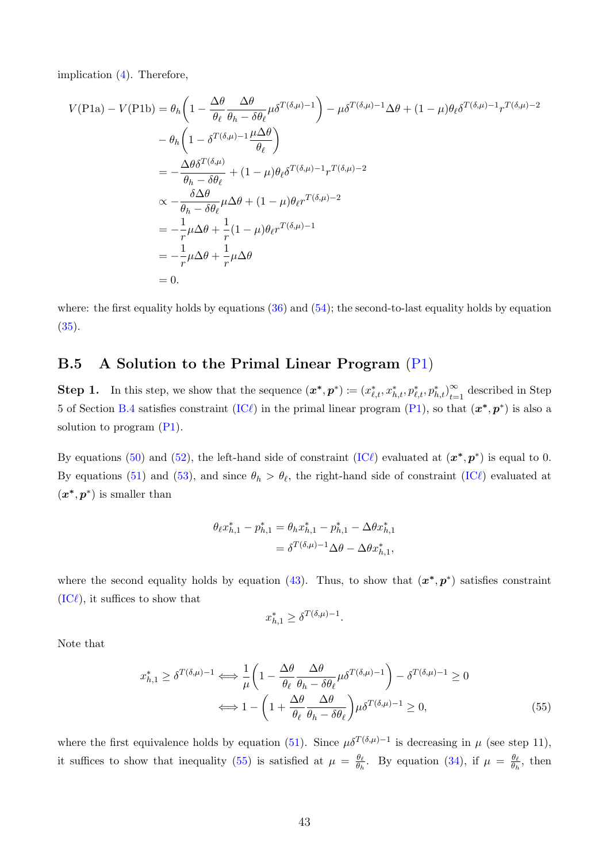implication [\(4\)](#page-32-9). Therefore,

$$
V(\text{P1a}) - V(\text{P1b}) = \theta_h \left( 1 - \frac{\Delta \theta}{\theta_\ell} \frac{\Delta \theta}{\theta_h - \delta \theta_\ell} \mu \delta^{T(\delta, \mu) - 1} \right) - \mu \delta^{T(\delta, \mu) - 1} \Delta \theta + (1 - \mu) \theta_\ell \delta^{T(\delta, \mu) - 1} r^{T(\delta, \mu) - 2}
$$
  
\n
$$
- \theta_h \left( 1 - \delta^{T(\delta, \mu) - 1} \frac{\mu \Delta \theta}{\theta_\ell} \right)
$$
  
\n
$$
= -\frac{\Delta \theta \delta^{T(\delta, \mu)}}{\theta_h - \delta \theta_\ell} + (1 - \mu) \theta_\ell \delta^{T(\delta, \mu) - 1} r^{T(\delta, \mu) - 2}
$$
  
\n
$$
\propto -\frac{\delta \Delta \theta}{\theta_h - \delta \theta_\ell} \mu \Delta \theta + (1 - \mu) \theta_\ell r^{T(\delta, \mu) - 2}
$$
  
\n
$$
= -\frac{1}{r} \mu \Delta \theta + \frac{1}{r} (1 - \mu) \theta_\ell r^{T(\delta, \mu) - 1}
$$
  
\n
$$
= -\frac{1}{r} \mu \Delta \theta + \frac{1}{r} \mu \Delta \theta
$$
  
\n= 0.

where: the first equality holds by equations  $(36)$  and  $(54)$ ; the second-to-last equality holds by equation  $(35).$  $(35).$ 

### <span id="page-42-0"></span>B.5 A Solution to the Primal Linear Program [\(P1\)](#page-24-8)

**Step 1.** In this step, we show that the sequence  $(\boldsymbol{x}^*, \boldsymbol{p}^*) \coloneqq (x_{\ell,t}^*, x_{h,t}^*, p_{\ell,t}^*, p_{h,t}^*)_{t=0}^\infty$  $\sum_{t=1}^{\infty}$  described in Step 5 of Section [B.4](#page-38-4) satisfies constraint [\(IC](#page-24-3) $\ell$ ) in the primal linear program [\(P1\)](#page-24-8), so that  $(x^*, p^*)$  is also a solution to program  $(P1)$ .

By equations [\(50\)](#page-40-2) and [\(52\)](#page-41-2), the left-hand side of constraint [\(IC](#page-24-3) $\ell$ ) evaluated at  $(x^*, p^*)$  is equal to 0. By equations [\(51\)](#page-41-3) and [\(53\)](#page-41-0), and since  $\theta_h > \theta_{\ell}$ , the right-hand side of constraint [\(IC](#page-24-3) $\ell$ ) evaluated at  $(x^*, p^*)$  is smaller than

$$
\theta_{\ell} x_{h,1}^{*} - p_{h,1}^{*} = \theta_{h} x_{h,1}^{*} - p_{h,1}^{*} - \Delta \theta x_{h,1}^{*}
$$

$$
= \delta^{T(\delta,\mu)-1} \Delta \theta - \Delta \theta x_{h,1}^{*},
$$

where the second equality holds by equation [\(43\)](#page-38-5). Thus, to show that  $(x^*, p^*)$  satisfies constraint  $(IC\ell)$  $(IC\ell)$ , it suffices to show that

<span id="page-42-1"></span>
$$
x_{h,1}^* \ge \delta^{T(\delta,\mu)-1}.
$$

Note that

$$
x_{h,1}^{*} \ge \delta^{T(\delta,\mu)-1} \Longleftrightarrow \frac{1}{\mu} \left( 1 - \frac{\Delta\theta}{\theta_{\ell}} \frac{\Delta\theta}{\theta_{h} - \delta\theta_{\ell}} \mu \delta^{T(\delta,\mu)-1} \right) - \delta^{T(\delta,\mu)-1} \ge 0
$$

$$
\Longleftrightarrow 1 - \left( 1 + \frac{\Delta\theta}{\theta_{\ell}} \frac{\Delta\theta}{\theta_{h} - \delta\theta_{\ell}} \right) \mu \delta^{T(\delta,\mu)-1} \ge 0,
$$
(55)

where the first equivalence holds by equation [\(51\)](#page-41-3). Since  $\mu \delta^{T(\delta,\mu)-1}$  is decreasing in  $\mu$  (see step 11), it suffices to show that inequality [\(55\)](#page-42-1) is satisfied at  $\mu = \frac{\theta_{\ell}}{\theta_{\ell}}$  $\frac{\theta_{\ell}}{\theta_h}$ . By equation [\(34\)](#page-37-0), if  $\mu = \frac{\theta_{\ell}}{\theta_h}$  $\frac{\theta_{\ell}}{\theta_h}$ , then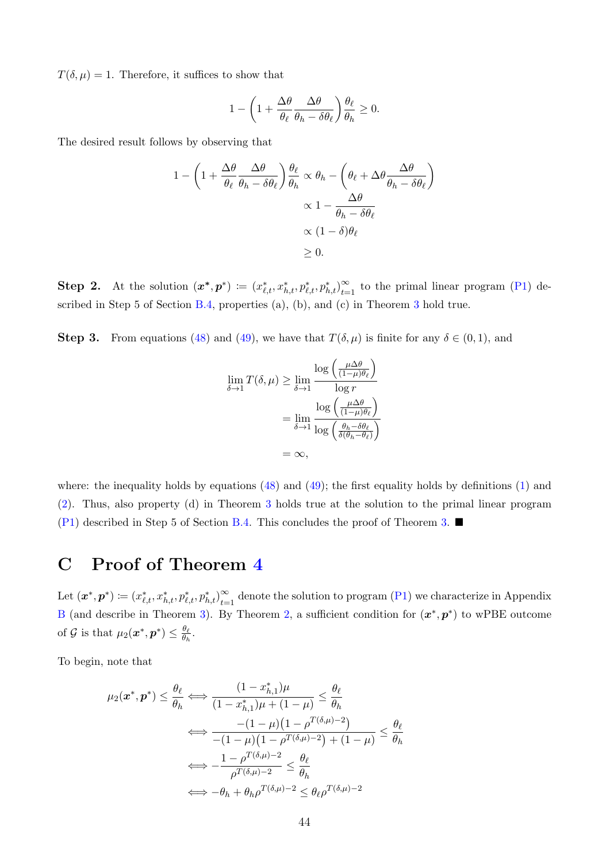$T(\delta, \mu) = 1$ . Therefore, it suffices to show that

$$
1 - \left(1 + \frac{\Delta\theta}{\theta_{\ell}} \frac{\Delta\theta}{\theta_h - \delta\theta_{\ell}}\right) \frac{\theta_{\ell}}{\theta_h} \ge 0.
$$

The desired result follows by observing that

$$
1 - \left(1 + \frac{\Delta\theta}{\theta_{\ell}} \frac{\Delta\theta}{\theta_{h} - \delta\theta_{\ell}}\right) \frac{\theta_{\ell}}{\theta_{h}} \propto \theta_{h} - \left(\theta_{\ell} + \Delta\theta \frac{\Delta\theta}{\theta_{h} - \delta\theta_{\ell}}\right)
$$

$$
\propto 1 - \frac{\Delta\theta}{\theta_{h} - \delta\theta_{\ell}}
$$

$$
\propto (1 - \delta)\theta_{\ell}
$$

$$
\geq 0.
$$

**Step 2.** At the solution  $(x^*, p^*) \coloneqq (x_{\ell,t}^*, x_{h,t}^*, p_{\ell,t}^*, p_{h,t}^*)_{t=0}^\infty$  $\sum_{t=1}^{\infty}$  to the primal linear program [\(P1\)](#page-24-8) de-scribed in Step 5 of Section [B.4,](#page-38-4) properties (a), (b), and (c) in Theorem [3](#page-25-0) hold true.

**Step 3.** From equations [\(48\)](#page-40-3) and [\(49\)](#page-40-4), we have that  $T(\delta, \mu)$  is finite for any  $\delta \in (0, 1)$ , and

$$
\lim_{\delta \to 1} T(\delta, \mu) \ge \lim_{\delta \to 1} \frac{\log \left( \frac{\mu \Delta \theta}{(1 - \mu)\theta_{\ell}} \right)}{\log r}
$$

$$
= \lim_{\delta \to 1} \frac{\log \left( \frac{\mu \Delta \theta}{(1 - \mu)\theta_{\ell}} \right)}{\log \left( \frac{\theta_h - \delta \theta_{\ell}}{\delta(\theta_h - \theta_{\ell})} \right)}
$$

$$
= \infty,
$$

where: the inequality holds by equations  $(48)$  and  $(49)$ ; the first equality holds by definitions  $(1)$  and [\(2\)](#page-32-2). Thus, also property (d) in Theorem [3](#page-25-0) holds true at the solution to the primal linear program  $(P1)$  described in Step 5 of Section [B.4.](#page-38-4) This concludes the proof of Theorem [3.](#page-25-0)

# <span id="page-43-0"></span>C Proof of Theorem [4](#page-26-0)

Let  $(\bm{x}^*,\bm{p}^*)\coloneqq(x^*_{\ell,t},x^*_{h,t},p^*_{\ell,t},p^*_{h,t})_{t=0}^\infty$  $\sum_{t=1}^{\infty}$  denote the solution to program [\(P1\)](#page-24-8) we characterize in Appendix [B](#page-32-0) (and describe in Theorem [3\)](#page-25-0). By Theorem [2,](#page-22-1) a sufficient condition for  $(x^*, p^*)$  to wPBE outcome of G is that  $\mu_2(\boldsymbol{x}^*, \boldsymbol{p}^*) \leq \frac{\theta_{\ell}}{\theta_h}$  $\frac{\theta_{\ell}}{\theta_h}$ .

To begin, note that

$$
\mu_2(\mathbf{x}^*, \mathbf{p}^*) \leq \frac{\theta_\ell}{\theta_h} \Longleftrightarrow \frac{(1 - x_{h,1}^*)\mu}{(1 - x_{h,1}^*)\mu + (1 - \mu)} \leq \frac{\theta_\ell}{\theta_h}
$$

$$
\Longleftrightarrow \frac{-(1 - \mu)(1 - \rho^{T(\delta,\mu)-2})}{-(1 - \mu)(1 - \rho^{T(\delta,\mu)-2}) + (1 - \mu)} \leq \frac{\theta_\ell}{\theta_h}
$$

$$
\Longleftrightarrow -\frac{1 - \rho^{T(\delta,\mu)-2}}{\rho^{T(\delta,\mu)-2}} \leq \frac{\theta_\ell}{\theta_h}
$$

$$
\Longleftrightarrow -\theta_h + \theta_h \rho^{T(\delta,\mu)-2} \leq \theta_\ell \rho^{T(\delta,\mu)-2}
$$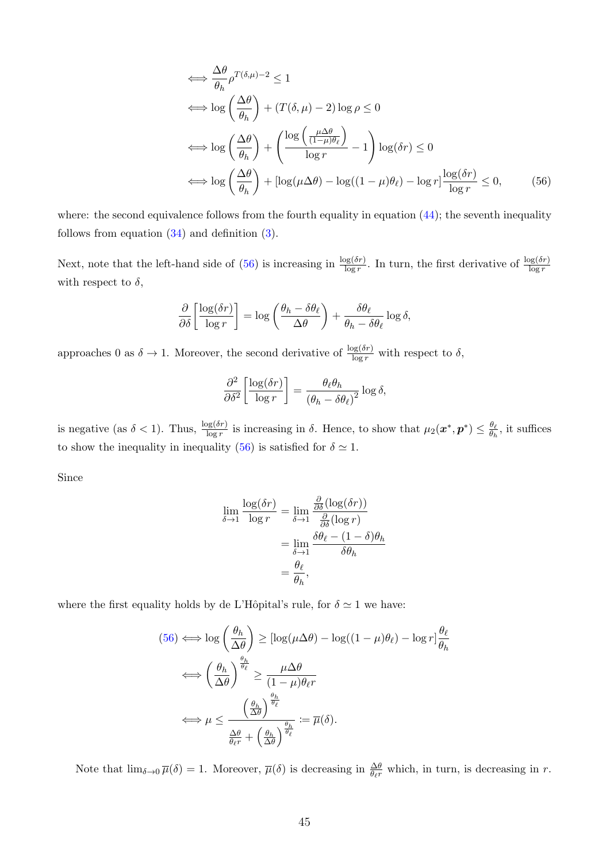<span id="page-44-0"></span>
$$
\iff \frac{\Delta\theta}{\theta_h} \rho^{T(\delta,\mu)-2} \le 1
$$
\n
$$
\iff \log\left(\frac{\Delta\theta}{\theta_h}\right) + (T(\delta,\mu)-2)\log\rho \le 0
$$
\n
$$
\iff \log\left(\frac{\Delta\theta}{\theta_h}\right) + \left(\frac{\log\left(\frac{\mu\Delta\theta}{(1-\mu)\theta_\ell}\right)}{\log r} - 1\right)\log(\delta r) \le 0
$$
\n
$$
\iff \log\left(\frac{\Delta\theta}{\theta_h}\right) + \left[\log(\mu\Delta\theta) - \log((1-\mu)\theta_\ell) - \log r\right]\frac{\log(\delta r)}{\log r} \le 0,\tag{56}
$$

where: the second equivalence follows from the fourth equality in equation  $(44)$ ; the seventh inequality follows from equation [\(34\)](#page-37-0) and definition [\(3\)](#page-32-3).

Next, note that the left-hand side of [\(56\)](#page-44-0) is increasing in  $\frac{\log(\delta r)}{\log r}$ . In turn, the first derivative of  $\frac{\log(\delta r)}{\log r}$ with respect to  $\delta$ ,

$$
\frac{\partial}{\partial \delta} \left[ \frac{\log(\delta r)}{\log r} \right] = \log \left( \frac{\theta_h - \delta \theta_\ell}{\Delta \theta} \right) + \frac{\delta \theta_\ell}{\theta_h - \delta \theta_\ell} \log \delta,
$$

approaches 0 as  $\delta \to 1$ . Moreover, the second derivative of  $\frac{\log(\delta r)}{\log r}$  with respect to  $\delta$ ,

$$
\frac{\partial^2}{\partial \delta^2} \left[ \frac{\log(\delta r)}{\log r} \right] = \frac{\theta_\ell \theta_h}{(\theta_h - \delta \theta_\ell)^2} \log \delta,
$$

is negative (as  $\delta < 1$ ). Thus,  $\frac{\log(\delta r)}{\log r}$  is increasing in  $\delta$ . Hence, to show that  $\mu_2(\boldsymbol{x}^*, \boldsymbol{p}^*) \leq \frac{\theta_{\ell}}{\theta_{\ell}}$  $\frac{\theta_{\ell}}{\theta_h}$ , it suffices to show the inequality in inequality [\(56\)](#page-44-0) is satisfied for  $\delta \simeq 1$ .

Since

$$
\lim_{\delta \to 1} \frac{\log(\delta r)}{\log r} = \lim_{\delta \to 1} \frac{\frac{\partial}{\partial \delta} (\log(\delta r))}{\frac{\partial}{\partial \delta} (\log r)}
$$

$$
= \lim_{\delta \to 1} \frac{\delta \theta_{\ell} - (1 - \delta) \theta_h}{\delta \theta_h}
$$

$$
= \frac{\theta_{\ell}}{\theta_h},
$$

where the first equality holds by de L'Hôpital's rule, for  $\delta \simeq 1$  we have:

$$
(56) \iff \log\left(\frac{\theta_h}{\Delta\theta}\right) \geq [\log(\mu\Delta\theta) - \log((1-\mu)\theta_{\ell}) - \log r]\frac{\theta_{\ell}}{\theta_h}
$$

$$
\iff \left(\frac{\theta_h}{\Delta\theta}\right)^{\frac{\theta_h}{\theta_{\ell}}} \geq \frac{\mu\Delta\theta}{(1-\mu)\theta_{\ell}r}
$$

$$
\iff \mu \leq \frac{\left(\frac{\theta_h}{\Delta\theta}\right)^{\frac{\theta_h}{\theta_{\ell}}}}{\frac{\Delta\theta}{\theta_{\ell}r} + \left(\frac{\theta_h}{\Delta\theta}\right)^{\frac{\theta_h}{\theta_{\ell}}}} := \overline{\mu}(\delta).
$$

Note that  $\lim_{\delta \to 0} \overline{\mu}(\delta) = 1$ . Moreover,  $\overline{\mu}(\delta)$  is decreasing in  $\frac{\Delta \theta}{\theta_{\ell}r}$  which, in turn, is decreasing in r.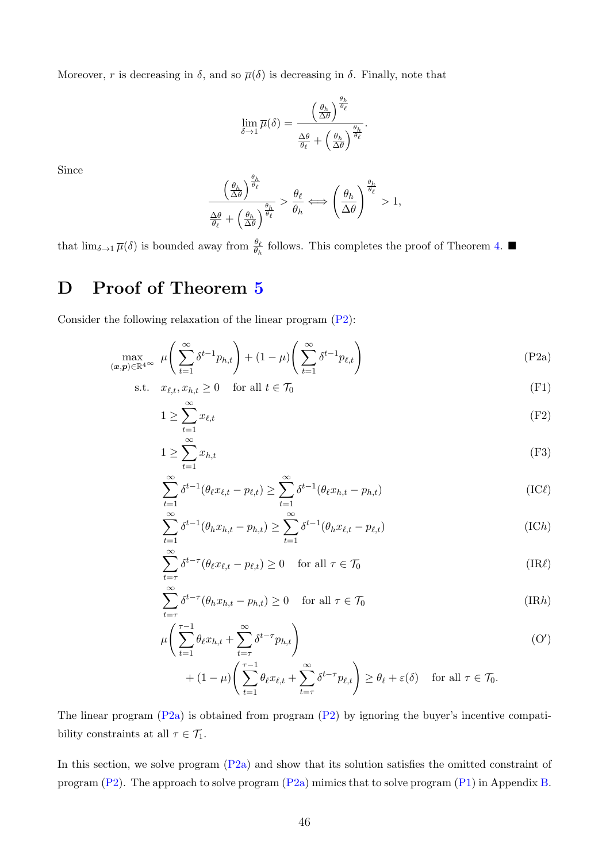Moreover, r is decreasing in  $\delta$ , and so  $\bar{\mu}(\delta)$  is decreasing in  $\delta$ . Finally, note that

$$
\lim_{\delta \to 1} \overline{\mu}(\delta) = \frac{\left(\frac{\theta_h}{\Delta \theta}\right)^{\frac{\theta_h}{\theta_\ell}}}{\frac{\Delta \theta}{\theta_\ell} + \left(\frac{\theta_h}{\Delta \theta}\right)^{\frac{\theta_h}{\theta_\ell}}}.
$$

Since

<span id="page-45-1"></span>
$$
\frac{\left(\frac{\theta_h}{\Delta \theta}\right)^{\frac{\theta_h}{\theta_\ell}}}{\frac{\Delta \theta}{\theta_\ell} + \left(\frac{\theta_h}{\Delta \theta}\right)^{\frac{\theta_h}{\theta_\ell}}} > \frac{\theta_\ell}{\theta_h} \Longleftrightarrow \left(\frac{\theta_h}{\Delta \theta}\right)^{\frac{\theta_h}{\theta_\ell}} > 1,
$$

that  $\lim_{\delta \to 1} \overline{\mu}(\delta)$  is bounded away from  $\frac{\theta_{\ell}}{\theta_h}$  follows. This completes the proof of Theorem [4.](#page-26-0)

# <span id="page-45-0"></span>D Proof of Theorem [5](#page-27-1)

Consider the following relaxation of the linear program [\(P2\)](#page-26-2):

$$
\max_{(\boldsymbol{x},\boldsymbol{p}) \in \mathbb{R}^{4}} \mu\left(\sum_{t=1}^{\infty} \delta^{t-1} p_{h,t}\right) + (1-\mu) \left(\sum_{t=1}^{\infty} \delta^{t-1} p_{\ell,t}\right)
$$
(P2a)

$$
\text{s.t.} \quad x_{\ell,t}, x_{h,t} \ge 0 \quad \text{ for all } t \in \mathcal{T}_0 \tag{F1}
$$

$$
1 \ge \sum_{t=1}^{\infty} x_{\ell,t} \tag{F2}
$$

$$
1 \ge \sum_{t=1}^{\infty} x_{h,t} \tag{F3}
$$

<span id="page-45-2"></span>
$$
\sum_{t=1}^{\infty} \delta^{t-1} (\theta_{\ell} x_{\ell,t} - p_{\ell,t}) \ge \sum_{t=1}^{\infty} \delta^{t-1} (\theta_{\ell} x_{h,t} - p_{h,t})
$$
\n(IC $\ell$ )

<span id="page-45-3"></span>
$$
\sum_{t=1}^{\infty} \delta^{t-1}(\theta_h x_{h,t} - p_{h,t}) \ge \sum_{t=1}^{\infty} \delta^{t-1}(\theta_h x_{\ell,t} - p_{\ell,t})
$$
\n(IC*h*)

$$
\sum_{t=\tau}^{\infty} \delta^{t-\tau} (\theta_{\ell} x_{\ell,t} - p_{\ell,t}) \ge 0 \quad \text{for all } \tau \in \mathcal{T}_0
$$
\n(IR $\ell$ )

$$
\sum_{t=\tau}^{\infty} \delta^{t-\tau} (\theta_h x_{h,t} - p_{h,t}) \ge 0 \quad \text{for all } \tau \in \mathcal{T}_0
$$
\n(IRh)

$$
\mu\left(\sum_{t=1}^{\tau-1} \theta_{\ell} x_{h,t} + \sum_{t=\tau}^{\infty} \delta^{t-\tau} p_{h,t}\right) \tag{O'}
$$

<span id="page-45-6"></span><span id="page-45-5"></span><span id="page-45-4"></span>
$$
+ (1 - \mu) \left( \sum_{t=1}^{\tau - 1} \theta_{\ell} x_{\ell,t} + \sum_{t=\tau}^{\infty} \delta^{t-\tau} p_{\ell,t} \right) \geq \theta_{\ell} + \varepsilon(\delta) \quad \text{ for all } \tau \in \mathcal{T}_{0}.
$$

The linear program  $(P2a)$  is obtained from program  $(P2)$  by ignoring the buyer's incentive compatibility constraints at all  $\tau \in \mathcal{T}_1$ .

In this section, we solve program  $(P2a)$  and show that its solution satisfies the omitted constraint of program [\(P2\)](#page-26-2). The approach to solve program [\(P2a\)](#page-45-1) mimics that to solve program [\(P1\)](#page-24-8) in Appendix [B.](#page-32-0)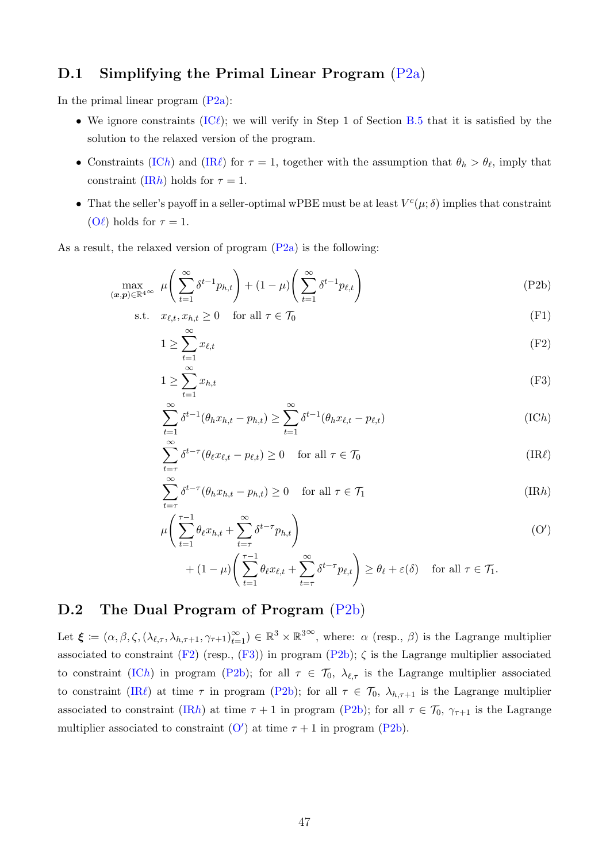### D.1 Simplifying the Primal Linear Program [\(P2a\)](#page-45-1)

In the primal linear program  $(P2a)$ :

- We ignore constraints [\(IC](#page-45-2) $\ell$ ); we will verify in Step 1 of Section [B.5](#page-42-0) that it is satisfied by the solution to the relaxed version of the program.
- Constraints [\(IC](#page-45-3)h) and [\(IR](#page-45-4) $\ell$ ) for  $\tau = 1$ , together with the assumption that  $\theta_h > \theta_{\ell}$ , imply that constraint [\(IR](#page-45-5)h) holds for  $\tau = 1$ .
- That the seller's payoff in a seller-optimal wPBE must be at least  $V^c(\mu; \delta)$  implies that constraint  $(O\ell)$  $(O\ell)$  holds for  $\tau = 1$ .

As a result, the relaxed version of program  $(P2a)$  is the following:

$$
\max_{(\boldsymbol{x},\boldsymbol{p}) \in \mathbb{R}^{4}} \mu\left(\sum_{t=1}^{\infty} \delta^{t-1} p_{h,t}\right) + (1-\mu) \left(\sum_{t=1}^{\infty} \delta^{t-1} p_{\ell,t}\right) \tag{P2b}
$$

$$
\text{s.t.} \quad x_{\ell,t}, x_{h,t} \ge 0 \quad \text{for all } \tau \in \mathcal{T}_0 \tag{F1}
$$

<span id="page-46-0"></span>
$$
1 \ge \sum_{t=1}^{\infty} x_{\ell,t} \tag{F2}
$$

<span id="page-46-2"></span><span id="page-46-1"></span>
$$
1 \ge \sum_{t=1}^{\infty} x_{h,t} \tag{F3}
$$

<span id="page-46-3"></span>
$$
\sum_{t=1}^{\infty} \delta^{t-1}(\theta_h x_{h,t} - p_{h,t}) \ge \sum_{t=1}^{\infty} \delta^{t-1}(\theta_h x_{\ell,t} - p_{\ell,t})
$$
\n(IC*h*)

$$
\sum_{t=\tau}^{\infty} \delta^{t-\tau} (\theta_{\ell} x_{\ell,t} - p_{\ell,t}) \ge 0 \quad \text{for all } \tau \in \mathcal{T}_0
$$
\n(IR $\ell$ )

$$
\sum_{t=\tau}^{\infty} \delta^{t-\tau} (\theta_h x_{h,t} - p_{h,t}) \ge 0 \quad \text{for all } \tau \in \mathcal{T}_1
$$
\n(IRh)

$$
\mu\left(\sum_{t=1}^{\tau-1} \theta_t x_{h,t} + \sum_{t=\tau}^{\infty} \delta^{t-\tau} p_{h,t}\right) \tag{O'}
$$

<span id="page-46-6"></span><span id="page-46-5"></span><span id="page-46-4"></span>
$$
+ (1 - \mu) \left( \sum_{t=1}^{\tau - 1} \theta_{\ell} x_{\ell,t} + \sum_{t=\tau}^{\infty} \delta^{t-\tau} p_{\ell,t} \right) \ge \theta_{\ell} + \varepsilon(\delta) \quad \text{for all } \tau \in \mathcal{T}_1.
$$

# D.2 The Dual Program of Program [\(P2b\)](#page-46-0)

Let  $\boldsymbol{\xi} := (\alpha, \beta, \zeta, (\lambda_{\ell,\tau}, \lambda_{h,\tau+1}, \gamma_{\tau+1})_{t=1}^{\infty}) \in \mathbb{R}^{3} \times \mathbb{R}^{3}$ , where:  $\alpha$  (resp.,  $\beta$ ) is the Lagrange multiplier associated to constraint [\(F2\)](#page-46-1) (resp.,  $(F3)$ ) in program [\(P2b\)](#page-46-0);  $\zeta$  is the Lagrange multiplier associated to constraint [\(IC](#page-46-3)h) in program [\(P2b\)](#page-46-0); for all  $\tau \in \mathcal{T}_0$ ,  $\lambda_{\ell,\tau}$  is the Lagrange multiplier associated to constraint [\(IR](#page-46-4) $\ell$ ) at time  $\tau$  in program [\(P2b\)](#page-46-0); for all  $\tau \in \mathcal{T}_0$ ,  $\lambda_{h,\tau+1}$  is the Lagrange multiplier associated to constraint [\(IR](#page-46-5)h) at time  $\tau + 1$  in program [\(P2b\)](#page-46-0); for all  $\tau \in \mathcal{T}_0$ ,  $\gamma_{\tau+1}$  is the Lagrange multiplier associated to constraint  $(O')$  $(O')$  at time  $\tau + 1$  in program [\(P2b\)](#page-46-0).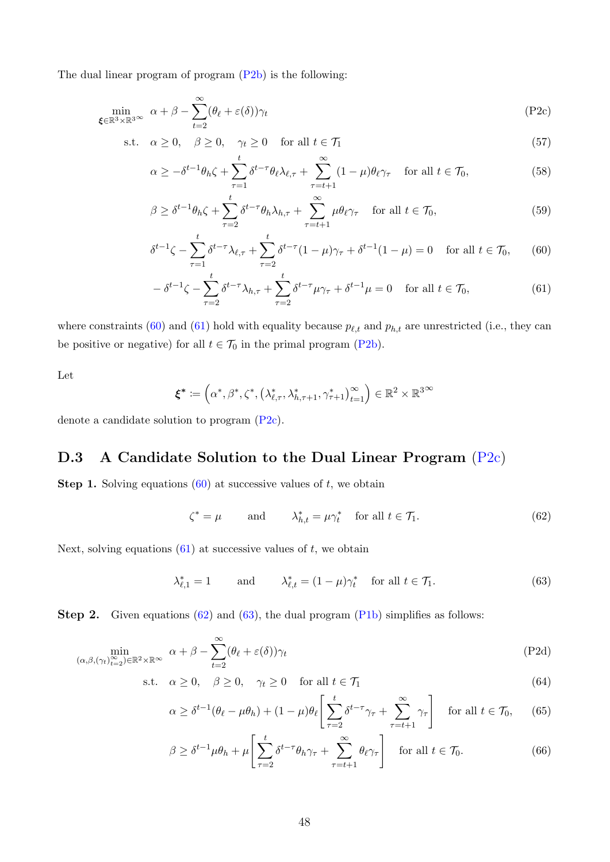The dual linear program of program [\(P2b\)](#page-46-0) is the following:

$$
\min_{\xi \in \mathbb{R}^3 \times \mathbb{R}^3} \alpha + \beta - \sum_{t=2}^{\infty} (\theta_\ell + \varepsilon(\delta)) \gamma_t
$$
 (P2c)

s.t. 
$$
\alpha \ge 0
$$
,  $\beta \ge 0$ ,  $\gamma_t \ge 0$  for all  $t \in \mathcal{T}_1$  (57)

<span id="page-47-2"></span>
$$
\alpha \ge -\delta^{t-1}\theta_h \zeta + \sum_{\tau=1}^t \delta^{t-\tau}\theta_\ell \lambda_{\ell,\tau} + \sum_{\tau=t+1}^\infty (1-\mu)\theta_\ell \gamma_\tau \quad \text{for all } t \in \mathcal{T}_0,\tag{58}
$$

$$
\beta \ge \delta^{t-1}\theta_h \zeta + \sum_{\tau=2}^t \delta^{t-\tau}\theta_h \lambda_{h,\tau} + \sum_{\tau=t+1}^\infty \mu \theta_\ell \gamma_\tau \quad \text{for all } t \in \mathcal{T}_0,
$$
\n
$$
(59)
$$

<span id="page-47-0"></span>
$$
\delta^{t-1}\zeta - \sum_{\tau=1}^t \delta^{t-\tau} \lambda_{\ell,\tau} + \sum_{\tau=2}^t \delta^{t-\tau} (1-\mu)\gamma_\tau + \delta^{t-1} (1-\mu) = 0 \quad \text{for all } t \in \mathcal{T}_0,\qquad(60)
$$

$$
-\delta^{t-1}\zeta - \sum_{\tau=2}^t \delta^{t-\tau}\lambda_{h,\tau} + \sum_{\tau=2}^t \delta^{t-\tau}\mu\gamma_\tau + \delta^{t-1}\mu = 0 \quad \text{for all } t \in \mathcal{T}_0,\tag{61}
$$

where constraints [\(60\)](#page-47-0) and [\(61\)](#page-47-1) hold with equality because  $p_{\ell,t}$  and  $p_{h,t}$  are unrestricted (i.e., they can be positive or negative) for all  $t \in \mathcal{T}_0$  in the primal program [\(P2b\)](#page-46-0).

Let

<span id="page-47-1"></span>
$$
\boldsymbol{\xi}^* \coloneqq \left(\alpha^*, \beta^*, \zeta^*, \left(\lambda_{\ell,\tau}^*, \lambda_{h,\tau+1}^*, \gamma_{\tau+1}^*\right)_{t=1}^\infty\right) \in \mathbb{R}^2 \times \mathbb{R}^{3 \times 3}
$$

denote a candidate solution to program [\(P2c\)](#page-47-2).

# D.3 A Candidate Solution to the Dual Linear Program [\(P2c\)](#page-47-2)

**Step 1.** Solving equations  $(60)$  at successive values of t, we obtain

<span id="page-47-3"></span>
$$
\zeta^* = \mu \qquad \text{and} \qquad \lambda^*_{h,t} = \mu \gamma^*_t \quad \text{for all } t \in \mathcal{T}_1. \tag{62}
$$

Next, solving equations  $(61)$  at successive values of t, we obtain

<span id="page-47-5"></span><span id="page-47-4"></span>
$$
\lambda_{\ell,1}^* = 1 \qquad \text{and} \qquad \lambda_{\ell,t}^* = (1 - \mu)\gamma_t^* \quad \text{for all } t \in \mathcal{T}_1. \tag{63}
$$

Step 2. Given equations [\(62\)](#page-47-3) and [\(63\)](#page-47-4), the dual program [\(P1b\)](#page-33-4) simplifies as follows:

$$
\min_{(\alpha,\beta,(\gamma_t)_{t=2}^\infty)\in\mathbb{R}^2\times\mathbb{R}^\infty} \ \alpha+\beta-\sum_{t=2}^\infty (\theta_\ell+\varepsilon(\delta))\gamma_t\tag{P2d}
$$

s.t.  $\alpha \geq 0$ ,  $\beta \geq 0$ ,  $\gamma_t \geq 0$  for all  $t \in \mathcal{T}_1$  (64)

$$
\alpha \ge \delta^{t-1}(\theta_\ell - \mu \theta_h) + (1 - \mu)\theta_\ell \left[ \sum_{\tau=2}^t \delta^{t-\tau} \gamma_\tau + \sum_{\tau=t+1}^\infty \gamma_\tau \right] \quad \text{for all } t \in \mathcal{T}_0,\tag{65}
$$

<span id="page-47-6"></span>
$$
\beta \ge \delta^{t-1} \mu \theta_h + \mu \left[ \sum_{\tau=2}^t \delta^{t-\tau} \theta_h \gamma_\tau + \sum_{\tau=t+1}^\infty \theta_\ell \gamma_\tau \right] \quad \text{for all } t \in \mathcal{T}_0.
$$
 (66)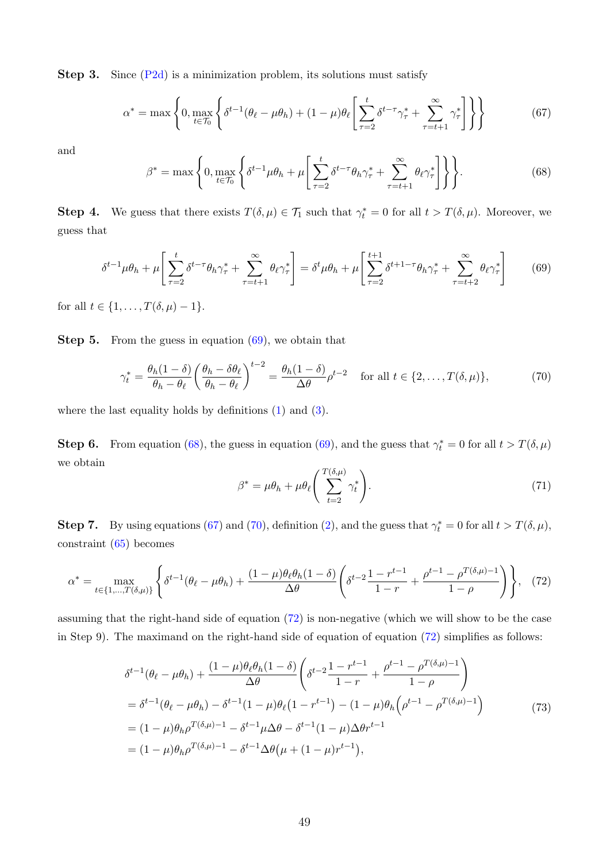**Step 3.** Since  $(P2d)$  is a minimization problem, its solutions must satisfy

<span id="page-48-2"></span>
$$
\alpha^* = \max \left\{ 0, \max_{t \in \mathcal{T}_0} \left\{ \delta^{t-1} (\theta_\ell - \mu \theta_h) + (1 - \mu) \theta_\ell \left[ \sum_{\tau=2}^t \delta^{t-\tau} \gamma_\tau^* + \sum_{\tau=t+1}^\infty \gamma_\tau^* \right] \right\} \right\} \tag{67}
$$

and

<span id="page-48-1"></span>
$$
\beta^* = \max\left\{0, \max_{t \in \mathcal{T}_0} \left\{ \delta^{t-1} \mu \theta_h + \mu \left[ \sum_{\tau=2}^t \delta^{t-\tau} \theta_h \gamma_\tau^* + \sum_{\tau=t+1}^\infty \theta_\ell \gamma_\tau^* \right] \right\} \right\}.
$$
 (68)

**Step 4.** We guess that there exists  $T(\delta, \mu) \in \mathcal{T}_1$  such that  $\gamma_t^* = 0$  for all  $t > T(\delta, \mu)$ . Moreover, we guess that

<span id="page-48-0"></span>
$$
\delta^{t-1}\mu\theta_h + \mu \left[ \sum_{\tau=2}^t \delta^{t-\tau}\theta_h \gamma_\tau^* + \sum_{\tau=t+1}^\infty \theta_\ell \gamma_\tau^* \right] = \delta^t \mu \theta_h + \mu \left[ \sum_{\tau=2}^{t+1} \delta^{t+1-\tau}\theta_h \gamma_\tau^* + \sum_{\tau=t+2}^\infty \theta_\ell \gamma_\tau^* \right] \tag{69}
$$

for all  $t \in \{1, ..., T(\delta, \mu) - 1\}.$ 

Step 5. From the guess in equation  $(69)$ , we obtain that

<span id="page-48-3"></span>
$$
\gamma_t^* = \frac{\theta_h (1 - \delta)}{\theta_h - \theta_\ell} \left( \frac{\theta_h - \delta \theta_\ell}{\theta_h - \theta_\ell} \right)^{t-2} = \frac{\theta_h (1 - \delta)}{\Delta \theta} \rho^{t-2} \quad \text{for all } t \in \{2, \dots, T(\delta, \mu)\},\tag{70}
$$

where the last equality holds by definitions [\(1\)](#page-32-8) and [\(3\)](#page-32-3).

**Step 6.** From equation [\(68\)](#page-48-1), the guess in equation [\(69\)](#page-48-0), and the guess that  $\gamma_t^* = 0$  for all  $t > T(\delta, \mu)$ we obtain

$$
\beta^* = \mu \theta_h + \mu \theta_\ell \left( \sum_{t=2}^{T(\delta,\mu)} \gamma_t^* \right). \tag{71}
$$

**Step 7.** By using equations [\(67\)](#page-48-2) and [\(70\)](#page-48-3), definition [\(2\)](#page-32-2), and the guess that  $\gamma_t^* = 0$  for all  $t > T(\delta, \mu)$ , constraint [\(65\)](#page-47-6) becomes

<span id="page-48-4"></span>
$$
\alpha^* = \max_{t \in \{1, \dots, T(\delta, \mu)\}} \left\{ \delta^{t-1} (\theta_\ell - \mu \theta_h) + \frac{(1-\mu)\theta_\ell \theta_h (1-\delta)}{\Delta \theta} \left( \delta^{t-2} \frac{1-r^{t-1}}{1-r} + \frac{\rho^{t-1} - \rho^{T(\delta, \mu)-1}}{1-\rho} \right) \right\}, \tag{72}
$$

assuming that the right-hand side of equation [\(72\)](#page-48-4) is non-negative (which we will show to be the case in Step 9). The maximand on the right-hand side of equation of equation [\(72\)](#page-48-4) simplifies as follows:

<span id="page-48-5"></span>
$$
\delta^{t-1}(\theta_{\ell} - \mu\theta_{h}) + \frac{(1-\mu)\theta_{\ell}\theta_{h}(1-\delta)}{\Delta\theta} \left(\delta^{t-2}\frac{1-r^{t-1}}{1-r} + \frac{\rho^{t-1} - \rho^{T(\delta,\mu)-1}}{1-\rho}\right)
$$
  
\n
$$
= \delta^{t-1}(\theta_{\ell} - \mu\theta_{h}) - \delta^{t-1}(1-\mu)\theta_{\ell}(1-r^{t-1}) - (1-\mu)\theta_{h}\left(\rho^{t-1} - \rho^{T(\delta,\mu)-1}\right)
$$
  
\n
$$
= (1-\mu)\theta_{h}\rho^{T(\delta,\mu)-1} - \delta^{t-1}\mu\Delta\theta - \delta^{t-1}(1-\mu)\Delta\theta r^{t-1}
$$
  
\n
$$
= (1-\mu)\theta_{h}\rho^{T(\delta,\mu)-1} - \delta^{t-1}\Delta\theta(\mu + (1-\mu)r^{t-1}),
$$
\n(73)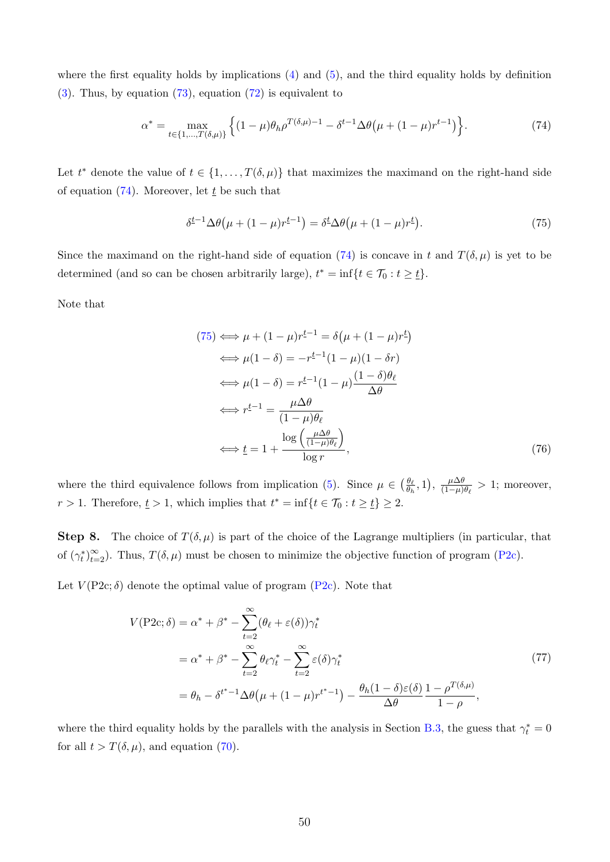where the first equality holds by implications  $(4)$  and  $(5)$ , and the third equality holds by definition [\(3\)](#page-32-3). Thus, by equation [\(73\)](#page-48-5), equation [\(72\)](#page-48-4) is equivalent to

<span id="page-49-0"></span>
$$
\alpha^* = \max_{t \in \{1, \dots, T(\delta, \mu)\}} \left\{ (1 - \mu)\theta_h \rho^{T(\delta, \mu) - 1} - \delta^{t-1} \Delta \theta \left( \mu + (1 - \mu)r^{t-1} \right) \right\}.
$$
 (74)

Let  $t^*$  denote the value of  $t \in \{1, \ldots, T(\delta, \mu)\}\$  that maximizes the maximand on the right-hand side of equation [\(74\)](#page-49-0). Moreover, let  $\underline{t}$  be such that

<span id="page-49-1"></span>
$$
\delta^{\underline{t}-1} \Delta \theta \left( \mu + (1 - \mu) r^{\underline{t}-1} \right) = \delta^{\underline{t}} \Delta \theta \left( \mu + (1 - \mu) r^{\underline{t}} \right). \tag{75}
$$

Since the maximand on the right-hand side of equation [\(74\)](#page-49-0) is concave in t and  $T(\delta,\mu)$  is yet to be determined (and so can be chosen arbitrarily large),  $t^* = \inf\{t \in \mathcal{T}_0 : t \geq t\}.$ 

Note that

$$
(75) \iff \mu + (1 - \mu)r^{t-1} = \delta(\mu + (1 - \mu)r^t)
$$
  
\n
$$
\iff \mu(1 - \delta) = -r^{t-1}(1 - \mu)(1 - \delta r)
$$
  
\n
$$
\iff \mu(1 - \delta) = r^{t-1}(1 - \mu)\frac{(1 - \delta)\theta_\ell}{\Delta\theta}
$$
  
\n
$$
\iff r^{t-1} = \frac{\mu\Delta\theta}{(1 - \mu)\theta_\ell}
$$
  
\n
$$
\iff t = 1 + \frac{\log\left(\frac{\mu\Delta\theta}{(1 - \mu)\theta_\ell}\right)}{\log r}, \tag{76}
$$

where the third equivalence follows from implication [\(5\)](#page-32-10). Since  $\mu \in \left(\frac{\theta_{\ell}}{a}\right)$  $\frac{\theta_{\ell}}{\theta_h}, 1$ ,  $\frac{\mu \Delta \theta}{(1-\mu)}$  $\frac{\mu \Delta \theta}{(1-\mu)\theta_{\ell}} > 1$ ; moreover,  $r > 1$ . Therefore,  $\underline{t} > 1$ , which implies that  $t^* = \inf\{t \in \mathcal{T}_0 : t \geq \underline{t}\} \geq 2$ .

**Step 8.** The choice of  $T(\delta,\mu)$  is part of the choice of the Lagrange multipliers (in particular, that of  $(\gamma_t^*)_{t=2}^{\infty}$ . Thus,  $T(\delta, \mu)$  must be chosen to minimize the objective function of program [\(P2c\)](#page-47-2).

<span id="page-49-2"></span>Let  $V(P2c;\delta)$  denote the optimal value of program  $(P2c)$ . Note that

$$
V(\text{P2c};\delta) = \alpha^* + \beta^* - \sum_{t=2}^{\infty} (\theta_\ell + \varepsilon(\delta)) \gamma_t^*
$$
  
\n
$$
= \alpha^* + \beta^* - \sum_{t=2}^{\infty} \theta_\ell \gamma_t^* - \sum_{t=2}^{\infty} \varepsilon(\delta) \gamma_t^*
$$
  
\n
$$
= \theta_h - \delta^{t^* - 1} \Delta \theta \big( \mu + (1 - \mu) r^{t^* - 1} \big) - \frac{\theta_h (1 - \delta) \varepsilon(\delta)}{\Delta \theta} \frac{1 - \rho^{T(\delta, \mu)}}{1 - \rho},
$$
\n(77)

where the third equality holds by the parallels with the analysis in Section [B.3,](#page-33-5) the guess that  $\gamma_t^* = 0$ for all  $t > T(\delta, \mu)$ , and equation [\(70\)](#page-48-3).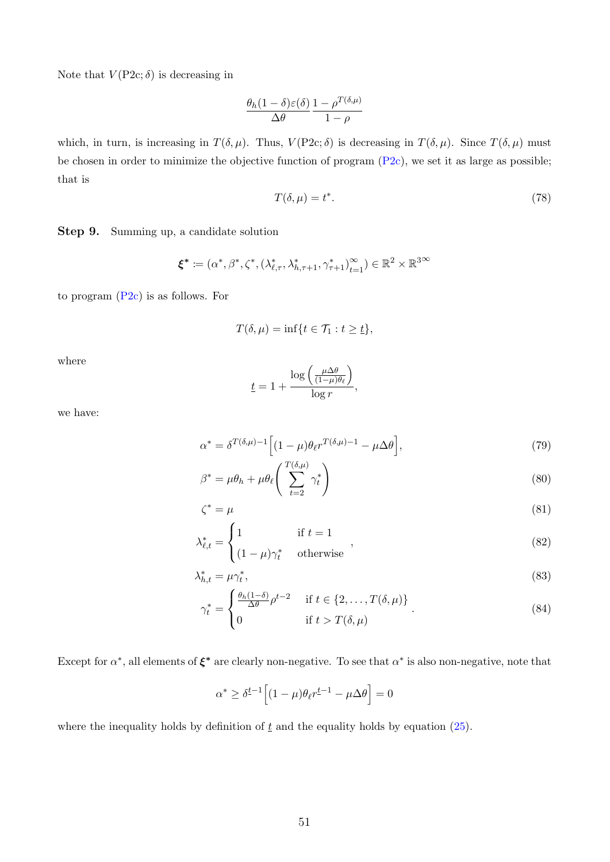Note that  $V(P2c;\delta)$  is decreasing in

$$
\frac{\theta_h(1-\delta)\varepsilon(\delta)}{\Delta\theta} \frac{1-\rho^{T(\delta,\mu)}}{1-\rho}
$$

which, in turn, is increasing in  $T(\delta, \mu)$ . Thus,  $V(P2c; \delta)$  is decreasing in  $T(\delta, \mu)$ . Since  $T(\delta, \mu)$  must be chosen in order to minimize the objective function of program  $(P2c)$ , we set it as large as possible; that is

<span id="page-50-0"></span>
$$
T(\delta, \mu) = t^*.
$$
\n<sup>(78)</sup>

Step 9. Summing up, a candidate solution

$$
\pmb{\xi}^* \coloneqq (\alpha^*, \beta^*, \zeta^*, (\lambda_{\ell, \tau}^*, \lambda_{h, \tau+1}^*, \gamma_{\tau+1}^*)_{t=1}^\infty) \in \mathbb{R}^2 \times \mathbb{R}^{3 \infty}
$$

to program [\(P2c\)](#page-47-2) is as follows. For

$$
T(\delta,\mu)=\inf\{t\in\mathcal{T}_1:t\geq\underline{t}\},
$$

where

$$
\underline{t} = 1 + \frac{\log\left(\frac{\mu \Delta \theta}{(1-\mu)\theta_{\ell}}\right)}{\log r},
$$

we have:

$$
\alpha^* = \delta^{T(\delta,\mu)-1} \Big[ (1-\mu)\theta_{\ell} r^{T(\delta,\mu)-1} - \mu \Delta \theta \Big],\tag{79}
$$

$$
\beta^* = \mu \theta_h + \mu \theta_\ell \left( \sum_{t=2}^{T(\delta,\mu)} \gamma_t^* \right) \tag{80}
$$

$$
\zeta^* = \mu \tag{81}
$$

$$
\lambda_{\ell,t}^* = \begin{cases} 1 & \text{if } t = 1 \\ (1 - \mu)\gamma_t^* & \text{otherwise} \end{cases} \tag{82}
$$

$$
\lambda_{h,t}^* = \mu \gamma_t^*,\tag{83}
$$

$$
\gamma_t^* = \begin{cases} \frac{\theta_h(1-\delta)}{\Delta \theta} \rho^{t-2} & \text{if } t \in \{2, \dots, T(\delta, \mu)\} \\ 0 & \text{if } t > T(\delta, \mu) \end{cases}
$$
 (84)

Except for  $\alpha^*$ , all elements of  $\xi^*$  are clearly non-negative. To see that  $\alpha^*$  is also non-negative, note that

$$
\alpha^* \ge \delta^{\underline{t}-1} \Big[ (1-\mu)\theta_\ell r^{\underline{t}-1} - \mu \Delta \theta \Big] = 0
$$

where the inequality holds by definition of  $\underline{t}$  and the equality holds by equation [\(25\)](#page-36-0).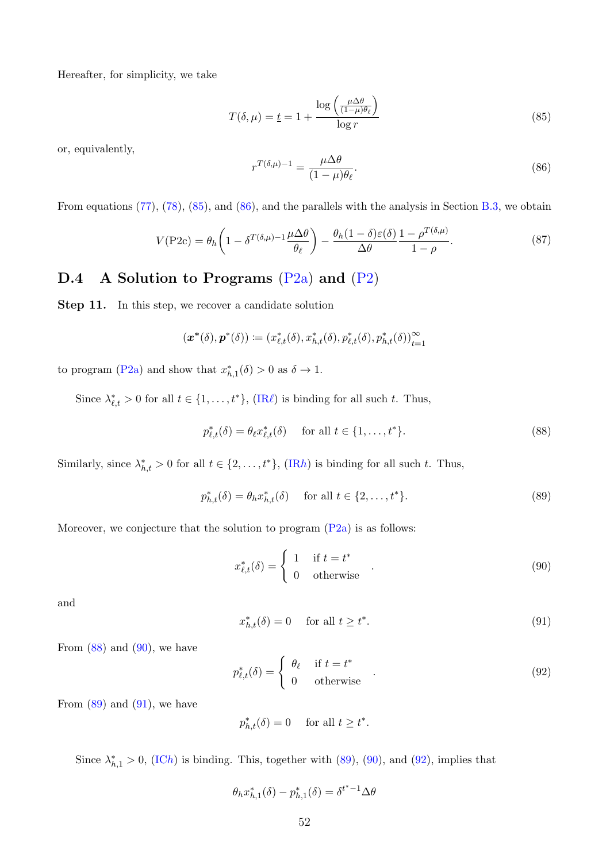Hereafter, for simplicity, we take

<span id="page-51-0"></span>
$$
T(\delta, \mu) = \underline{t} = 1 + \frac{\log\left(\frac{\mu \Delta \theta}{(1 - \mu)\theta_{\ell}}\right)}{\log r}
$$
\n(85)

or, equivalently,

<span id="page-51-1"></span>
$$
r^{T(\delta,\mu)-1} = \frac{\mu \Delta \theta}{(1-\mu)\theta_{\ell}}.\tag{86}
$$

From equations [\(77\)](#page-49-2), [\(78\)](#page-50-0), [\(85\)](#page-51-0), and [\(86\)](#page-51-1), and the parallels with the analysis in Section [B.3,](#page-33-5) we obtain

$$
V(\text{P2c}) = \theta_h \left( 1 - \delta^{T(\delta,\mu)-1} \frac{\mu \Delta \theta}{\theta_{\ell}} \right) - \frac{\theta_h (1 - \delta) \varepsilon(\delta)}{\Delta \theta} \frac{1 - \rho^{T(\delta,\mu)}}{1 - \rho}.
$$
 (87)

# D.4 A Solution to Programs  $(P2a)$  and  $(P2)$

Step 11. In this step, we recover a candidate solution

$$
(\boldsymbol{x}^*(\delta),\boldsymbol{p}^*(\delta))\coloneqq(x^*_{\ell,t}(\delta),x^*_{h,t}(\delta),p^*_{\ell,t}(\delta),p^*_{h,t}(\delta))_{t=1}^\infty
$$

to program [\(P2a\)](#page-45-1) and show that  $x_{h,1}^*(\delta) > 0$  as  $\delta \to 1$ .

Since  $\lambda_{\ell,t}^* > 0$  for all  $t \in \{1, \ldots, t^*\}$ ,  $\text{(IR}\ell)$  $\text{(IR}\ell)$  $\text{(IR}\ell)$  is binding for all such t. Thus,

<span id="page-51-2"></span>
$$
p_{\ell,t}^*(\delta) = \theta_\ell x_{\ell,t}^*(\delta) \quad \text{ for all } t \in \{1, \dots, t^*\}. \tag{88}
$$

Similarly, since  $\lambda_{h,t}^* > 0$  for all  $t \in \{2, \ldots, t^*\}$ ,  $(\text{IR}h)$  is binding for all such t. Thus,

<span id="page-51-4"></span>
$$
p_{h,t}^{*}(\delta) = \theta_h x_{h,t}^{*}(\delta) \quad \text{ for all } t \in \{2, ..., t^*\}.
$$
 (89)

Moreover, we conjecture that the solution to program  $(P2a)$  is as follows:

<span id="page-51-3"></span>
$$
x_{\ell,t}^*(\delta) = \begin{cases} 1 & \text{if } t = t^* \\ 0 & \text{otherwise} \end{cases}
$$
 (90)

and

<span id="page-51-5"></span>
$$
x_{h,t}^*(\delta) = 0 \quad \text{ for all } t \ge t^*.
$$
 (91)

From  $(88)$  and  $(90)$ , we have

<span id="page-51-6"></span>
$$
p_{\ell,t}^*(\delta) = \begin{cases} \theta_\ell & \text{if } t = t^* \\ 0 & \text{otherwise} \end{cases} . \tag{92}
$$

From  $(89)$  and  $(91)$ , we have

$$
p_{h,t}^*(\delta) = 0 \quad \text{ for all } t \ge t^*.
$$

Since  $\lambda_{h,1}^* > 0$ , [\(IC](#page-45-3)h) is binding. This, together with [\(89\)](#page-51-4), [\(90\)](#page-51-3), and [\(92\)](#page-51-6), implies that

$$
\theta_h x_{h,1}^*(\delta) - p_{h,1}^*(\delta) = \delta^{t^*-1} \Delta \theta
$$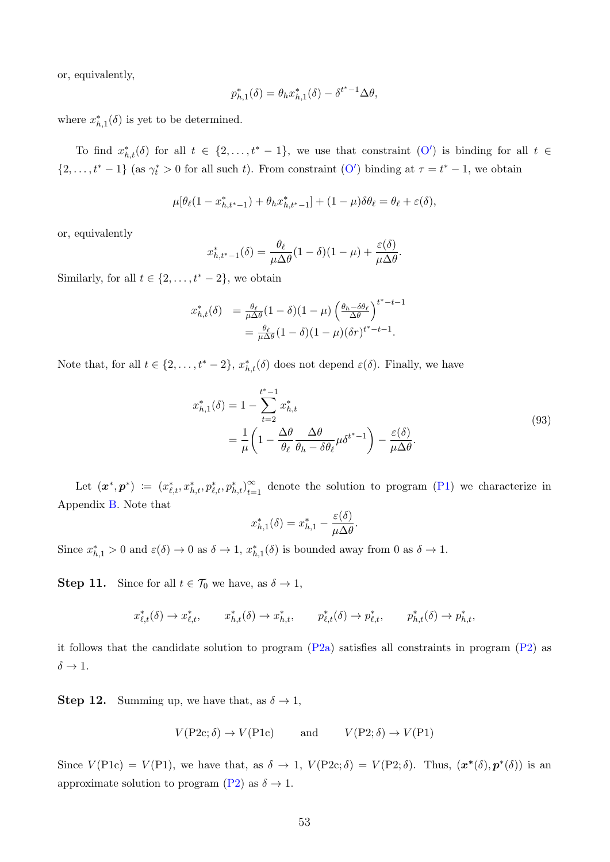or, equivalently,

$$
p_{h,1}^*(\delta) = \theta_h x_{h,1}^*(\delta) - \delta^{t^*-1} \Delta \theta,
$$

where  $x_{h,1}^*(\delta)$  is yet to be determined.

To find  $x_{h,t}^*(\delta)$  for all  $t \in \{2,\ldots,t^*-1\}$ , we use that constraint  $(O')$  $(O')$  is binding for all  $t \in$  $\{2,\ldots,t^*-1\}$  (as  $\gamma_t^*>0$  for all such t). From constraint  $(O')$  $(O')$  binding at  $\tau=t^*-1$ , we obtain

$$
\mu[\theta_{\ell}(1-x_{h,t^*-1}^*)+\theta_h x_{h,t^*-1}^*]+(1-\mu)\delta\theta_{\ell}=\theta_{\ell}+\varepsilon(\delta),
$$

or, equivalently

$$
x_{h,t^*-1}^*(\delta) = \frac{\theta_\ell}{\mu \Delta \theta} (1 - \delta)(1 - \mu) + \frac{\varepsilon(\delta)}{\mu \Delta \theta}.
$$

Similarly, for all  $t \in \{2, \ldots, t^* - 2\}$ , we obtain

$$
x_{h,t}^*(\delta) = \frac{\theta_\ell}{\mu \Delta \theta} (1 - \delta)(1 - \mu) \left( \frac{\theta_h - \delta \theta_\ell}{\Delta \theta} \right)^{t^* - t - 1}
$$
  
= 
$$
\frac{\theta_\ell}{\mu \Delta \theta} (1 - \delta)(1 - \mu)(\delta r)^{t^* - t - 1}.
$$

Note that, for all  $t \in \{2, \ldots, t^* - 2\}$ ,  $x_{h,t}^*(\delta)$  does not depend  $\varepsilon(\delta)$ . Finally, we have

$$
x_{h,1}^*(\delta) = 1 - \sum_{t=2}^{t^*-1} x_{h,t}^* = \frac{1}{\mu} \left( 1 - \frac{\Delta \theta}{\theta_\ell} \frac{\Delta \theta}{\theta_h - \delta \theta_\ell} \mu \delta^{t^*-1} \right) - \frac{\varepsilon(\delta)}{\mu \Delta \theta}.
$$
(93)

Let  $(\boldsymbol{x}^*, \boldsymbol{p}^*) \coloneqq (x_{\ell,t}^*, x_{h,t}^*, p_{\ell,t}^*, p_{h,t}^*)_{t=0}^\infty$  $\sum_{t=1}^{\infty}$  denote the solution to program [\(P1\)](#page-24-8) we characterize in Appendix [B.](#page-32-0) Note that

$$
x_{h,1}^*(\delta) = x_{h,1}^* - \frac{\varepsilon(\delta)}{\mu \Delta \theta}.
$$

Since  $x_{h,1}^* > 0$  and  $\varepsilon(\delta) \to 0$  as  $\delta \to 1$ ,  $x_{h,1}^*(\delta)$  is bounded away from 0 as  $\delta \to 1$ .

**Step 11.** Since for all  $t \in \mathcal{T}_0$  we have, as  $\delta \to 1$ ,

$$
x^*_{\ell,t}(\delta) \to x^*_{\ell,t}, \qquad x^*_{h,t}(\delta) \to x^*_{h,t}, \qquad p^*_{\ell,t}(\delta) \to p^*_{\ell,t}, \qquad p^*_{h,t}(\delta) \to p^*_{h,t},
$$

it follows that the candidate solution to program  $(P2a)$  satisfies all constraints in program  $(P2)$  as  $\delta \rightarrow 1.$ 

**Step 12.** Summing up, we have that, as  $\delta \rightarrow 1$ ,

$$
V(P2c; \delta) \to V(P1c)
$$
 and  $V(P2; \delta) \to V(P1)$ 

Since  $V(\text{Plc}) = V(\text{Pl})$ , we have that, as  $\delta \to 1$ ,  $V(\text{P2c}; \delta) = V(\text{P2}; \delta)$ . Thus,  $(\mathbf{x}^*(\delta), \mathbf{p}^*(\delta))$  is an approximate solution to program [\(P2\)](#page-26-2) as  $\delta \to 1$ .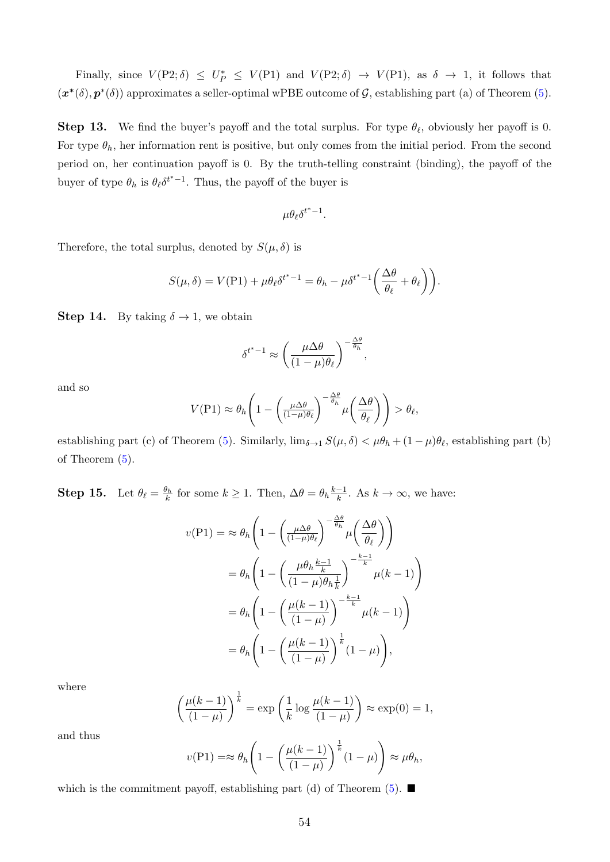Finally, since  $V(P2;\delta) \leq U_P^* \leq V(P1)$  and  $V(P2;\delta) \rightarrow V(P1)$ , as  $\delta \rightarrow 1$ , it follows that  $(\mathbf{x}^*(\delta), \mathbf{p}^*(\delta))$  approximates a seller-optimal wPBE outcome of  $\mathcal{G}$ , establishing part (a) of Theorem [\(5\)](#page-27-1).

**Step 13.** We find the buyer's payoff and the total surplus. For type  $\theta_{\ell}$ , obviously her payoff is 0. For type  $\theta_h$ , her information rent is positive, but only comes from the initial period. From the second period on, her continuation payoff is 0. By the truth-telling constraint (binding), the payoff of the buyer of type  $\theta_h$  is  $\theta_\ell \delta^{t^* - 1}$ . Thus, the payoff of the buyer is

$$
\mu\theta_\ell {\delta^{t^*}}^{-1}.
$$

Therefore, the total surplus, denoted by  $S(\mu, \delta)$  is

$$
S(\mu,\delta) = V(\text{P1}) + \mu \theta_{\ell} \delta^{t^{*}-1} = \theta_{h} - \mu \delta^{t^{*}-1} \left( \frac{\Delta \theta}{\theta_{\ell}} + \theta_{\ell} \right).
$$

**Step 14.** By taking  $\delta \rightarrow 1$ , we obtain

$$
\delta^{t^*-1} \approx \left(\frac{\mu \Delta \theta}{(1-\mu)\theta_\ell}\right)^{-\frac{\Delta \theta}{\theta_h}},
$$

and so

$$
V(\text{P1}) \approx \theta_h \left( 1 - \left( \frac{\mu \Delta \theta}{(1 - \mu) \theta_{\ell}} \right)^{-\frac{\Delta \theta}{\theta_h}} \mu \left( \frac{\Delta \theta}{\theta_{\ell}} \right) \right) > \theta_{\ell},
$$

establishing part (c) of Theorem [\(5\)](#page-27-1). Similarly,  $\lim_{\delta \to 1} S(\mu, \delta) < \mu \theta_h + (1 - \mu) \theta_{\ell}$ , establishing part (b) of Theorem [\(5\)](#page-27-1).

**Step 15.** Let  $\theta_{\ell} = \frac{\theta_h}{k}$  for some  $k \ge 1$ . Then,  $\Delta \theta = \theta_h \frac{k-1}{k}$  $\frac{-1}{k}$ . As  $k \to \infty$ , we have:

$$
v(\text{P1}) = \approx \theta_h \left( 1 - \left( \frac{\mu \Delta \theta}{(1-\mu)\theta_\ell} \right)^{-\frac{\Delta \theta}{\theta_h}} \mu \left( \frac{\Delta \theta}{\theta_\ell} \right) \right)
$$
  
=  $\theta_h \left( 1 - \left( \frac{\mu \theta_h \frac{k-1}{k}}{(1-\mu)\theta_h \frac{1}{k}} \right)^{-\frac{k-1}{k}} \mu(k-1) \right)$   
=  $\theta_h \left( 1 - \left( \frac{\mu(k-1)}{(1-\mu)} \right)^{-\frac{k-1}{k}} \mu(k-1) \right)$   
=  $\theta_h \left( 1 - \left( \frac{\mu(k-1)}{(1-\mu)} \right)^{\frac{1}{k}} (1-\mu) \right),$ 

where

$$
\left(\frac{\mu(k-1)}{(1-\mu)}\right)^{\frac{1}{k}} = \exp\left(\frac{1}{k}\log\frac{\mu(k-1)}{(1-\mu)}\right) \approx \exp(0) = 1,
$$

and thus

$$
v(\text{P1}) = \approx \theta_h \left( 1 - \left( \frac{\mu(k-1)}{(1-\mu)} \right)^{\frac{1}{k}} (1-\mu) \right) \approx \mu \theta_h,
$$

which is the commitment payoff, establishing part (d) of Theorem  $(5)$ .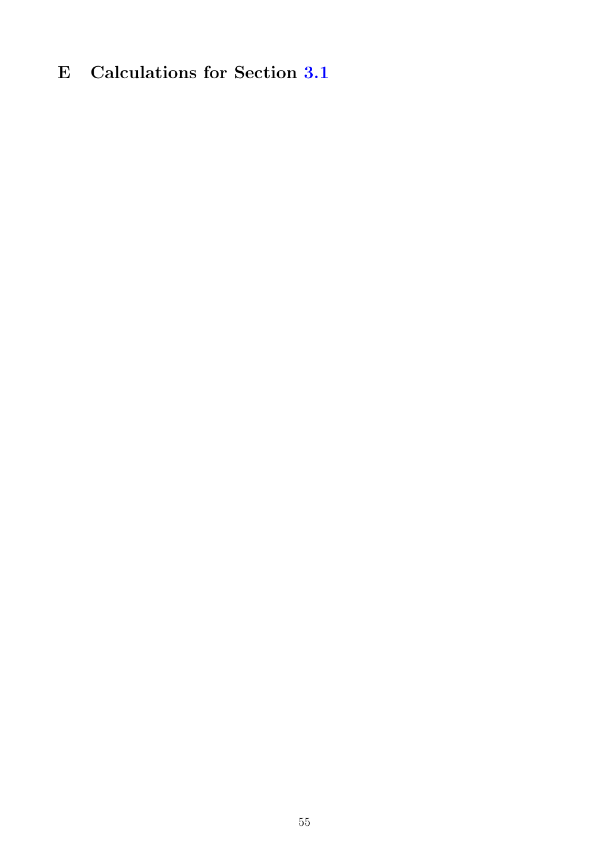# E Calculations for Section [3.1](#page-12-0)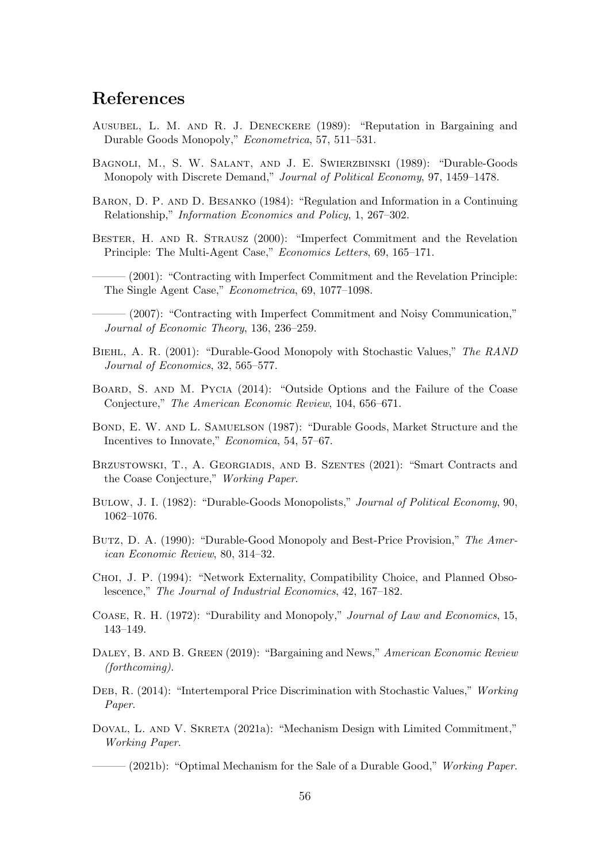# References

- <span id="page-55-7"></span>Ausubel, L. M. and R. J. Deneckere (1989): "Reputation in Bargaining and Durable Goods Monopoly," Econometrica, 57, 511–531.
- <span id="page-55-17"></span>Bagnoli, M., S. W. Salant, and J. E. Swierzbinski (1989): "Durable-Goods Monopoly with Discrete Demand," Journal of Political Economy, 97, 1459–1478.
- <span id="page-55-0"></span>Baron, D. P. and D. Besanko (1984): "Regulation and Information in a Continuing Relationship," Information Economics and Policy, 1, 267–302.
- <span id="page-55-8"></span>Bester, H. and R. Strausz (2000): "Imperfect Commitment and the Revelation Principle: The Multi-Agent Case," Economics Letters, 69, 165–171.
- <span id="page-55-4"></span>- (2001): "Contracting with Imperfect Commitment and the Revelation Principle: The Single Agent Case," Econometrica, 69, 1077–1098.
- <span id="page-55-5"></span>——— (2007): "Contracting with Imperfect Commitment and Noisy Communication," Journal of Economic Theory, 136, 236–259.
- <span id="page-55-13"></span>Biehl, A. R. (2001): "Durable-Good Monopoly with Stochastic Values," The RAND Journal of Economics, 32, 565–577.
- <span id="page-55-15"></span>Board, S. and M. Pycia (2014): "Outside Options and the Failure of the Coase Conjecture," The American Economic Review, 104, 656–671.
- <span id="page-55-16"></span>Bond, E. W. and L. Samuelson (1987): "Durable Goods, Market Structure and the Incentives to Innovate," Economica, 54, 57–67.
- <span id="page-55-6"></span>BRZUSTOWSKI, T., A. GEORGIADIS, AND B. SZENTES (2021): "Smart Contracts and the Coase Conjecture," Working Paper.
- <span id="page-55-9"></span>Bulow, J. I. (1982): "Durable-Goods Monopolists," Journal of Political Economy, 90, 1062–1076.
- <span id="page-55-10"></span>Butz, D. A. (1990): "Durable-Good Monopoly and Best-Price Provision," The American Economic Review, 80, 314–32.
- <span id="page-55-11"></span>Choi, J. P. (1994): "Network Externality, Compatibility Choice, and Planned Obsolescence," The Journal of Industrial Economics, 42, 167–182.
- <span id="page-55-1"></span>Coase, R. H. (1972): "Durability and Monopoly," Journal of Law and Economics, 15, 143–149.
- <span id="page-55-12"></span>DALEY, B. AND B. GREEN (2019): "Bargaining and News," American Economic Review (forthcoming).
- <span id="page-55-14"></span>Deb, R. (2014): "Intertemporal Price Discrimination with Stochastic Values," Working Paper.
- <span id="page-55-2"></span>DOVAL, L. AND V. SKRETA (2021a): "Mechanism Design with Limited Commitment," Working Paper.
- <span id="page-55-3"></span> $-$  (2021b): "Optimal Mechanism for the Sale of a Durable Good," Working Paper.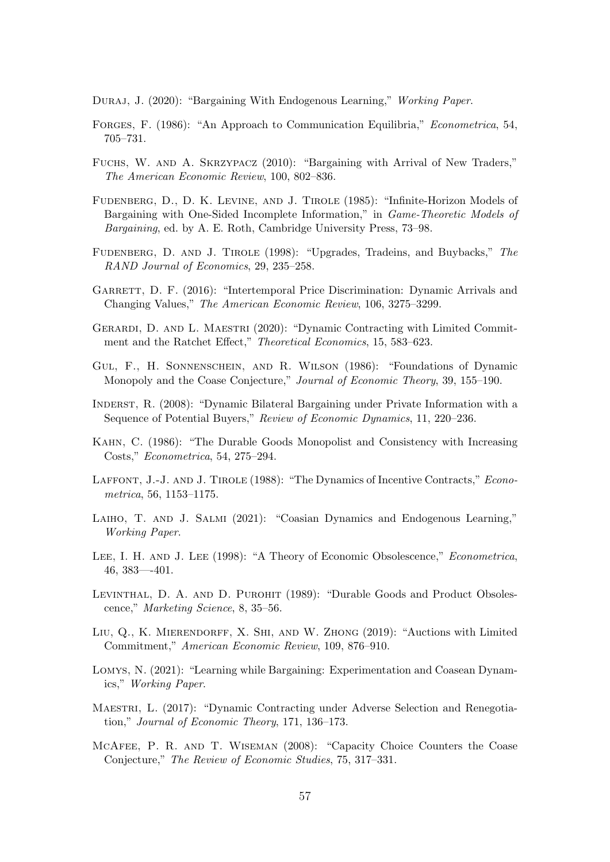<span id="page-56-14"></span>DURAJ, J. (2020): "Bargaining With Endogenous Learning," Working Paper.

- <span id="page-56-2"></span>Forges, F. (1986): "An Approach to Communication Equilibria," Econometrica, 54, 705–731.
- <span id="page-56-13"></span>Fuchs, W. and A. Skrzypacz (2010): "Bargaining with Arrival of New Traders," The American Economic Review, 100, 802–836.
- <span id="page-56-0"></span>Fudenberg, D., D. K. Levine, and J. Tirole (1985): "Infinite-Horizon Models of Bargaining with One-Sided Incomplete Information," in Game-Theoretic Models of Bargaining, ed. by A. E. Roth, Cambridge University Press, 73–98.
- <span id="page-56-5"></span>FUDENBERG, D. AND J. TIROLE (1998): "Upgrades, Tradeins, and Buybacks," The RAND Journal of Economics, 29, 235–258.
- <span id="page-56-17"></span>GARRETT, D. F. (2016): "Intertemporal Price Discrimination: Dynamic Arrivals and Changing Values," The American Economic Review, 106, 3275–3299.
- <span id="page-56-10"></span>Gerardi, D. and L. Maestri (2020): "Dynamic Contracting with Limited Commitment and the Ratchet Effect," Theoretical Economics, 15, 583–623.
- <span id="page-56-1"></span>Gul, F., H. Sonnenschein, and R. Wilson (1986): "Foundations of Dynamic Monopoly and the Coase Conjecture," Journal of Economic Theory, 39, 155–190.
- <span id="page-56-12"></span>Inderst, R. (2008): "Dynamic Bilateral Bargaining under Private Information with a Sequence of Potential Buyers," Review of Economic Dynamics, 11, 220–236.
- <span id="page-56-7"></span>Kahn, C. (1986): "The Durable Goods Monopolist and Consistency with Increasing Costs," Econometrica, 54, 275–294.
- <span id="page-56-3"></span>LAFFONT, J.-J. AND J. TIROLE (1988): "The Dynamics of Incentive Contracts," Econometrica, 56, 1153–1175.
- <span id="page-56-16"></span>Laiho, T. and J. Salmi (2021): "Coasian Dynamics and Endogenous Learning," Working Paper.
- <span id="page-56-6"></span>Lee, I. H. and J. Lee (1998): "A Theory of Economic Obsolescence," Econometrica, 46, 383—-401.
- <span id="page-56-4"></span>Levinthal, D. A. and D. Purohit (1989): "Durable Goods and Product Obsolescence," Marketing Science, 8, 35–56.
- <span id="page-56-9"></span>Liu, Q., K. Mierendorff, X. Shi, and W. Zhong (2019): "Auctions with Limited Commitment," American Economic Review, 109, 876–910.
- <span id="page-56-15"></span>Lomys, N. (2021): "Learning while Bargaining: Experimentation and Coasean Dynamics," Working Paper.
- <span id="page-56-11"></span>Maestri, L. (2017): "Dynamic Contracting under Adverse Selection and Renegotiation," Journal of Economic Theory, 171, 136–173.
- <span id="page-56-8"></span>McAfee, P. R. and T. Wiseman (2008): "Capacity Choice Counters the Coase Conjecture," The Review of Economic Studies, 75, 317–331.